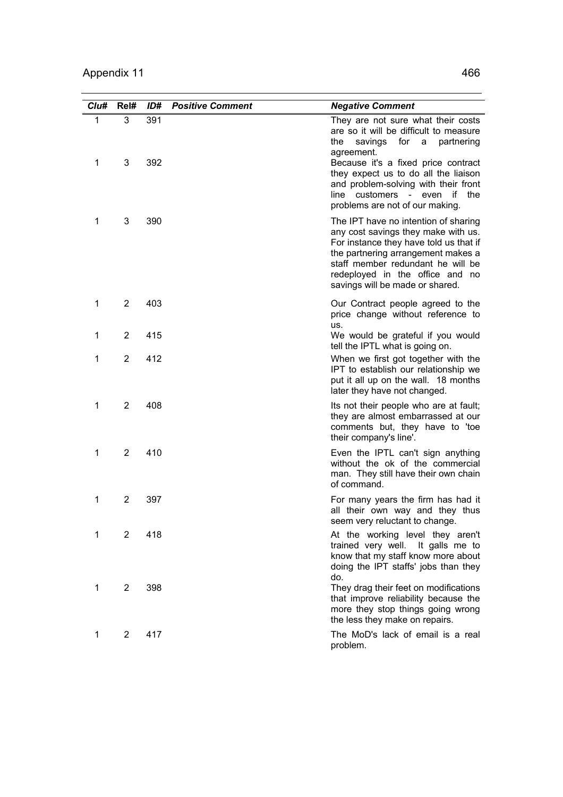| Clu#              | Rel#           | ID#        | <b>Positive Comment</b> | <b>Negative Comment</b>                                                                                                                                                                                                                                                                                                                   |
|-------------------|----------------|------------|-------------------------|-------------------------------------------------------------------------------------------------------------------------------------------------------------------------------------------------------------------------------------------------------------------------------------------------------------------------------------------|
| $\mathbf{1}$<br>1 | 3<br>3         | 391<br>392 |                         | They are not sure what their costs<br>are so it will be difficult to measure<br>savings<br>for<br>the<br>a<br>partnering<br>agreement.<br>Because it's a fixed price contract<br>they expect us to do all the liaison<br>and problem-solving with their front<br>even if<br>the<br>customers -<br>line<br>problems are not of our making. |
| 1                 | 3              | 390        |                         | The IPT have no intention of sharing<br>any cost savings they make with us.<br>For instance they have told us that if<br>the partnering arrangement makes a<br>staff member redundant he will be<br>redeployed in the office and no<br>savings will be made or shared.                                                                    |
| 1                 | $\overline{2}$ | 403        |                         | Our Contract people agreed to the<br>price change without reference to<br>us.                                                                                                                                                                                                                                                             |
| 1                 | $\overline{2}$ | 415        |                         | We would be grateful if you would<br>tell the IPTL what is going on.                                                                                                                                                                                                                                                                      |
| 1                 | $\overline{2}$ | 412        |                         | When we first got together with the<br>IPT to establish our relationship we<br>put it all up on the wall. 18 months<br>later they have not changed.                                                                                                                                                                                       |
| 1                 | $\overline{2}$ | 408        |                         | Its not their people who are at fault;<br>they are almost embarrassed at our<br>comments but, they have to 'toe<br>their company's line'.                                                                                                                                                                                                 |
| 1                 | $\overline{2}$ | 410        |                         | Even the IPTL can't sign anything<br>without the ok of the commercial<br>man. They still have their own chain<br>of command.                                                                                                                                                                                                              |
| 1                 | $\overline{2}$ | 397        |                         | For many years the firm has had it<br>all their own way and they thus<br>seem very reluctant to change.                                                                                                                                                                                                                                   |
| 1                 | $\overline{2}$ | 418        |                         | At the working level they aren't<br>trained very well. It galls me to<br>know that my staff know more about<br>doing the IPT staffs' jobs than they<br>do.                                                                                                                                                                                |
| 1                 | $\overline{2}$ | 398        |                         | They drag their feet on modifications<br>that improve reliability because the<br>more they stop things going wrong<br>the less they make on repairs.                                                                                                                                                                                      |
| 1                 | $\overline{2}$ | 417        |                         | The MoD's lack of email is a real<br>problem.                                                                                                                                                                                                                                                                                             |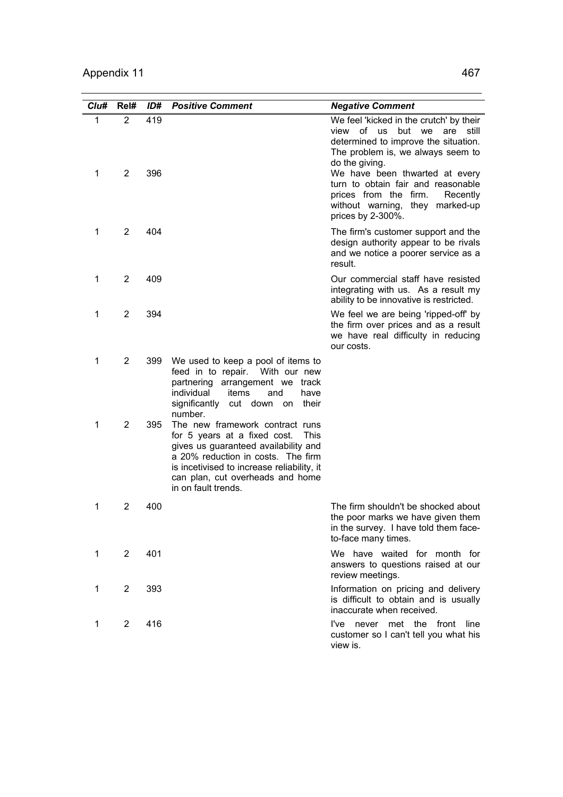| Clu#   | Rel#                | ID#        | <b>Positive Comment</b>                                                                                                                                                                                                                                               | <b>Negative Comment</b>                                                                                                                                                                                                                                                                                                                          |
|--------|---------------------|------------|-----------------------------------------------------------------------------------------------------------------------------------------------------------------------------------------------------------------------------------------------------------------------|--------------------------------------------------------------------------------------------------------------------------------------------------------------------------------------------------------------------------------------------------------------------------------------------------------------------------------------------------|
| 1<br>1 | 2<br>$\overline{2}$ | 419<br>396 |                                                                                                                                                                                                                                                                       | We feel 'kicked in the crutch' by their<br>view of us<br>but we are<br>still<br>determined to improve the situation.<br>The problem is, we always seem to<br>do the giving.<br>We have been thwarted at every<br>turn to obtain fair and reasonable<br>prices from the firm.<br>Recently<br>without warning, they marked-up<br>prices by 2-300%. |
| 1      | 2                   | 404        |                                                                                                                                                                                                                                                                       | The firm's customer support and the<br>design authority appear to be rivals<br>and we notice a poorer service as a<br>result.                                                                                                                                                                                                                    |
| 1      | 2                   | 409        |                                                                                                                                                                                                                                                                       | Our commercial staff have resisted<br>integrating with us. As a result my<br>ability to be innovative is restricted.                                                                                                                                                                                                                             |
| 1      | 2                   | 394        |                                                                                                                                                                                                                                                                       | We feel we are being 'ripped-off' by<br>the firm over prices and as a result<br>we have real difficulty in reducing<br>our costs.                                                                                                                                                                                                                |
| 1      | $\overline{2}$      | 399        | We used to keep a pool of items to<br>feed in to repair.<br>With our new<br>partnering arrangement we<br>track<br>individual<br>items<br>and<br>have<br>significantly cut down on<br>their<br>number.                                                                 |                                                                                                                                                                                                                                                                                                                                                  |
| 1      | 2                   | 395        | The new framework contract runs<br>for 5 years at a fixed cost.<br><b>This</b><br>gives us guaranteed availability and<br>a 20% reduction in costs. The firm<br>is incetivised to increase reliability, it<br>can plan, cut overheads and home<br>in on fault trends. |                                                                                                                                                                                                                                                                                                                                                  |
| 1      | 2                   | 400        |                                                                                                                                                                                                                                                                       | The firm shouldn't be shocked about<br>the poor marks we have given them<br>in the survey. I have told them face-<br>to-face many times.                                                                                                                                                                                                         |
| 1      | $\overline{2}$      | 401        |                                                                                                                                                                                                                                                                       | We have waited for month for<br>answers to questions raised at our<br>review meetings.                                                                                                                                                                                                                                                           |
| 1      | $\overline{2}$      | 393        |                                                                                                                                                                                                                                                                       | Information on pricing and delivery<br>is difficult to obtain and is usually<br>inaccurate when received.                                                                                                                                                                                                                                        |
| 1      | $\overline{2}$      | 416        |                                                                                                                                                                                                                                                                       | I've never met the front line<br>customer so I can't tell you what his<br>view is.                                                                                                                                                                                                                                                               |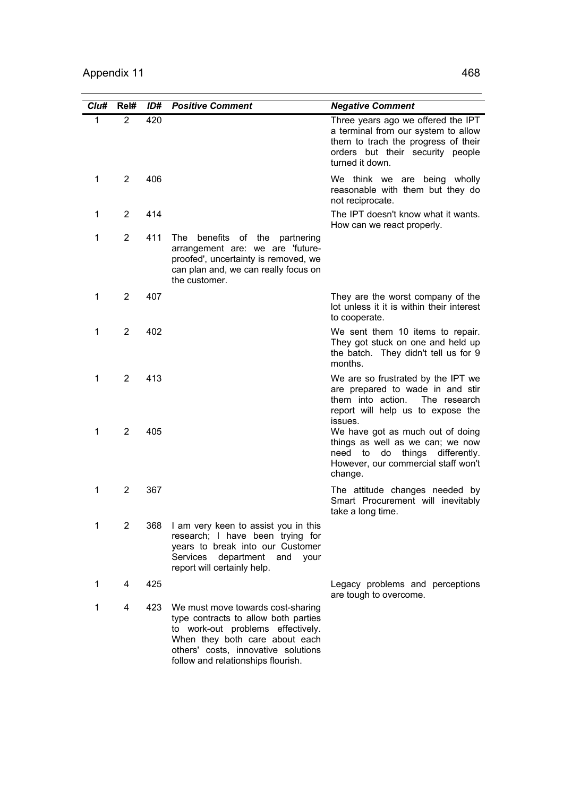| Clu#         | Rel#           | ID# | <b>Positive Comment</b>                                                                                                                                                                                                       | <b>Negative Comment</b>                                                                                                                                                 |
|--------------|----------------|-----|-------------------------------------------------------------------------------------------------------------------------------------------------------------------------------------------------------------------------------|-------------------------------------------------------------------------------------------------------------------------------------------------------------------------|
| $\mathbf{1}$ | $\overline{2}$ | 420 |                                                                                                                                                                                                                               | Three years ago we offered the IPT<br>a terminal from our system to allow<br>them to trach the progress of their<br>orders but their security people<br>turned it down. |
| 1            | $\overline{2}$ | 406 |                                                                                                                                                                                                                               | We think we are being wholly<br>reasonable with them but they do<br>not reciprocate.                                                                                    |
| 1            | 2              | 414 |                                                                                                                                                                                                                               | The IPT doesn't know what it wants.<br>How can we react properly.                                                                                                       |
| 1            | $\overline{2}$ | 411 | benefits of the partnering<br>The<br>arrangement are: we are 'future-<br>proofed', uncertainty is removed, we<br>can plan and, we can really focus on<br>the customer.                                                        |                                                                                                                                                                         |
| 1            | 2              | 407 |                                                                                                                                                                                                                               | They are the worst company of the<br>lot unless it it is within their interest<br>to cooperate.                                                                         |
| 1            | $\overline{2}$ | 402 |                                                                                                                                                                                                                               | We sent them 10 items to repair.<br>They got stuck on one and held up<br>the batch. They didn't tell us for 9<br>months.                                                |
| 1            | 2              | 413 |                                                                                                                                                                                                                               | We are so frustrated by the IPT we<br>are prepared to wade in and stir<br>them into action.<br>The research<br>report will help us to expose the<br>issues.             |
| 1            | 2              | 405 |                                                                                                                                                                                                                               | We have got as much out of doing<br>things as well as we can; we now<br>things differently.<br>do<br>need<br>to<br>However, our commercial staff won't<br>change.       |
| 1            | 2              | 367 |                                                                                                                                                                                                                               | The attitude changes needed by<br>Smart Procurement will inevitably<br>take a long time.                                                                                |
| 1            | $\overline{2}$ | 368 | I am very keen to assist you in this<br>research; I have been trying for<br>years to break into our Customer<br>Services<br>department and your<br>report will certainly help.                                                |                                                                                                                                                                         |
| 1            | 4              | 425 |                                                                                                                                                                                                                               | Legacy problems and perceptions<br>are tough to overcome.                                                                                                               |
| 1            | 4              | 423 | We must move towards cost-sharing<br>type contracts to allow both parties<br>to work-out problems effectively.<br>When they both care about each<br>others' costs, innovative solutions<br>follow and relationships flourish. |                                                                                                                                                                         |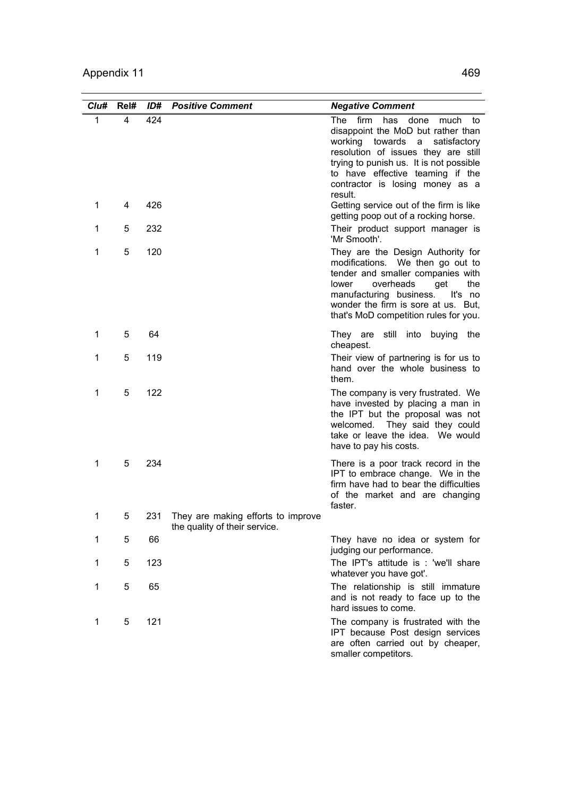| Clu#         | Rel# | ID# | <b>Positive Comment</b>                                             | <b>Negative Comment</b>                                                                                                                                                                                                                                                                    |
|--------------|------|-----|---------------------------------------------------------------------|--------------------------------------------------------------------------------------------------------------------------------------------------------------------------------------------------------------------------------------------------------------------------------------------|
| $\mathbf{1}$ | 4    | 424 |                                                                     | The<br>firm<br>has<br>done<br>much<br>to<br>disappoint the MoD but rather than<br>working towards<br>a<br>satisfactory<br>resolution of issues they are still<br>trying to punish us. It is not possible<br>to have effective teaming if the<br>contractor is losing money as a<br>result. |
| 1            | 4    | 426 |                                                                     | Getting service out of the firm is like<br>getting poop out of a rocking horse.                                                                                                                                                                                                            |
| 1            | 5    | 232 |                                                                     | Their product support manager is<br>'Mr Smooth'.                                                                                                                                                                                                                                           |
| 1            | 5    | 120 |                                                                     | They are the Design Authority for<br>modifications. We then go out to<br>tender and smaller companies with<br>overheads<br>the<br>lower<br>get<br>manufacturing business.<br>It's no<br>wonder the firm is sore at us. But,<br>that's MoD competition rules for you.                       |
| 1            | 5    | 64  |                                                                     | They are<br>still<br>into buying the<br>cheapest.                                                                                                                                                                                                                                          |
| 1            | 5    | 119 |                                                                     | Their view of partnering is for us to<br>hand over the whole business to<br>them.                                                                                                                                                                                                          |
| 1            | 5    | 122 |                                                                     | The company is very frustrated. We<br>have invested by placing a man in<br>the IPT but the proposal was not<br>They said they could<br>welcomed.<br>take or leave the idea. We would<br>have to pay his costs.                                                                             |
| 1            | 5    | 234 |                                                                     | There is a poor track record in the<br>IPT to embrace change. We in the<br>firm have had to bear the difficulties<br>of the market and are changing<br>faster.                                                                                                                             |
| 1            | 5    | 231 | They are making efforts to improve<br>the quality of their service. |                                                                                                                                                                                                                                                                                            |
| 1            | 5    | 66  |                                                                     | They have no idea or system for<br>judging our performance.                                                                                                                                                                                                                                |
| 1            | 5    | 123 |                                                                     | The IPT's attitude is : 'we'll share<br>whatever you have got'.                                                                                                                                                                                                                            |
| 1            | 5    | 65  |                                                                     | The relationship is still immature<br>and is not ready to face up to the<br>hard issues to come.                                                                                                                                                                                           |
| 1            | 5    | 121 |                                                                     | The company is frustrated with the<br>IPT because Post design services<br>are often carried out by cheaper,<br>smaller competitors.                                                                                                                                                        |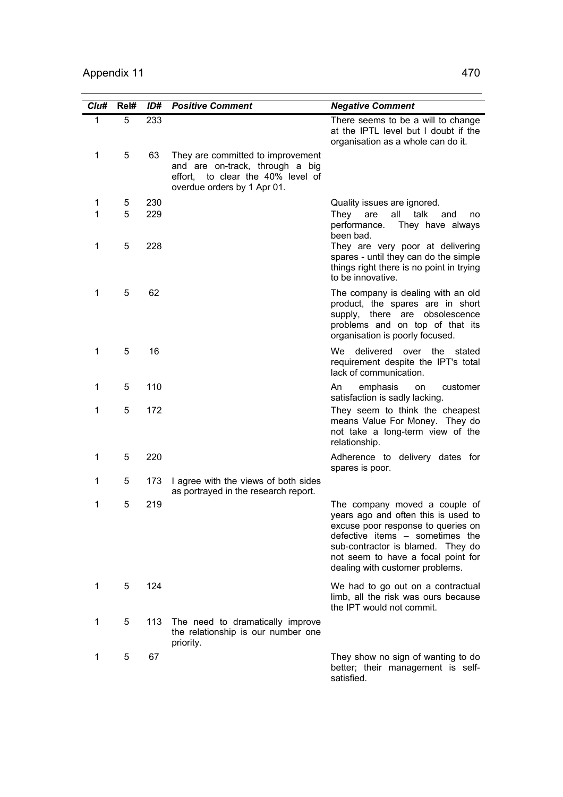| Clu#         | Rel# | ID# | <b>Positive Comment</b>                                                                                                                     | <b>Negative Comment</b>                                                                                                                                                                                                                                     |
|--------------|------|-----|---------------------------------------------------------------------------------------------------------------------------------------------|-------------------------------------------------------------------------------------------------------------------------------------------------------------------------------------------------------------------------------------------------------------|
| $\mathbf{1}$ | 5    | 233 |                                                                                                                                             | There seems to be a will to change<br>at the IPTL level but I doubt if the<br>organisation as a whole can do it.                                                                                                                                            |
| $\mathbf 1$  | 5    | 63  | They are committed to improvement<br>and are on-track, through a big<br>to clear the 40% level of<br>effort,<br>overdue orders by 1 Apr 01. |                                                                                                                                                                                                                                                             |
| 1            | 5    | 230 |                                                                                                                                             | Quality issues are ignored.                                                                                                                                                                                                                                 |
| 1            | 5    | 229 |                                                                                                                                             | all<br>talk<br>Thev<br>are<br>and<br>no<br>performance.<br>They have always<br>been bad.                                                                                                                                                                    |
| $\mathbf 1$  | 5    | 228 |                                                                                                                                             | They are very poor at delivering<br>spares - until they can do the simple<br>things right there is no point in trying<br>to be innovative.                                                                                                                  |
| 1            | 5    | 62  |                                                                                                                                             | The company is dealing with an old<br>product, the spares are in short<br>supply, there are obsolescence<br>problems and on top of that its<br>organisation is poorly focused.                                                                              |
| 1            | 5    | 16  |                                                                                                                                             | delivered over the<br>We<br>stated<br>requirement despite the IPT's total<br>lack of communication.                                                                                                                                                         |
| 1            | 5    | 110 |                                                                                                                                             | An<br>emphasis<br>customer<br>on<br>satisfaction is sadly lacking.                                                                                                                                                                                          |
| 1            | 5    | 172 |                                                                                                                                             | They seem to think the cheapest<br>means Value For Money. They do<br>not take a long-term view of the<br>relationship.                                                                                                                                      |
| 1            | 5    | 220 |                                                                                                                                             | Adherence to delivery dates for<br>spares is poor.                                                                                                                                                                                                          |
| 1            | 5    | 173 | I agree with the views of both sides<br>as portrayed in the research report.                                                                |                                                                                                                                                                                                                                                             |
| 1            | 5    | 219 |                                                                                                                                             | The company moved a couple of<br>years ago and often this is used to<br>excuse poor response to queries on<br>defective items - sometimes the<br>sub-contractor is blamed. They do<br>not seem to have a focal point for<br>dealing with customer problems. |
| 1            | 5    | 124 |                                                                                                                                             | We had to go out on a contractual<br>limb, all the risk was ours because<br>the IPT would not commit.                                                                                                                                                       |
| 1            | 5    | 113 | The need to dramatically improve<br>the relationship is our number one<br>priority.                                                         |                                                                                                                                                                                                                                                             |
| 1            | 5    | 67  |                                                                                                                                             | They show no sign of wanting to do<br>better; their management is self-<br>satisfied.                                                                                                                                                                       |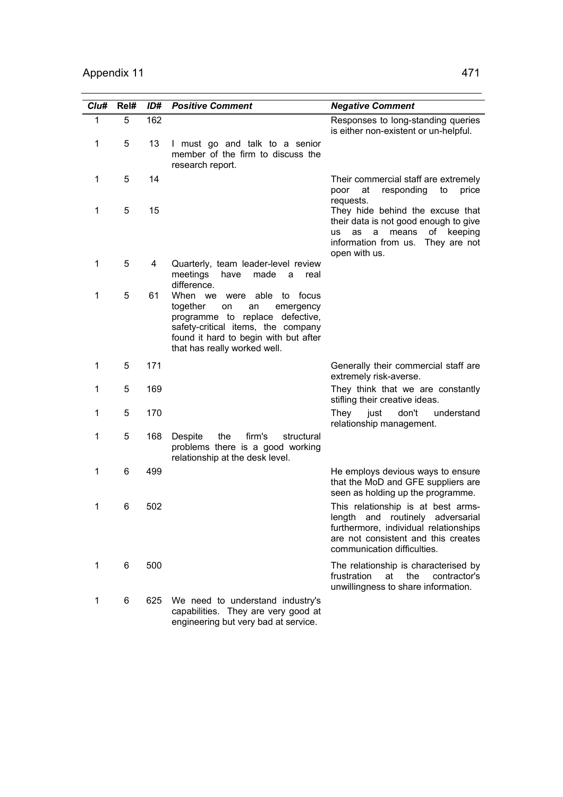| Cl <sub>u#</sub> | Rel# | ID# | <b>Positive Comment</b>                                                                                                                                                                                                    | <b>Negative Comment</b>                                                                                                                                                               |
|------------------|------|-----|----------------------------------------------------------------------------------------------------------------------------------------------------------------------------------------------------------------------------|---------------------------------------------------------------------------------------------------------------------------------------------------------------------------------------|
| 1                | 5    | 162 |                                                                                                                                                                                                                            | Responses to long-standing queries<br>is either non-existent or un-helpful.                                                                                                           |
| 1                | 5    | 13  | I must go and talk to a senior<br>member of the firm to discuss the<br>research report.                                                                                                                                    |                                                                                                                                                                                       |
| 1                | 5    | 14  |                                                                                                                                                                                                                            | Their commercial staff are extremely<br>poor<br>at<br>responding<br>to<br>price<br>requests.                                                                                          |
| 1                | 5    | 15  |                                                                                                                                                                                                                            | They hide behind the excuse that<br>their data is not good enough to give<br>of keeping<br>means<br><b>us</b><br>as<br>a<br>information from us.<br>They are not<br>open with us.     |
| 1                | 5    | 4   | Quarterly, team leader-level review<br>meetings<br>have<br>made<br>a<br>real<br>difference.                                                                                                                                |                                                                                                                                                                                       |
| 1                | 5    | 61  | When we<br>able to<br>were<br>focus<br>together<br>on<br>an<br>emergency<br>programme to replace defective,<br>safety-critical items, the company<br>found it hard to begin with but after<br>that has really worked well. |                                                                                                                                                                                       |
| 1                | 5    | 171 |                                                                                                                                                                                                                            | Generally their commercial staff are<br>extremely risk-averse.                                                                                                                        |
| 1                | 5    | 169 |                                                                                                                                                                                                                            | They think that we are constantly<br>stifling their creative ideas.                                                                                                                   |
| 1                | 5    | 170 |                                                                                                                                                                                                                            | don't<br>They<br>just<br>understand<br>relationship management.                                                                                                                       |
| 1                | 5    | 168 | Despite<br>the<br>firm's<br>structural<br>problems there is a good working<br>relationship at the desk level.                                                                                                              |                                                                                                                                                                                       |
| 1                | 6    | 499 |                                                                                                                                                                                                                            | He employs devious ways to ensure<br>that the MoD and GFE suppliers are<br>seen as holding up the programme.                                                                          |
| 1                | 6    | 502 |                                                                                                                                                                                                                            | This relationship is at best arms-<br>length and routinely adversarial<br>furthermore, individual relationships<br>are not consistent and this creates<br>communication difficulties. |
| 1                | 6    | 500 |                                                                                                                                                                                                                            | The relationship is characterised by<br>frustration<br>the<br>contractor's<br>at<br>unwillingness to share information.                                                               |
| 1                | 6    | 625 | We need to understand industry's<br>capabilities. They are very good at<br>engineering but very bad at service.                                                                                                            |                                                                                                                                                                                       |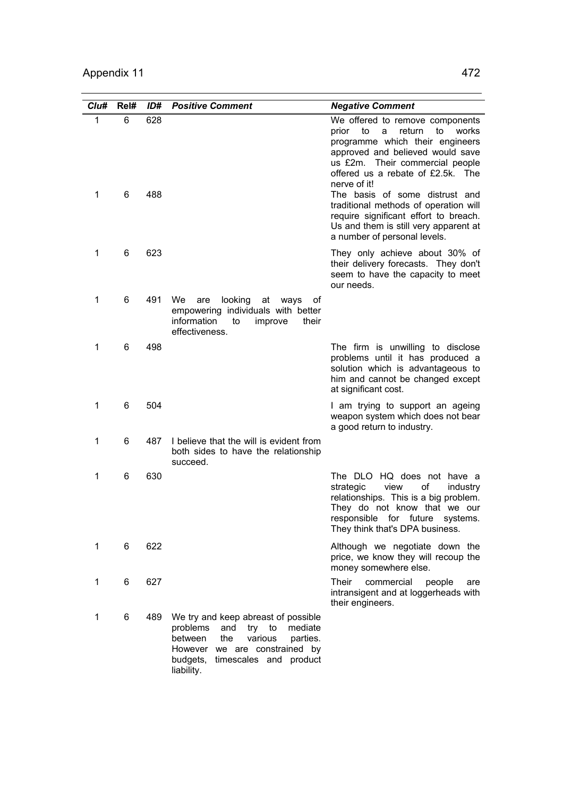| Clu#             | Rel#   | ID#        | <b>Positive Comment</b>                                                                                                                                                                                      | <b>Negative Comment</b>                                                                                                                                                                                                                                                                                                                                                                                                                                           |
|------------------|--------|------------|--------------------------------------------------------------------------------------------------------------------------------------------------------------------------------------------------------------|-------------------------------------------------------------------------------------------------------------------------------------------------------------------------------------------------------------------------------------------------------------------------------------------------------------------------------------------------------------------------------------------------------------------------------------------------------------------|
| $\mathbf 1$<br>1 | 6<br>6 | 628<br>488 |                                                                                                                                                                                                              | We offered to remove components<br>prior<br>$\overline{\phantom{a}}$ to<br>return<br>to<br>a<br>works<br>programme which their engineers<br>approved and believed would save<br>us £2m. Their commercial people<br>offered us a rebate of £2.5k. The<br>nerve of it!<br>The basis of some distrust and<br>traditional methods of operation will<br>require significant effort to breach.<br>Us and them is still very apparent at<br>a number of personal levels. |
| 1                | 6      | 623        |                                                                                                                                                                                                              | They only achieve about 30% of<br>their delivery forecasts. They don't<br>seem to have the capacity to meet<br>our needs.                                                                                                                                                                                                                                                                                                                                         |
| 1                | 6      | 491        | We<br>looking<br>at<br>ways<br>are<br>0t<br>empowering individuals with better<br>information<br>improve<br>their<br>to<br>effectiveness.                                                                    |                                                                                                                                                                                                                                                                                                                                                                                                                                                                   |
| 1                | 6      | 498        |                                                                                                                                                                                                              | The firm is unwilling to disclose<br>problems until it has produced a<br>solution which is advantageous to<br>him and cannot be changed except<br>at significant cost.                                                                                                                                                                                                                                                                                            |
| 1                | 6      | 504        |                                                                                                                                                                                                              | I am trying to support an ageing<br>weapon system which does not bear<br>a good return to industry.                                                                                                                                                                                                                                                                                                                                                               |
| 1                | 6      | 487        | I believe that the will is evident from<br>both sides to have the relationship<br>succeed.                                                                                                                   |                                                                                                                                                                                                                                                                                                                                                                                                                                                                   |
| 1                | 6      | 630        |                                                                                                                                                                                                              | The DLO HQ does not have a<br>view<br>οf<br>strategic<br>industry<br>relationships. This is a big problem.<br>They do not know that we our<br>responsible for future systems.<br>They think that's DPA business.                                                                                                                                                                                                                                                  |
| $\mathbf 1$      | 6      | 622        |                                                                                                                                                                                                              | Although we negotiate down the<br>price, we know they will recoup the<br>money somewhere else.                                                                                                                                                                                                                                                                                                                                                                    |
| $\mathbf 1$      | 6      | 627        |                                                                                                                                                                                                              | Their<br>commercial<br>people<br>are<br>intransigent and at loggerheads with<br>their engineers.                                                                                                                                                                                                                                                                                                                                                                  |
| 1                | 6      | 489        | We try and keep abreast of possible<br>problems<br>and<br>try to<br>mediate<br>between<br>the<br>various<br>parties.<br>However<br>we are constrained by<br>budgets,<br>timescales and product<br>liability. |                                                                                                                                                                                                                                                                                                                                                                                                                                                                   |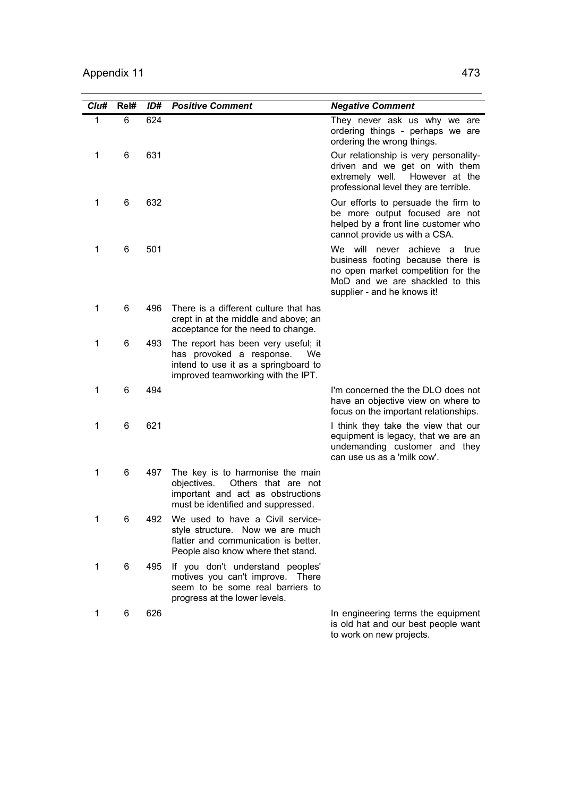| Clu#         | Rel# | ID# | <b>Positive Comment</b>                                                                                                                             | <b>Negative Comment</b>                                                                                                                                                               |
|--------------|------|-----|-----------------------------------------------------------------------------------------------------------------------------------------------------|---------------------------------------------------------------------------------------------------------------------------------------------------------------------------------------|
| $\mathbf{1}$ | 6    | 624 |                                                                                                                                                     | They never ask us why we are<br>ordering things - perhaps we are<br>ordering the wrong things.                                                                                        |
| 1            | 6    | 631 |                                                                                                                                                     | Our relationship is very personality-<br>driven and we get on with them<br>extremely well.<br>However at the<br>professional level they are terrible.                                 |
| 1            | 6    | 632 |                                                                                                                                                     | Our efforts to persuade the firm to<br>be more output focused are not<br>helped by a front line customer who<br>cannot provide us with a CSA.                                         |
| 1            | 6    | 501 |                                                                                                                                                     | We will<br>never<br>achieve<br>a<br>true<br>business footing because there is<br>no open market competition for the<br>MoD and we are shackled to this<br>supplier - and he knows it! |
| 1            | 6    | 496 | There is a different culture that has<br>crept in at the middle and above; an<br>acceptance for the need to change.                                 |                                                                                                                                                                                       |
| 1            | 6    | 493 | The report has been very useful; it<br>has provoked a response.<br>We<br>intend to use it as a springboard to<br>improved teamworking with the IPT. |                                                                                                                                                                                       |
| 1            | 6    | 494 |                                                                                                                                                     | I'm concerned the the DLO does not<br>have an objective view on where to<br>focus on the important relationships.                                                                     |
| 1            | 6    | 621 |                                                                                                                                                     | I think they take the view that our<br>equipment is legacy, that we are an<br>undemanding customer and they<br>can use us as a 'milk cow'.                                            |
| 1            | 6    | 497 | The key is to harmonise the main<br>Others that are not<br>objectives.<br>important and act as obstructions<br>must be identified and suppressed.   |                                                                                                                                                                                       |
|              | 6    | 492 | We used to have a Civil service-<br>style structure. Now we are much<br>flatter and communication is better.<br>People also know where thet stand.  |                                                                                                                                                                                       |
| 1            | 6    | 495 | If you don't understand peoples'<br>motives you can't improve. There<br>seem to be some real barriers to<br>progress at the lower levels.           |                                                                                                                                                                                       |
| 1            | 6    | 626 |                                                                                                                                                     | In engineering terms the equipment<br>is old hat and our best people want<br>to work on new projects.                                                                                 |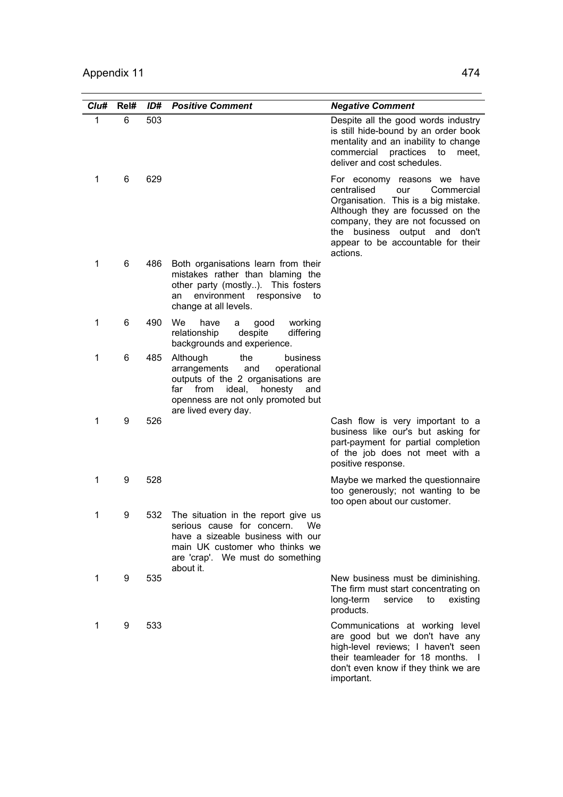| Clu# | Rel# | ID# | <b>Positive Comment</b>                                                                                                                                                                                          | <b>Negative Comment</b>                                                                                                                                                                                                                                              |
|------|------|-----|------------------------------------------------------------------------------------------------------------------------------------------------------------------------------------------------------------------|----------------------------------------------------------------------------------------------------------------------------------------------------------------------------------------------------------------------------------------------------------------------|
| 1    | 6    | 503 |                                                                                                                                                                                                                  | Despite all the good words industry<br>is still hide-bound by an order book<br>mentality and an inability to change<br>commercial practices to<br>meet.<br>deliver and cost schedules.                                                                               |
| 1    | 6    | 629 |                                                                                                                                                                                                                  | For economy reasons we have<br>centralised<br>Commercial<br>our<br>Organisation. This is a big mistake.<br>Although they are focussed on the<br>company, they are not focussed on<br>the business output and don't<br>appear to be accountable for their<br>actions. |
| 1    | 6    | 486 | Both organisations learn from their<br>mistakes rather than blaming the<br>other party (mostly). This fosters<br>environment responsive<br>to<br>an<br>change at all levels.                                     |                                                                                                                                                                                                                                                                      |
| 1    | 6    | 490 | We<br>have<br>good<br>working<br>a<br>relationship<br>despite<br>differing<br>backgrounds and experience.                                                                                                        |                                                                                                                                                                                                                                                                      |
| 1    | 6    | 485 | the<br>Although<br>business<br>arrangements<br>and<br>operational<br>outputs of the 2 organisations are<br>ideal,<br>honesty<br>far<br>from<br>and<br>openness are not only promoted but<br>are lived every day. |                                                                                                                                                                                                                                                                      |
| 1    | 9    | 526 |                                                                                                                                                                                                                  | Cash flow is very important to a<br>business like our's but asking for<br>part-payment for partial completion<br>of the job does not meet with a<br>positive response.                                                                                               |
| 1    | 9    | 528 |                                                                                                                                                                                                                  | Maybe we marked the questionnaire<br>too generously; not wanting to be<br>too open about our customer.                                                                                                                                                               |
| 1    | 9    | 532 | The situation in the report give us<br>serious cause for concern.<br>we<br>have a sizeable business with our<br>main UK customer who thinks we<br>are 'crap'. We must do something<br>about it.                  |                                                                                                                                                                                                                                                                      |
| 1    | 9    | 535 |                                                                                                                                                                                                                  | New business must be diminishing.<br>The firm must start concentrating on<br>long-term<br>existing<br>service<br>to<br>products.                                                                                                                                     |
| 1    | 9    | 533 |                                                                                                                                                                                                                  | Communications at working level<br>are good but we don't have any<br>high-level reviews; I haven't seen<br>their teamleader for 18 months. I<br>don't even know if they think we are<br>important.                                                                   |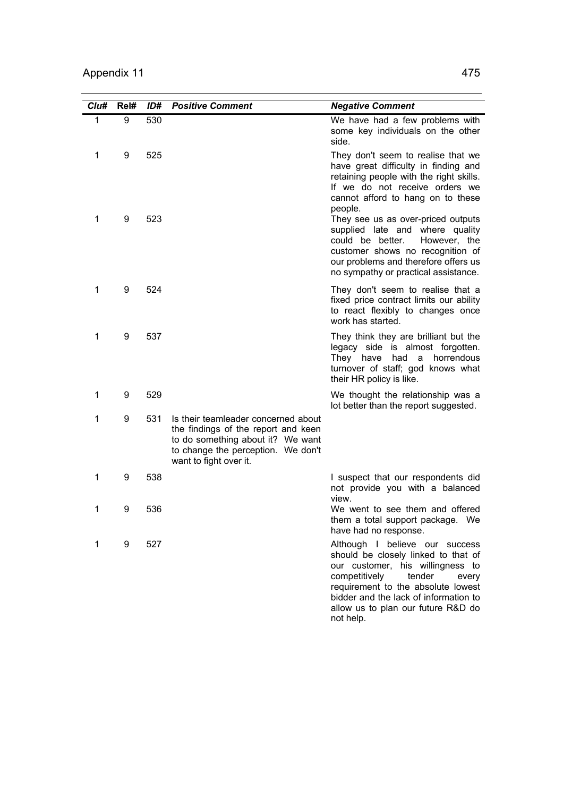| Clu#         | Rel# | ID# | <b>Positive Comment</b>                                                                                                                                                         | <b>Negative Comment</b>                                                                                                                                                                                                                                                         |
|--------------|------|-----|---------------------------------------------------------------------------------------------------------------------------------------------------------------------------------|---------------------------------------------------------------------------------------------------------------------------------------------------------------------------------------------------------------------------------------------------------------------------------|
| $\mathbf{1}$ | 9    | 530 |                                                                                                                                                                                 | We have had a few problems with<br>some key individuals on the other<br>side.                                                                                                                                                                                                   |
| 1            | 9    | 525 |                                                                                                                                                                                 | They don't seem to realise that we<br>have great difficulty in finding and<br>retaining people with the right skills.<br>If we do not receive orders we<br>cannot afford to hang on to these<br>people.                                                                         |
| 1            | 9    | 523 |                                                                                                                                                                                 | They see us as over-priced outputs<br>supplied late and where quality<br>could be better.<br>However, the<br>customer shows no recognition of<br>our problems and therefore offers us<br>no sympathy or practical assistance.                                                   |
| 1            | 9    | 524 |                                                                                                                                                                                 | They don't seem to realise that a<br>fixed price contract limits our ability<br>to react flexibly to changes once<br>work has started.                                                                                                                                          |
| 1            | 9    | 537 |                                                                                                                                                                                 | They think they are brilliant but the<br>legacy side is almost forgotten.<br>They have<br>had a<br>horrendous<br>turnover of staff; god knows what<br>their HR policy is like.                                                                                                  |
| 1            | 9    | 529 |                                                                                                                                                                                 | We thought the relationship was a<br>lot better than the report suggested.                                                                                                                                                                                                      |
| 1            | 9    | 531 | Is their teamleader concerned about<br>the findings of the report and keen<br>to do something about it? We want<br>to change the perception. We don't<br>want to fight over it. |                                                                                                                                                                                                                                                                                 |
| 1            | 9    | 538 |                                                                                                                                                                                 | I suspect that our respondents did<br>not provide you with a balanced<br>view.                                                                                                                                                                                                  |
| 1            | 9    | 536 |                                                                                                                                                                                 | We went to see them and offered<br>them a total support package. We<br>have had no response.                                                                                                                                                                                    |
| 1            | 9    | 527 |                                                                                                                                                                                 | Although I believe our success<br>should be closely linked to that of<br>our customer, his willingness to<br>competitively<br>tender<br>every<br>requirement to the absolute lowest<br>bidder and the lack of information to<br>allow us to plan our future R&D do<br>not help. |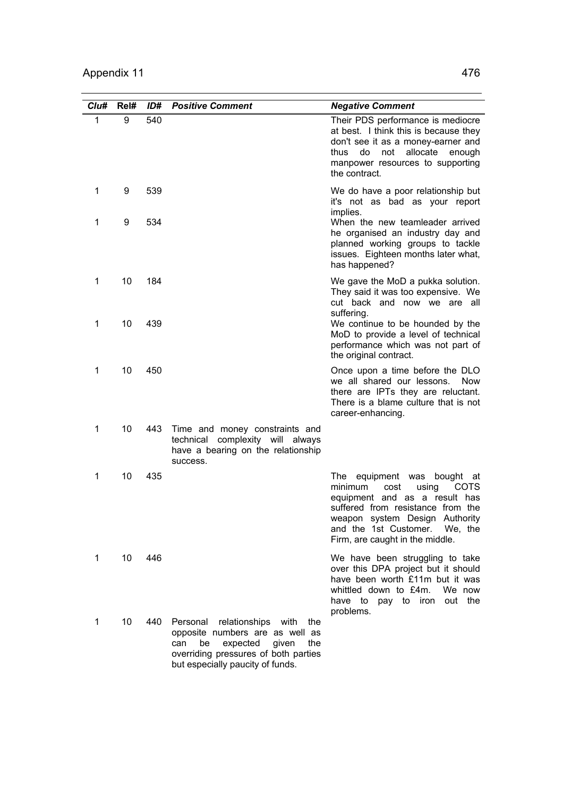| Clu#         | Rel#     | ID#        | <b>Positive Comment</b>                                                                                                                                                                          | <b>Negative Comment</b>                                                                                                                                                                                                                                  |
|--------------|----------|------------|--------------------------------------------------------------------------------------------------------------------------------------------------------------------------------------------------|----------------------------------------------------------------------------------------------------------------------------------------------------------------------------------------------------------------------------------------------------------|
| $\mathbf{1}$ | 9        | 540        |                                                                                                                                                                                                  | Their PDS performance is mediocre<br>at best. I think this is because they<br>don't see it as a money-earner and<br>allocate<br>thus<br>do<br>not<br>enough<br>manpower resources to supporting<br>the contract.                                         |
| 1            | 9        | 539        |                                                                                                                                                                                                  | We do have a poor relationship but<br>it's not as bad as your report<br>implies.                                                                                                                                                                         |
| 1            | 9        | 534        |                                                                                                                                                                                                  | When the new teamleader arrived<br>he organised an industry day and<br>planned working groups to tackle<br>issues. Eighteen months later what,<br>has happened?                                                                                          |
| 1<br>1       | 10<br>10 | 184<br>439 |                                                                                                                                                                                                  | We gave the MoD a pukka solution.<br>They said it was too expensive. We<br>cut back and now we are all<br>suffering.<br>We continue to be hounded by the                                                                                                 |
|              |          |            |                                                                                                                                                                                                  | MoD to provide a level of technical<br>performance which was not part of<br>the original contract.                                                                                                                                                       |
| 1            | 10       | 450        |                                                                                                                                                                                                  | Once upon a time before the DLO<br>we all shared our lessons.<br><b>Now</b><br>there are IPTs they are reluctant.<br>There is a blame culture that is not<br>career-enhancing.                                                                           |
| 1            | 10       | 443        | Time and money constraints and<br>technical complexity will always<br>have a bearing on the relationship<br>success.                                                                             |                                                                                                                                                                                                                                                          |
| 1            | 10       | 435        |                                                                                                                                                                                                  | The equipment was<br>bought at<br>minimum<br>cost<br><b>COTS</b><br>using<br>equipment and as a result has<br>suffered from resistance from the<br>weapon system Design Authority<br>and the 1st Customer.<br>We. the<br>Firm, are caught in the middle. |
| 1            | 10       | 446        |                                                                                                                                                                                                  | We have been struggling to take<br>over this DPA project but it should<br>have been worth £11m but it was<br>whittled down to £4m.<br>We now<br>have to<br>pay to iron<br>out the<br>problems.                                                           |
| 1            | 10       | 440        | Personal<br>relationships<br>with<br>the<br>opposite numbers are as well as<br>be<br>expected<br>given<br>can<br>the<br>overriding pressures of both parties<br>but especially paucity of funds. |                                                                                                                                                                                                                                                          |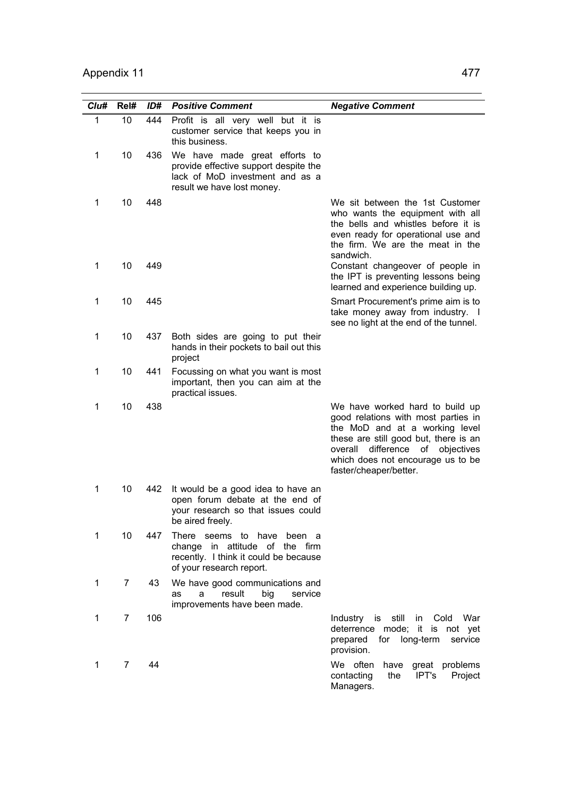| Cl <sub>u#</sub> | Rel#           | ID# | <b>Positive Comment</b>                                                                                                                 | <b>Negative Comment</b>                                                                                                                                                                                                                                 |
|------------------|----------------|-----|-----------------------------------------------------------------------------------------------------------------------------------------|---------------------------------------------------------------------------------------------------------------------------------------------------------------------------------------------------------------------------------------------------------|
| 1                | 10             | 444 | Profit is all very well but it is<br>customer service that keeps you in<br>this business.                                               |                                                                                                                                                                                                                                                         |
| 1                | 10             | 436 | We have made great efforts to<br>provide effective support despite the<br>lack of MoD investment and as a<br>result we have lost money. |                                                                                                                                                                                                                                                         |
| 1                | 10             | 448 |                                                                                                                                         | We sit between the 1st Customer<br>who wants the equipment with all<br>the bells and whistles before it is<br>even ready for operational use and<br>the firm. We are the meat in the<br>sandwich.                                                       |
| 1                | 10             | 449 |                                                                                                                                         | Constant changeover of people in<br>the IPT is preventing lessons being<br>learned and experience building up.                                                                                                                                          |
| 1                | 10             | 445 |                                                                                                                                         | Smart Procurement's prime aim is to<br>take money away from industry. I<br>see no light at the end of the tunnel.                                                                                                                                       |
| 1                | 10             | 437 | Both sides are going to put their<br>hands in their pockets to bail out this<br>project                                                 |                                                                                                                                                                                                                                                         |
| 1                | 10             | 441 | Focussing on what you want is most<br>important, then you can aim at the<br>practical issues.                                           |                                                                                                                                                                                                                                                         |
| 1                | 10             | 438 |                                                                                                                                         | We have worked hard to build up<br>good relations with most parties in<br>the MoD and at a working level<br>these are still good but, there is an<br>overall difference<br>of objectives<br>which does not encourage us to be<br>faster/cheaper/better. |
| 1                | 10             | 442 | It would be a good idea to have an<br>open forum debate at the end of<br>your research so that issues could<br>be aired freely.         |                                                                                                                                                                                                                                                         |
| 1                | 10             | 447 | There seems to have been a<br>change in attitude of the firm<br>recently. I think it could be because<br>of your research report.       |                                                                                                                                                                                                                                                         |
| 1                | $\overline{7}$ | 43  | We have good communications and<br>big<br>result<br>service<br>a<br>as<br>improvements have been made.                                  |                                                                                                                                                                                                                                                         |
| 1                | 7              | 106 |                                                                                                                                         | still<br>in Cold<br>War<br>Industry is<br>deterrence mode; it is not yet<br>for long-term<br>prepared<br>service<br>provision.                                                                                                                          |
| 1                | $\overline{7}$ | 44  |                                                                                                                                         | We often<br>have<br>great problems<br>contacting<br>the<br>IPT's<br>Project<br>Managers.                                                                                                                                                                |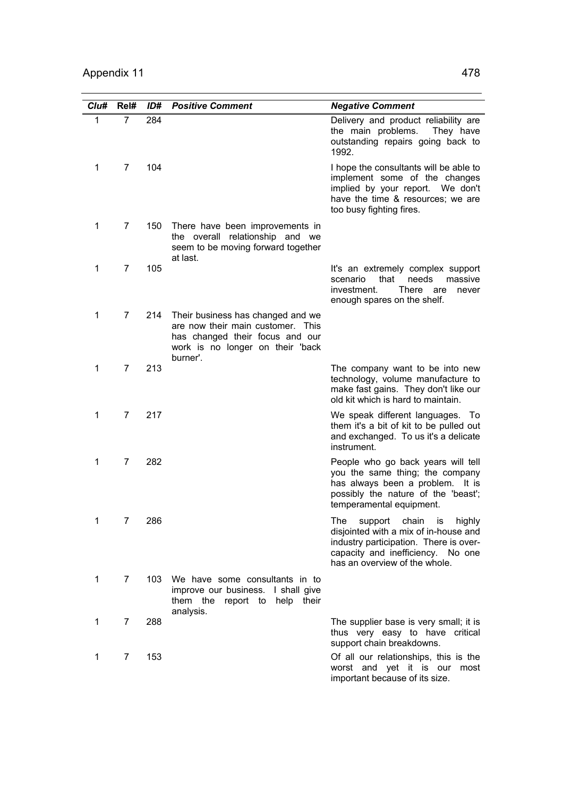| Clu#         | Rel#           | ID# | <b>Positive Comment</b>                                                                                                                                   | <b>Negative Comment</b>                                                                                                                                                                          |
|--------------|----------------|-----|-----------------------------------------------------------------------------------------------------------------------------------------------------------|--------------------------------------------------------------------------------------------------------------------------------------------------------------------------------------------------|
| $\mathbf{1}$ | $\overline{7}$ | 284 |                                                                                                                                                           | Delivery and product reliability are<br>the main problems.<br>They have<br>outstanding repairs going back to<br>1992.                                                                            |
| 1            | 7              | 104 |                                                                                                                                                           | I hope the consultants will be able to<br>implement some of the changes<br>implied by your report. We don't<br>have the time & resources; we are<br>too busy fighting fires.                     |
| 1            | $\overline{7}$ | 150 | There have been improvements in<br>the overall relationship and we<br>seem to be moving forward together<br>at last.                                      |                                                                                                                                                                                                  |
| 1            | $\overline{7}$ | 105 |                                                                                                                                                           | It's an extremely complex support<br>that needs<br>massive<br>scenario<br>There are<br>investment.<br>never<br>enough spares on the shelf.                                                       |
| 1            | $\overline{7}$ | 214 | Their business has changed and we<br>are now their main customer. This<br>has changed their focus and our<br>work is no longer on their 'back<br>burner'. |                                                                                                                                                                                                  |
| 1            | $\overline{7}$ | 213 |                                                                                                                                                           | The company want to be into new<br>technology, volume manufacture to<br>make fast gains. They don't like our<br>old kit which is hard to maintain.                                               |
| 1            | $\overline{7}$ | 217 |                                                                                                                                                           | We speak different languages. To<br>them it's a bit of kit to be pulled out<br>and exchanged. To us it's a delicate<br>instrument.                                                               |
| 1            | 7              | 282 |                                                                                                                                                           | People who go back years will tell<br>you the same thing; the company<br>has always been a problem. It is<br>possibly the nature of the 'beast';<br>temperamental equipment.                     |
| 1            | 7              | 286 |                                                                                                                                                           | support<br>highly<br>The<br>chain<br>is<br>disjointed with a mix of in-house and<br>industry participation. There is over-<br>capacity and inefficiency. No one<br>has an overview of the whole. |
| 1            | $\overline{7}$ | 103 | We have some consultants in to<br>improve our business. I shall give<br>them the<br>report to<br>help their<br>analysis.                                  |                                                                                                                                                                                                  |
| 1            | 7              | 288 |                                                                                                                                                           | The supplier base is very small; it is<br>thus very easy to have critical<br>support chain breakdowns.                                                                                           |
| 1            | 7              | 153 |                                                                                                                                                           | Of all our relationships, this is the<br>worst and yet it is our most<br>important because of its size.                                                                                          |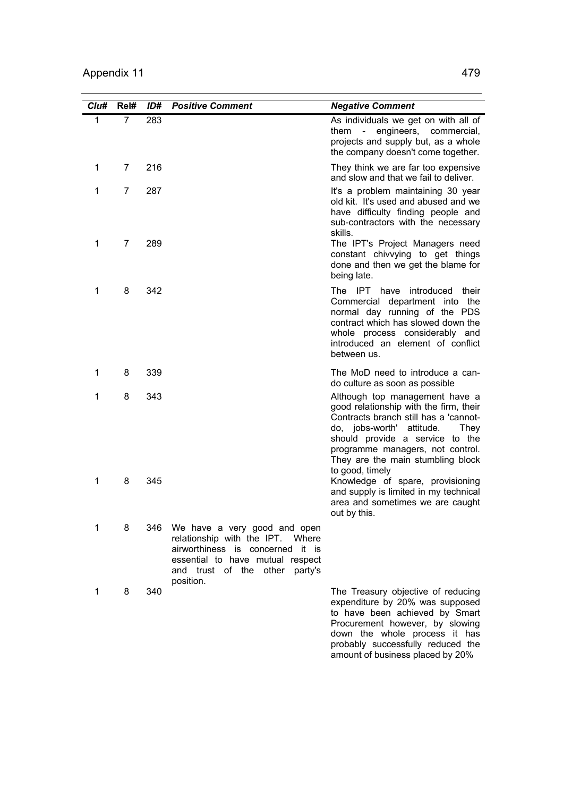| Clu#         | Rel#           | ID# | <b>Positive Comment</b>                                                                                                                                                                    | <b>Negative Comment</b>                                                                                                                                                                                                                                                                  |
|--------------|----------------|-----|--------------------------------------------------------------------------------------------------------------------------------------------------------------------------------------------|------------------------------------------------------------------------------------------------------------------------------------------------------------------------------------------------------------------------------------------------------------------------------------------|
| $\mathbf{1}$ | $\overline{7}$ | 283 |                                                                                                                                                                                            | As individuals we get on with all of<br>them - engineers, commercial,<br>projects and supply but, as a whole<br>the company doesn't come together.                                                                                                                                       |
| 1            | $\overline{7}$ | 216 |                                                                                                                                                                                            | They think we are far too expensive<br>and slow and that we fail to deliver.                                                                                                                                                                                                             |
| 1            | $\overline{7}$ | 287 |                                                                                                                                                                                            | It's a problem maintaining 30 year<br>old kit. It's used and abused and we<br>have difficulty finding people and<br>sub-contractors with the necessary<br>skills.                                                                                                                        |
| 1            | 7              | 289 |                                                                                                                                                                                            | The IPT's Project Managers need<br>constant chivvying to get things<br>done and then we get the blame for<br>being late.                                                                                                                                                                 |
| 1            | 8              | 342 |                                                                                                                                                                                            | The IPT have introduced their<br>Commercial department into the<br>normal day running of the PDS<br>contract which has slowed down the<br>whole process considerably and<br>introduced an element of conflict<br>between us.                                                             |
| 1            | 8              | 339 |                                                                                                                                                                                            | The MoD need to introduce a can-<br>do culture as soon as possible                                                                                                                                                                                                                       |
| 1            | 8              | 343 |                                                                                                                                                                                            | Although top management have a<br>good relationship with the firm, their<br>Contracts branch still has a 'cannot-<br>attitude.<br>do, jobs-worth'<br>They<br>should provide a service to the<br>programme managers, not control.<br>They are the main stumbling block<br>to good, timely |
| 1            | 8              | 345 |                                                                                                                                                                                            | Knowledge of spare, provisioning<br>and supply is limited in my technical<br>area and sometimes we are caught<br>out by this.                                                                                                                                                            |
| 1            | 8              | 346 | We have a very good and open<br>relationship with the IPT.<br>Where<br>airworthiness is concerned it is<br>essential to have mutual respect<br>and trust of the other party's<br>position. |                                                                                                                                                                                                                                                                                          |
| 1            | 8              | 340 |                                                                                                                                                                                            | The Treasury objective of reducing<br>expenditure by 20% was supposed<br>to have been achieved by Smart<br>Procurement however, by slowing<br>down the whole process it has                                                                                                              |

probably successfully reduced the amount of business placed by 20%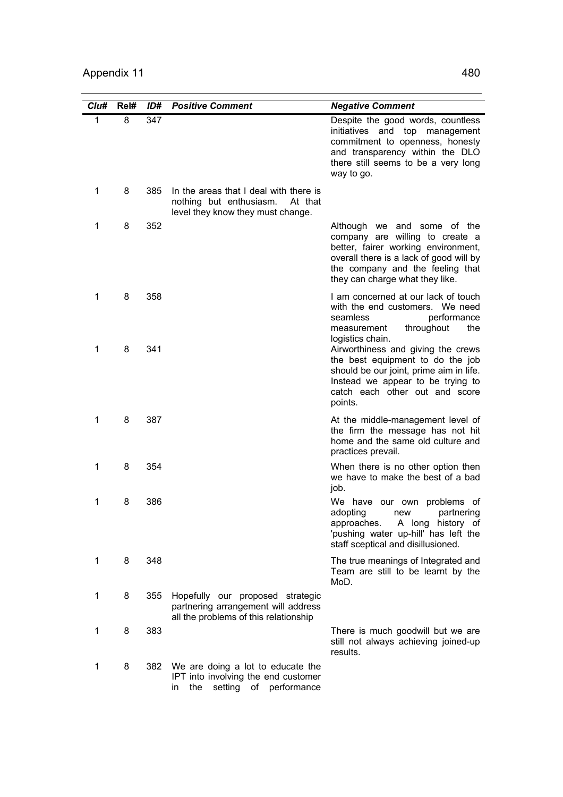| Clu#         | Rel# | ID# | <b>Positive Comment</b>                                                                                           | <b>Negative Comment</b>                                                                                                                                                                                                 |
|--------------|------|-----|-------------------------------------------------------------------------------------------------------------------|-------------------------------------------------------------------------------------------------------------------------------------------------------------------------------------------------------------------------|
| $\mathbf{1}$ | 8    | 347 |                                                                                                                   | Despite the good words, countless<br>initiatives and top management<br>commitment to openness, honesty<br>and transparency within the DLO<br>there still seems to be a very long<br>way to go.                          |
| 1            | 8    | 385 | In the areas that I deal with there is<br>nothing but enthusiasm.<br>At that<br>level they know they must change. |                                                                                                                                                                                                                         |
| 1            | 8    | 352 |                                                                                                                   | Although we and some of the<br>company are willing to create a<br>better, fairer working environment,<br>overall there is a lack of good will by<br>the company and the feeling that<br>they can charge what they like. |
| 1            | 8    | 358 |                                                                                                                   | I am concerned at our lack of touch<br>with the end customers. We need<br>seamless<br>performance<br>throughout<br>the<br>measurement<br>logistics chain.                                                               |
| 1            | 8    | 341 |                                                                                                                   | Airworthiness and giving the crews<br>the best equipment to do the job<br>should be our joint, prime aim in life.<br>Instead we appear to be trying to<br>catch each other out and score<br>points.                     |
| 1            | 8    | 387 |                                                                                                                   | At the middle-management level of<br>the firm the message has not hit<br>home and the same old culture and<br>practices prevail.                                                                                        |
| 1            | 8    | 354 |                                                                                                                   | When there is no other option then<br>we have to make the best of a bad<br>job.                                                                                                                                         |
| 1            | 8    | 386 |                                                                                                                   | We have our own<br>problems of<br>adopting<br>partnering<br>new<br>A long history of<br>approaches.<br>'pushing water up-hill' has left the<br>staff sceptical and disillusioned.                                       |
| 1            | 8    | 348 |                                                                                                                   | The true meanings of Integrated and<br>Team are still to be learnt by the<br>MoD.                                                                                                                                       |
| 1            | 8    | 355 | Hopefully our proposed strategic<br>partnering arrangement will address<br>all the problems of this relationship  |                                                                                                                                                                                                                         |
| 1            | 8    | 383 |                                                                                                                   | There is much goodwill but we are<br>still not always achieving joined-up<br>results.                                                                                                                                   |
| 1            | 8    | 382 | We are doing a lot to educate the<br>IPT into involving the end customer<br>setting of performance<br>the<br>in   |                                                                                                                                                                                                                         |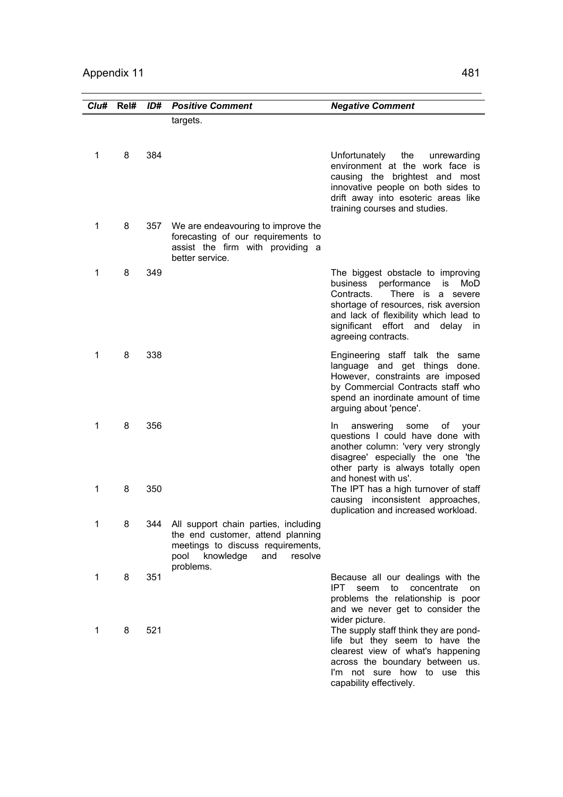| Clu# | Rel# | ID# | <b>Positive Comment</b>                                                                                                                                            | <b>Negative Comment</b>                                                                                                                                                                                                                                 |
|------|------|-----|--------------------------------------------------------------------------------------------------------------------------------------------------------------------|---------------------------------------------------------------------------------------------------------------------------------------------------------------------------------------------------------------------------------------------------------|
|      |      |     | targets.                                                                                                                                                           |                                                                                                                                                                                                                                                         |
| 1    | 8    | 384 |                                                                                                                                                                    | Unfortunately<br>the<br>unrewarding<br>environment at the work face is<br>causing the brightest and most<br>innovative people on both sides to<br>drift away into esoteric areas like<br>training courses and studies.                                  |
| 1    | 8    | 357 | We are endeavouring to improve the<br>forecasting of our requirements to<br>assist the firm with providing a<br>better service.                                    |                                                                                                                                                                                                                                                         |
| 1    | 8    | 349 |                                                                                                                                                                    | The biggest obstacle to improving<br>performance<br>business<br>is<br>MoD<br>There is a severe<br>Contracts.<br>shortage of resources, risk aversion<br>and lack of flexibility which lead to<br>significant effort and delay in<br>agreeing contracts. |
| 1    | 8    | 338 |                                                                                                                                                                    | Engineering staff talk the same<br>language and get things done.<br>However, constraints are imposed<br>by Commercial Contracts staff who<br>spend an inordinate amount of time<br>arguing about 'pence'.                                               |
| 1    | 8    | 356 |                                                                                                                                                                    | answering<br>In.<br>some<br>of<br>your<br>questions I could have done with<br>another column: 'very very strongly<br>disagree' especially the one 'the<br>other party is always totally open<br>and honest with us'.                                    |
| 1    | 8    | 350 |                                                                                                                                                                    | The IPT has a high turnover of staff<br>causing inconsistent approaches,<br>duplication and increased workload.                                                                                                                                         |
| 1    | 8    | 344 | All support chain parties, including<br>the end customer, attend planning<br>meetings to discuss requirements,<br>knowledge<br>pool<br>and<br>resolve<br>problems. |                                                                                                                                                                                                                                                         |
| 1    | 8    | 351 |                                                                                                                                                                    | Because all our dealings with the<br>IPT.<br>concentrate<br>seem<br>to<br>on<br>problems the relationship is poor<br>and we never get to consider the<br>wider picture.                                                                                 |
| 1    | 8    | 521 |                                                                                                                                                                    | The supply staff think they are pond-<br>life but they seem to have the<br>clearest view of what's happening<br>across the boundary between us.<br>I'm not sure how to use this<br>capability effectively.                                              |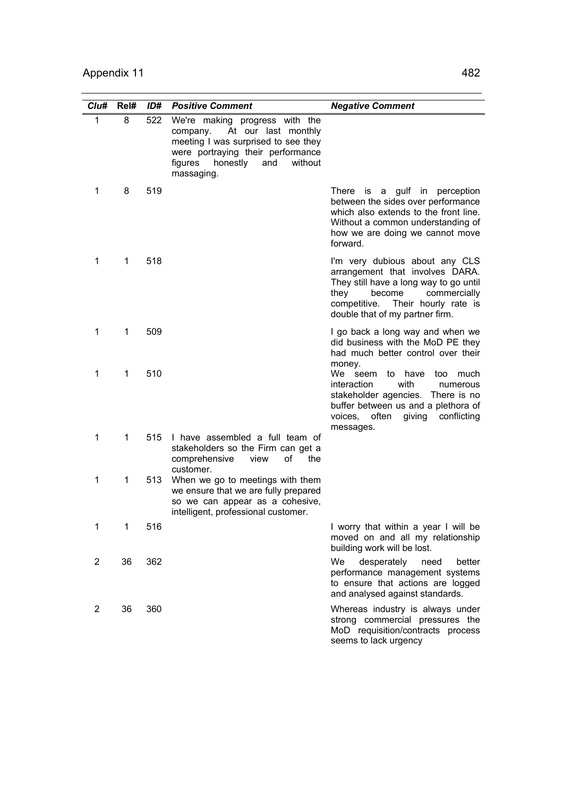| Clu#           | Rel#        | ID# | <b>Positive Comment</b>                                                                                                                                                                           | <b>Negative Comment</b>                                                                                                                                                                                                  |
|----------------|-------------|-----|---------------------------------------------------------------------------------------------------------------------------------------------------------------------------------------------------|--------------------------------------------------------------------------------------------------------------------------------------------------------------------------------------------------------------------------|
| $\mathbf{1}$   | 8           | 522 | We're making progress with the<br>company. At our last monthly<br>meeting I was surprised to see they<br>were portraying their performance<br>figures<br>honestly<br>without<br>and<br>massaging. |                                                                                                                                                                                                                          |
| 1              | 8           | 519 |                                                                                                                                                                                                   | There is a gulf in perception<br>between the sides over performance<br>which also extends to the front line.<br>Without a common understanding of<br>how we are doing we cannot move<br>forward.                         |
| 1              | $\mathbf 1$ | 518 |                                                                                                                                                                                                   | I'm very dubious about any CLS<br>arrangement that involves DARA.<br>They still have a long way to go until<br>become<br>commercially<br>they<br>competitive.<br>Their hourly rate is<br>double that of my partner firm. |
| 1              | 1           | 509 |                                                                                                                                                                                                   | I go back a long way and when we<br>did business with the MoD PE they<br>had much better control over their<br>money.                                                                                                    |
| 1              | 1           | 510 |                                                                                                                                                                                                   | We seem<br>to<br>have<br>too<br>much<br>interaction<br>with<br>numerous<br>stakeholder agencies. There is no<br>buffer between us and a plethora of<br>often<br>giving<br>conflicting<br>voices,<br>messages.            |
| 1              | 1           | 515 | I have assembled a full team of<br>stakeholders so the Firm can get a<br>comprehensive<br>view<br>οf<br>the<br>customer.                                                                          |                                                                                                                                                                                                                          |
| 1              | 1           | 513 | When we go to meetings with them<br>we ensure that we are fully prepared<br>so we can appear as a cohesive,<br>intelligent, professional customer.                                                |                                                                                                                                                                                                                          |
| 1              | 1           | 516 |                                                                                                                                                                                                   | I worry that within a year I will be<br>moved on and all my relationship<br>building work will be lost.                                                                                                                  |
| $\overline{2}$ | 36          | 362 |                                                                                                                                                                                                   | We<br>desperately<br>need<br>better<br>performance management systems<br>to ensure that actions are logged<br>and analysed against standards.                                                                            |
| 2              | 36          | 360 |                                                                                                                                                                                                   | Whereas industry is always under<br>strong commercial pressures the<br>MoD requisition/contracts process<br>seems to lack urgency                                                                                        |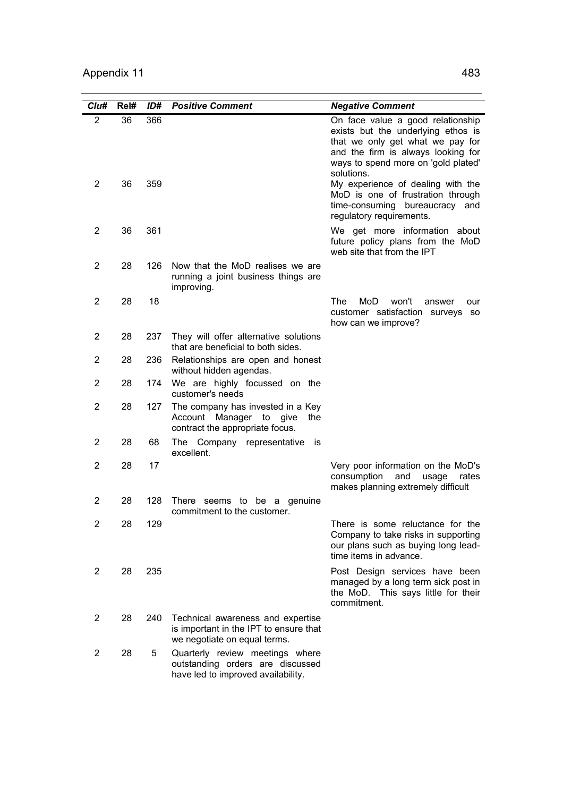| Clu#           | Rel# | ID# | <b>Positive Comment</b>                                                                                     | <b>Negative Comment</b>                                                                                                                                                                                |
|----------------|------|-----|-------------------------------------------------------------------------------------------------------------|--------------------------------------------------------------------------------------------------------------------------------------------------------------------------------------------------------|
| $\overline{2}$ | 36   | 366 |                                                                                                             | On face value a good relationship<br>exists but the underlying ethos is<br>that we only get what we pay for<br>and the firm is always looking for<br>ways to spend more on 'gold plated'<br>solutions. |
| 2              | 36   | 359 |                                                                                                             | My experience of dealing with the<br>MoD is one of frustration through<br>time-consuming bureaucracy and<br>regulatory requirements.                                                                   |
| $\overline{2}$ | 36   | 361 |                                                                                                             | We get more information about<br>future policy plans from the MoD<br>web site that from the IPT                                                                                                        |
| $\overline{2}$ | 28   | 126 | Now that the MoD realises we are<br>running a joint business things are<br>improving.                       |                                                                                                                                                                                                        |
| 2              | 28   | 18  |                                                                                                             | The<br>MoD<br>won't<br>answer<br>our<br>customer satisfaction surveys so<br>how can we improve?                                                                                                        |
| $\overline{2}$ | 28   | 237 | They will offer alternative solutions<br>that are beneficial to both sides.                                 |                                                                                                                                                                                                        |
| $\overline{2}$ | 28   | 236 | Relationships are open and honest<br>without hidden agendas.                                                |                                                                                                                                                                                                        |
| 2              | 28   | 174 | We are highly focussed on the<br>customer's needs                                                           |                                                                                                                                                                                                        |
| 2              | 28   | 127 | The company has invested in a Key<br>Account Manager to give<br>the<br>contract the appropriate focus.      |                                                                                                                                                                                                        |
| 2              | 28   | 68  | The Company representative<br>İS<br>excellent.                                                              |                                                                                                                                                                                                        |
| 2              | 28   | 17  |                                                                                                             | Very poor information on the MoD's<br>consumption<br>and<br>usage<br>rates<br>makes planning extremely difficult                                                                                       |
| 2              | 28   | 128 | There seems<br>to be a genuine<br>commitment to the customer.                                               |                                                                                                                                                                                                        |
| 2              | 28   | 129 |                                                                                                             | There is some reluctance for the<br>Company to take risks in supporting<br>our plans such as buying long lead-<br>time items in advance.                                                               |
| $\overline{2}$ | 28   | 235 |                                                                                                             | Post Design services have been<br>managed by a long term sick post in<br>the MoD. This says little for their<br>commitment.                                                                            |
| 2              | 28   | 240 | Technical awareness and expertise<br>is important in the IPT to ensure that<br>we negotiate on equal terms. |                                                                                                                                                                                                        |
| 2              | 28   | 5   | Quarterly review meetings where<br>outstanding orders are discussed<br>have led to improved availability.   |                                                                                                                                                                                                        |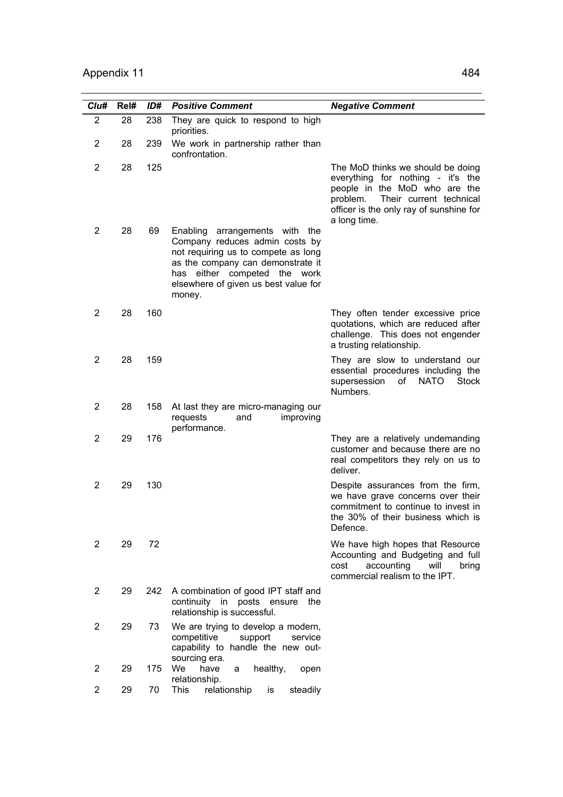| Cl <sub>u#</sub>        | Rel# | ID# | <b>Positive Comment</b>                                                                                                                                                                                                           | <b>Negative Comment</b>                                                                                                                                                                                   |
|-------------------------|------|-----|-----------------------------------------------------------------------------------------------------------------------------------------------------------------------------------------------------------------------------------|-----------------------------------------------------------------------------------------------------------------------------------------------------------------------------------------------------------|
| $\overline{2}$          | 28   | 238 | They are quick to respond to high<br>priorities.                                                                                                                                                                                  |                                                                                                                                                                                                           |
| 2                       | 28   | 239 | We work in partnership rather than<br>confrontation.                                                                                                                                                                              |                                                                                                                                                                                                           |
| 2                       | 28   | 125 |                                                                                                                                                                                                                                   | The MoD thinks we should be doing<br>everything for nothing - it's the<br>people in the MoD who are the<br>Their current technical<br>problem.<br>officer is the only ray of sunshine for<br>a long time. |
| 2                       | 28   | 69  | Enabling<br>arrangements with the<br>Company reduces admin costs by<br>not requiring us to compete as long<br>as the company can demonstrate it<br>has either competed the work<br>elsewhere of given us best value for<br>money. |                                                                                                                                                                                                           |
| 2                       | 28   | 160 |                                                                                                                                                                                                                                   | They often tender excessive price<br>quotations, which are reduced after<br>challenge. This does not engender<br>a trusting relationship.                                                                 |
| $\overline{2}$          | 28   | 159 |                                                                                                                                                                                                                                   | They are slow to understand our<br>essential procedures including the<br>supersession<br>οf<br><b>NATO</b><br>Stock<br>Numbers.                                                                           |
| 2                       | 28   | 158 | At last they are micro-managing our<br>requests<br>and<br>improving<br>performance.                                                                                                                                               |                                                                                                                                                                                                           |
| 2                       | 29   | 176 |                                                                                                                                                                                                                                   | They are a relatively undemanding<br>customer and because there are no<br>real competitors they rely on us to<br>deliver.                                                                                 |
| 2                       | 29   | 130 |                                                                                                                                                                                                                                   | Despite assurances from the firm,<br>we have grave concerns over their<br>commitment to continue to invest in<br>the 30% of their business which is<br>Defence.                                           |
| 2                       | 29   | 72  |                                                                                                                                                                                                                                   | We have high hopes that Resource<br>Accounting and Budgeting and full<br>accounting<br>cost<br>will<br>bring<br>commercial realism to the IPT.                                                            |
| 2                       | 29   | 242 | A combination of good IPT staff and<br>continuity in posts ensure<br>the<br>relationship is successful.                                                                                                                           |                                                                                                                                                                                                           |
| $\overline{\mathbf{c}}$ | 29   | 73  | We are trying to develop a modern,<br>competitive<br>support<br>service<br>capability to handle the new out-<br>sourcing era.                                                                                                     |                                                                                                                                                                                                           |
| $\overline{\mathbf{c}}$ | 29   | 175 | have<br>healthy,<br>We<br>a<br>open<br>relationship.                                                                                                                                                                              |                                                                                                                                                                                                           |
| 2                       | 29   | 70  | relationship<br>This<br>is<br>steadily                                                                                                                                                                                            |                                                                                                                                                                                                           |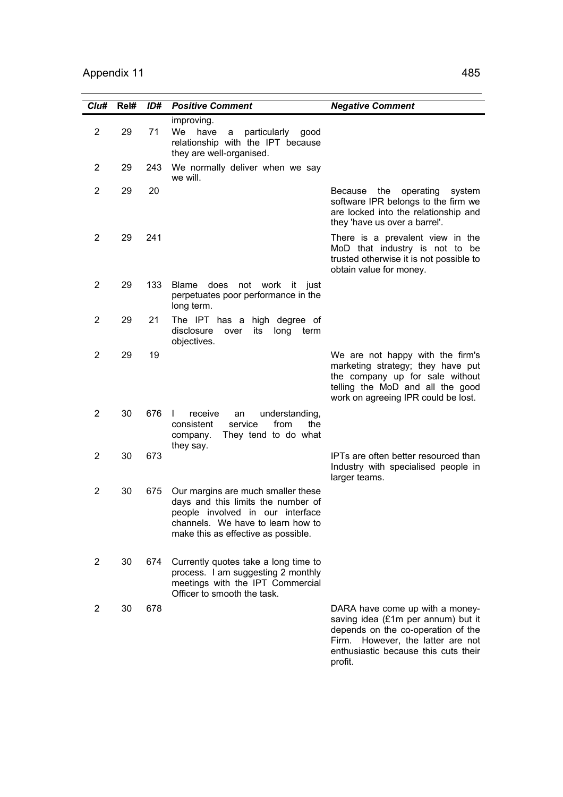| Cl <sub>u#</sub> | Rel# | ID# | <b>Positive Comment</b>                                                                                                                                                                  | <b>Negative Comment</b>                                                                                                                                                                     |
|------------------|------|-----|------------------------------------------------------------------------------------------------------------------------------------------------------------------------------------------|---------------------------------------------------------------------------------------------------------------------------------------------------------------------------------------------|
| $\overline{2}$   | 29   | 71  | improving.<br>We<br>have<br>particularly<br>a<br>good<br>relationship with the IPT because<br>they are well-organised.                                                                   |                                                                                                                                                                                             |
| 2                | 29   | 243 | We normally deliver when we say<br>we will.                                                                                                                                              |                                                                                                                                                                                             |
| 2                | 29   | 20  |                                                                                                                                                                                          | Because<br>the<br>operating<br>system<br>software IPR belongs to the firm we<br>are locked into the relationship and<br>they 'have us over a barrel'.                                       |
| 2                | 29   | 241 |                                                                                                                                                                                          | There is a prevalent view in the<br>MoD that industry is not to be<br>trusted otherwise it is not possible to<br>obtain value for money.                                                    |
| 2                | 29   | 133 | does<br><b>Blame</b><br>not work it just<br>perpetuates poor performance in the<br>long term.                                                                                            |                                                                                                                                                                                             |
| 2                | 29   | 21  | The IPT has a high degree of<br>disclosure<br>its<br>long<br>over<br>term<br>objectives.                                                                                                 |                                                                                                                                                                                             |
| 2                | 29   | 19  |                                                                                                                                                                                          | We are not happy with the firm's<br>marketing strategy; they have put<br>the company up for sale without<br>telling the MoD and all the good<br>work on agreeing IPR could be lost.         |
| 2                | 30   | 676 | receive<br>$\mathbf{I}$<br>understanding,<br>an<br>from<br>consistent<br>service<br>the<br>company.<br>They tend to do what<br>they say.                                                 |                                                                                                                                                                                             |
| $\overline{2}$   | 30   | 673 |                                                                                                                                                                                          | IPTs are often better resourced than<br>Industry with specialised people in<br>larger teams.                                                                                                |
| 2                | 30   | 675 | Our margins are much smaller these<br>days and this limits the number of<br>people involved in our interface<br>channels. We have to learn how to<br>make this as effective as possible. |                                                                                                                                                                                             |
| $\overline{c}$   | 30   | 674 | Currently quotes take a long time to<br>process. I am suggesting 2 monthly<br>meetings with the IPT Commercial<br>Officer to smooth the task.                                            |                                                                                                                                                                                             |
| 2                | 30   | 678 |                                                                                                                                                                                          | DARA have come up with a money-<br>saving idea (£1m per annum) but it<br>depends on the co-operation of the<br>However, the latter are not<br>Firm.<br>anthueigetia hogauso this qute thoir |

enthusiastic because this cuts their

profit.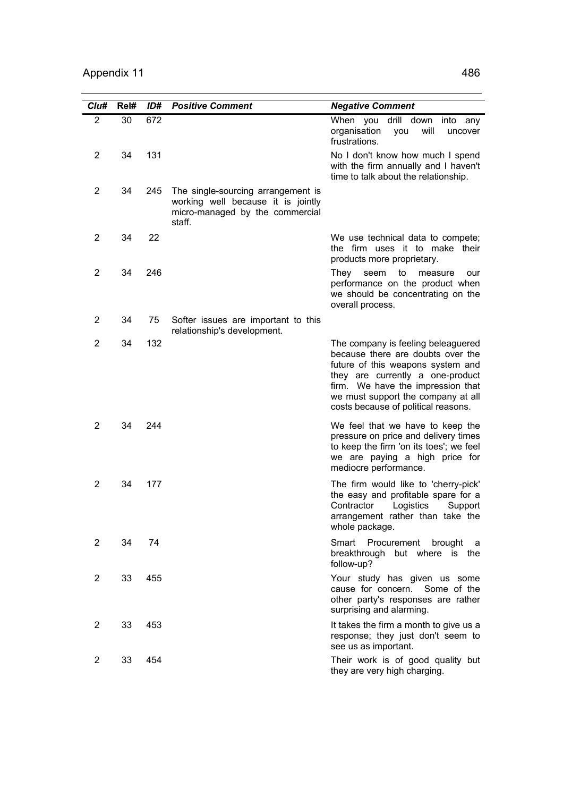| Clu#           | Rel# | ID# | <b>Positive Comment</b>                                                                                               | <b>Negative Comment</b>                                                                                                                                                                                                                                            |
|----------------|------|-----|-----------------------------------------------------------------------------------------------------------------------|--------------------------------------------------------------------------------------------------------------------------------------------------------------------------------------------------------------------------------------------------------------------|
| $\overline{2}$ | 30   | 672 |                                                                                                                       | When you drill<br>down<br>into any<br>organisation<br>will<br>you<br>uncover<br>frustrations.                                                                                                                                                                      |
| $\overline{2}$ | 34   | 131 |                                                                                                                       | No I don't know how much I spend<br>with the firm annually and I haven't<br>time to talk about the relationship.                                                                                                                                                   |
| 2              | 34   | 245 | The single-sourcing arrangement is<br>working well because it is jointly<br>micro-managed by the commercial<br>staff. |                                                                                                                                                                                                                                                                    |
| $\overline{2}$ | 34   | 22  |                                                                                                                       | We use technical data to compete;<br>the firm uses it to make their<br>products more proprietary.                                                                                                                                                                  |
| 2              | 34   | 246 |                                                                                                                       | to<br>They<br>seem<br>measure<br>our<br>performance on the product when<br>we should be concentrating on the<br>overall process.                                                                                                                                   |
| 2              | 34   | 75  | Softer issues are important to this<br>relationship's development.                                                    |                                                                                                                                                                                                                                                                    |
| 2              | 34   | 132 |                                                                                                                       | The company is feeling beleaguered<br>because there are doubts over the<br>future of this weapons system and<br>they are currently a one-product<br>firm. We have the impression that<br>we must support the company at all<br>costs because of political reasons. |
| $\overline{2}$ | 34   | 244 |                                                                                                                       | We feel that we have to keep the<br>pressure on price and delivery times<br>to keep the firm 'on its toes'; we feel<br>we are paying a high price for<br>mediocre performance.                                                                                     |
| 2              | 34   | 177 |                                                                                                                       | The firm would like to 'cherry-pick'<br>the easy and profitable spare for a<br>Contractor<br>Logistics<br>Support<br>arrangement rather than take the<br>whole package.                                                                                            |
| $\overline{2}$ | 34   | 74  |                                                                                                                       | Smart Procurement brought a<br>breakthrough but where is the<br>follow-up?                                                                                                                                                                                         |
| 2              | 33   | 455 |                                                                                                                       | Your study has given us some<br>cause for concern.<br>Some of the<br>other party's responses are rather<br>surprising and alarming.                                                                                                                                |
| $\overline{2}$ | 33   | 453 |                                                                                                                       | It takes the firm a month to give us a<br>response; they just don't seem to<br>see us as important.                                                                                                                                                                |
| $\overline{2}$ | 33   | 454 |                                                                                                                       | Their work is of good quality but<br>they are very high charging.                                                                                                                                                                                                  |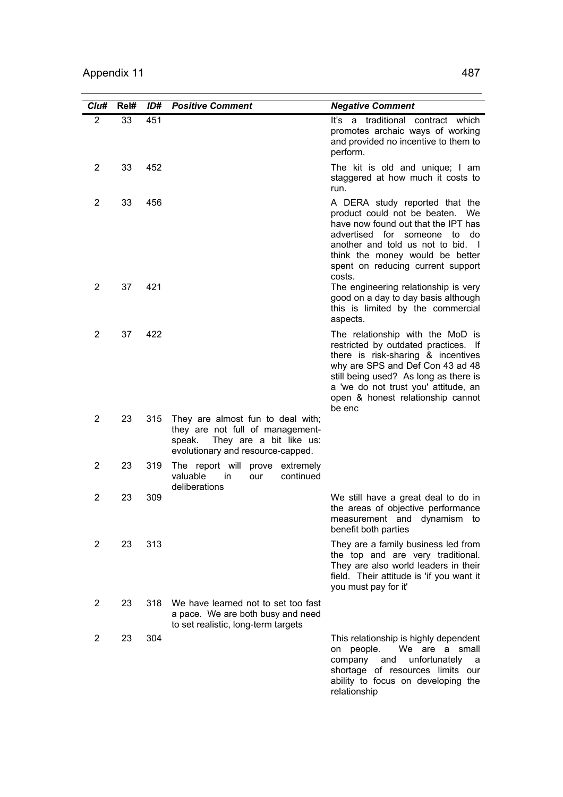| Clu#           | Rel# | ID# | <b>Positive Comment</b>                                                                                                                         | <b>Negative Comment</b>                                                                                                                                                                                                                                                            |
|----------------|------|-----|-------------------------------------------------------------------------------------------------------------------------------------------------|------------------------------------------------------------------------------------------------------------------------------------------------------------------------------------------------------------------------------------------------------------------------------------|
| $\overline{2}$ | 33   | 451 |                                                                                                                                                 | It's a traditional contract which<br>promotes archaic ways of working<br>and provided no incentive to them to<br>perform.                                                                                                                                                          |
| 2              | 33   | 452 |                                                                                                                                                 | The kit is old and unique; I am<br>staggered at how much it costs to<br>run.                                                                                                                                                                                                       |
| 2              | 33   | 456 |                                                                                                                                                 | A DERA study reported that the<br>product could not be beaten. We<br>have now found out that the IPT has<br>advertised for someone to<br>do<br>another and told us not to bid. I<br>think the money would be better<br>spent on reducing current support<br>costs.                 |
| 2              | 37   | 421 |                                                                                                                                                 | The engineering relationship is very<br>good on a day to day basis although<br>this is limited by the commercial<br>aspects.                                                                                                                                                       |
| 2              | 37   | 422 |                                                                                                                                                 | The relationship with the MoD is<br>restricted by outdated practices. If<br>there is risk-sharing & incentives<br>why are SPS and Def Con 43 ad 48<br>still being used? As long as there is<br>a 'we do not trust you' attitude, an<br>open & honest relationship cannot<br>be enc |
| 2              | 23   | 315 | They are almost fun to deal with;<br>they are not full of management-<br>They are a bit like us:<br>speak.<br>evolutionary and resource-capped. |                                                                                                                                                                                                                                                                                    |
| 2              | 23   | 319 | The report will prove<br>extremely<br>valuable<br>continued<br>in.<br>our<br>deliberations                                                      |                                                                                                                                                                                                                                                                                    |
| 2              | 23   | 309 |                                                                                                                                                 | We still have a great deal to do in<br>the areas of objective performance<br>measurement and dynamism to<br>benefit both parties                                                                                                                                                   |
| 2              | 23   | 313 |                                                                                                                                                 | They are a family business led from<br>the top and are very traditional.<br>They are also world leaders in their<br>field. Their attitude is 'if you want it<br>you must pay for it'                                                                                               |
| 2              | 23   | 318 | We have learned not to set too fast<br>a pace. We are both busy and need<br>to set realistic, long-term targets                                 |                                                                                                                                                                                                                                                                                    |
| 2              | 23   | 304 |                                                                                                                                                 | This relationship is highly dependent<br>We are a small<br>on people.<br>unfortunately<br>company<br>and<br>a<br>shortage of resources limits our<br>ability to focus on developing the<br>relationship                                                                            |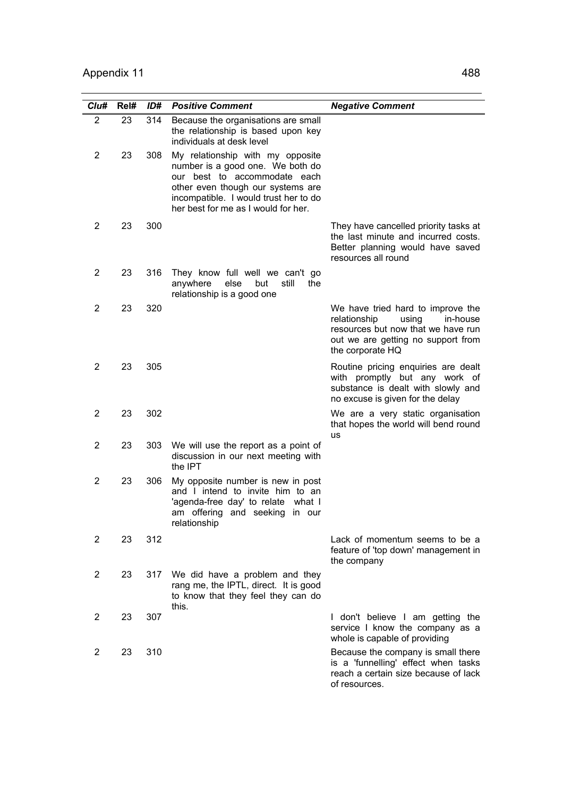| Cl <sub>u#</sub> | Rel# | ID# | <b>Positive Comment</b>                                                                                                                                                                                                   | <b>Negative Comment</b>                                                                                                                                                |
|------------------|------|-----|---------------------------------------------------------------------------------------------------------------------------------------------------------------------------------------------------------------------------|------------------------------------------------------------------------------------------------------------------------------------------------------------------------|
| $\overline{c}$   | 23   | 314 | Because the organisations are small<br>the relationship is based upon key<br>individuals at desk level                                                                                                                    |                                                                                                                                                                        |
| $\overline{2}$   | 23   | 308 | My relationship with my opposite<br>number is a good one. We both do<br>our best to accommodate each<br>other even though our systems are<br>incompatible. I would trust her to do<br>her best for me as I would for her. |                                                                                                                                                                        |
| 2                | 23   | 300 |                                                                                                                                                                                                                           | They have cancelled priority tasks at<br>the last minute and incurred costs.<br>Better planning would have saved<br>resources all round                                |
| 2                | 23   | 316 | They know full well we can't go<br>still<br>anywhere<br>else<br>but<br>the<br>relationship is a good one                                                                                                                  |                                                                                                                                                                        |
| 2                | 23   | 320 |                                                                                                                                                                                                                           | We have tried hard to improve the<br>relationship<br>using<br>in-house<br>resources but now that we have run<br>out we are getting no support from<br>the corporate HQ |
| 2                | 23   | 305 |                                                                                                                                                                                                                           | Routine pricing enquiries are dealt<br>with promptly but any work of<br>substance is dealt with slowly and<br>no excuse is given for the delay                         |
| 2                | 23   | 302 |                                                                                                                                                                                                                           | We are a very static organisation<br>that hopes the world will bend round<br>us                                                                                        |
| 2                | 23   | 303 | We will use the report as a point of<br>discussion in our next meeting with<br>the IPT                                                                                                                                    |                                                                                                                                                                        |
| 2                | 23   | 306 | My opposite number is new in post<br>and I intend to invite him to an<br>'agenda-free day' to relate what I<br>am offering and seeking<br>in our<br>relationship                                                          |                                                                                                                                                                        |
| $\overline{2}$   | 23   | 312 |                                                                                                                                                                                                                           | Lack of momentum seems to be a<br>feature of 'top down' management in<br>the company                                                                                   |
| $\overline{c}$   | 23   | 317 | We did have a problem and they<br>rang me, the IPTL, direct. It is good<br>to know that they feel they can do<br>this.                                                                                                    |                                                                                                                                                                        |
| $\overline{2}$   | 23   | 307 |                                                                                                                                                                                                                           | I don't believe I am getting the<br>service I know the company as a<br>whole is capable of providing                                                                   |
| 2                | 23   | 310 |                                                                                                                                                                                                                           | Because the company is small there<br>is a 'funnelling' effect when tasks<br>reach a certain size because of lack<br>of resources.                                     |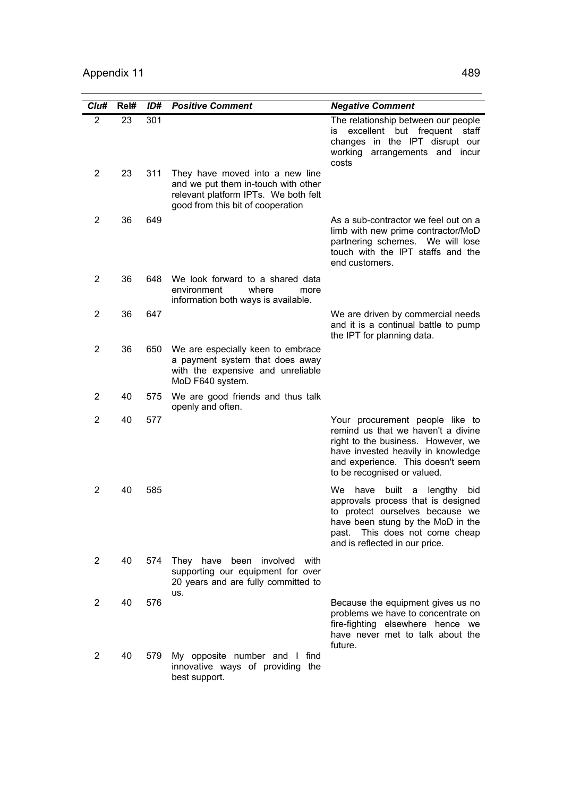| Clu#           | Rel# | ID# | <b>Positive Comment</b>                                                                                                                             | <b>Negative Comment</b>                                                                                                                                                                                                      |
|----------------|------|-----|-----------------------------------------------------------------------------------------------------------------------------------------------------|------------------------------------------------------------------------------------------------------------------------------------------------------------------------------------------------------------------------------|
| 2              | 23   | 301 |                                                                                                                                                     | The relationship between our people<br>excellent but frequent<br>staff<br>İS.<br>changes in the IPT disrupt our<br>working<br>arrangements and incur<br>costs                                                                |
| $\overline{2}$ | 23   | 311 | They have moved into a new line<br>and we put them in-touch with other<br>relevant platform IPTs. We both felt<br>good from this bit of cooperation |                                                                                                                                                                                                                              |
| $\overline{2}$ | 36   | 649 |                                                                                                                                                     | As a sub-contractor we feel out on a<br>limb with new prime contractor/MoD<br>partnering schemes. We will lose<br>touch with the IPT staffs and the<br>end customers.                                                        |
| 2              | 36   | 648 | We look forward to a shared data<br>environment<br>where<br>more<br>information both ways is available.                                             |                                                                                                                                                                                                                              |
| 2              | 36   | 647 |                                                                                                                                                     | We are driven by commercial needs<br>and it is a continual battle to pump<br>the IPT for planning data.                                                                                                                      |
| 2              | 36   | 650 | We are especially keen to embrace<br>a payment system that does away<br>with the expensive and unreliable<br>MoD F640 system.                       |                                                                                                                                                                                                                              |
| $\overline{2}$ | 40   | 575 | We are good friends and thus talk<br>openly and often.                                                                                              |                                                                                                                                                                                                                              |
| $\overline{2}$ | 40   | 577 |                                                                                                                                                     | Your procurement people like to<br>remind us that we haven't a divine<br>right to the business. However, we<br>have invested heavily in knowledge<br>and experience. This doesn't seem<br>to be recognised or valued.        |
| 2              | 40   | 585 |                                                                                                                                                     | We<br>have<br>built<br>a<br>lengthy<br>bid<br>approvals process that is designed<br>to protect ourselves because we<br>have been stung by the MoD in the<br>past. This does not come cheap<br>and is reflected in our price. |
| $\overline{2}$ | 40   | 574 | They have been involved with<br>supporting our equipment for over<br>20 years and are fully committed to<br>us.                                     |                                                                                                                                                                                                                              |
| 2              | 40   | 576 |                                                                                                                                                     | Because the equipment gives us no<br>problems we have to concentrate on<br>fire-fighting elsewhere hence we<br>have never met to talk about the<br>future.                                                                   |
| $\overline{2}$ | 40   | 579 | My opposite number and I find<br>innovative ways of providing the<br>best support.                                                                  |                                                                                                                                                                                                                              |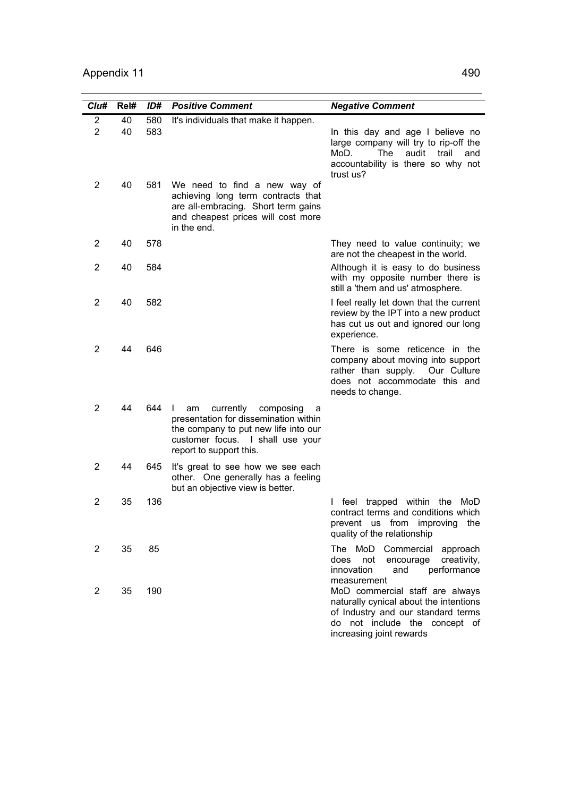| Clu#                | Rel#     | ID#        | <b>Positive Comment</b>                                                                                                                                                                | <b>Negative Comment</b>                                                                                                                                                      |
|---------------------|----------|------------|----------------------------------------------------------------------------------------------------------------------------------------------------------------------------------------|------------------------------------------------------------------------------------------------------------------------------------------------------------------------------|
| 2<br>$\overline{2}$ | 40<br>40 | 580<br>583 | It's individuals that make it happen.                                                                                                                                                  | In this day and age I believe no<br>large company will try to rip-off the<br><b>The</b><br>audit<br>MoD.<br>trail<br>and<br>accountability is there so why not<br>trust us?  |
| 2                   | 40       | 581        | We need to find a new way of<br>achieving long term contracts that<br>are all-embracing. Short term gains<br>and cheapest prices will cost more<br>in the end.                         |                                                                                                                                                                              |
| 2                   | 40       | 578        |                                                                                                                                                                                        | They need to value continuity; we<br>are not the cheapest in the world.                                                                                                      |
| 2                   | 40       | 584        |                                                                                                                                                                                        | Although it is easy to do business<br>with my opposite number there is<br>still a 'them and us' atmosphere.                                                                  |
| 2                   | 40       | 582        |                                                                                                                                                                                        | I feel really let down that the current<br>review by the IPT into a new product<br>has cut us out and ignored our long<br>experience.                                        |
| $\overline{2}$      | 44       | 646        |                                                                                                                                                                                        | There is some reticence in the<br>company about moving into support<br>rather than supply.<br>Our Culture<br>does not accommodate this and<br>needs to change.               |
| $\overline{2}$      | 44       | 644        | currently<br>composing<br>L<br>am<br>a<br>presentation for dissemination within<br>the company to put new life into our<br>customer focus. I shall use your<br>report to support this. |                                                                                                                                                                              |
| 2                   | 44       | 645        | It's great to see how we see each<br>other. One generally has a feeling<br>but an objective view is better.                                                                            |                                                                                                                                                                              |
| 2                   | 35       | 136        |                                                                                                                                                                                        | trapped within<br>teel<br>the<br>MoD<br>L<br>contract terms and conditions which<br>prevent us from improving<br>the<br>quality of the relationship                          |
| $\overline{2}$      | 35       | 85         |                                                                                                                                                                                        | The MoD Commercial approach<br>does<br>not<br>creativity,<br>encourage<br>innovation<br>performance<br>and<br>measurement                                                    |
| $\overline{2}$      | 35       | 190        |                                                                                                                                                                                        | MoD commercial staff are always<br>naturally cynical about the intentions<br>of Industry and our standard terms<br>do not include the concept of<br>increasing joint rewards |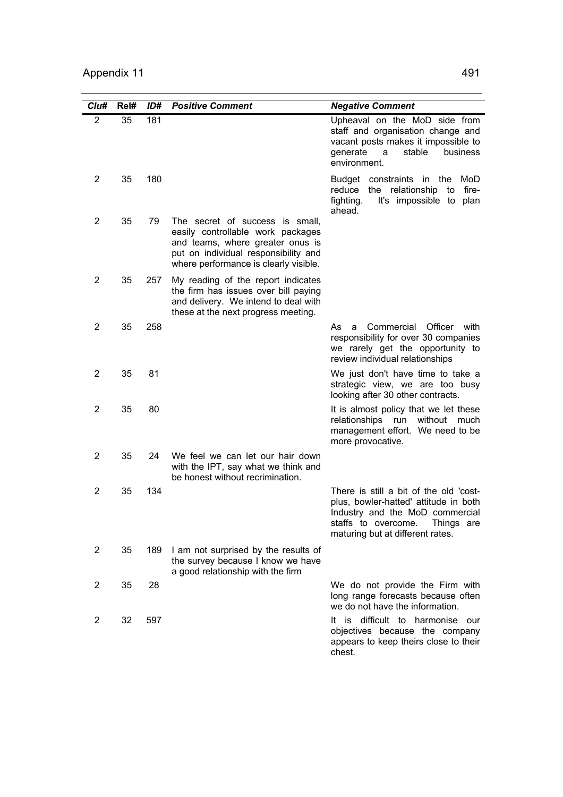| Clu#           | Rel# | ID# | <b>Positive Comment</b>                                                                                                                                                                   | <b>Negative Comment</b>                                                                                                                                                                     |
|----------------|------|-----|-------------------------------------------------------------------------------------------------------------------------------------------------------------------------------------------|---------------------------------------------------------------------------------------------------------------------------------------------------------------------------------------------|
| $\overline{2}$ | 35   | 181 |                                                                                                                                                                                           | Upheaval on the MoD side from<br>staff and organisation change and<br>vacant posts makes it impossible to<br>generate<br>stable<br>business<br>a<br>environment.                            |
| 2              | 35   | 180 |                                                                                                                                                                                           | Budget constraints in the<br>MoD<br>relationship<br>reduce<br>fire-<br>the<br>to<br>fighting.<br>It's impossible to<br>plan<br>ahead.                                                       |
| $\overline{2}$ | 35   | 79  | The secret of success is small,<br>easily controllable work packages<br>and teams, where greater onus is<br>put on individual responsibility and<br>where performance is clearly visible. |                                                                                                                                                                                             |
| 2              | 35   | 257 | My reading of the report indicates<br>the firm has issues over bill paying<br>and delivery. We intend to deal with<br>these at the next progress meeting.                                 |                                                                                                                                                                                             |
| 2              | 35   | 258 |                                                                                                                                                                                           | Officer<br>Commercial<br>with<br>As<br>a<br>responsibility for over 30 companies<br>we rarely get the opportunity to<br>review individual relationships                                     |
| $\overline{2}$ | 35   | 81  |                                                                                                                                                                                           | We just don't have time to take a<br>strategic view, we are too busy<br>looking after 30 other contracts.                                                                                   |
| 2              | 35   | 80  |                                                                                                                                                                                           | It is almost policy that we let these<br>without<br>relationships run<br>much<br>management effort. We need to be<br>more provocative.                                                      |
| 2              | 35   | 24  | We feel we can let our hair down<br>with the IPT, say what we think and<br>be honest without recrimination.                                                                               |                                                                                                                                                                                             |
| 2              | 35   | 134 |                                                                                                                                                                                           | There is still a bit of the old 'cost-<br>plus, bowler-hatted' attitude in both<br>Industry and the MoD commercial<br>staffs to overcome.<br>Things are<br>maturing but at different rates. |
| $\overline{c}$ | 35   | 189 | I am not surprised by the results of<br>the survey because I know we have<br>a good relationship with the firm                                                                            |                                                                                                                                                                                             |
| $\overline{c}$ | 35   | 28  |                                                                                                                                                                                           | We do not provide the Firm with<br>long range forecasts because often<br>we do not have the information.                                                                                    |
| $\overline{c}$ | 32   | 597 |                                                                                                                                                                                           | It is difficult to harmonise<br>our<br>objectives because the company<br>appears to keep theirs close to their<br>chest.                                                                    |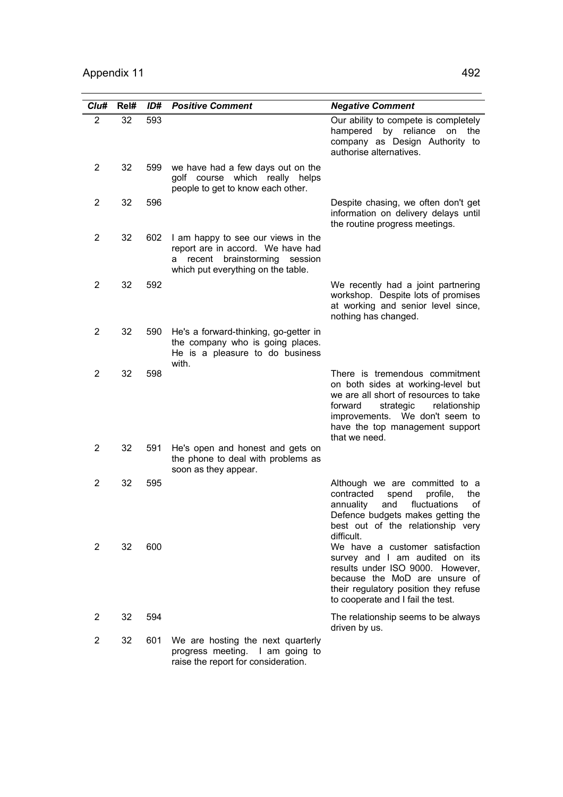| Clu#           | Rel# | ID# | <b>Positive Comment</b>                                                                                                                            | <b>Negative Comment</b>                                                                                                                                                                                                                     |
|----------------|------|-----|----------------------------------------------------------------------------------------------------------------------------------------------------|---------------------------------------------------------------------------------------------------------------------------------------------------------------------------------------------------------------------------------------------|
| $\overline{2}$ | 32   | 593 |                                                                                                                                                    | Our ability to compete is completely<br>hampered by reliance<br>on the<br>company as Design Authority to<br>authorise alternatives.                                                                                                         |
| $\overline{2}$ | 32   | 599 | we have had a few days out on the<br>golf course which really helps<br>people to get to know each other.                                           |                                                                                                                                                                                                                                             |
| $\overline{2}$ | 32   | 596 |                                                                                                                                                    | Despite chasing, we often don't get<br>information on delivery delays until<br>the routine progress meetings.                                                                                                                               |
| $\overline{2}$ | 32   | 602 | I am happy to see our views in the<br>report are in accord. We have had<br>brainstorming session<br>a recent<br>which put everything on the table. |                                                                                                                                                                                                                                             |
| 2              | 32   | 592 |                                                                                                                                                    | We recently had a joint partnering<br>workshop. Despite lots of promises<br>at working and senior level since,<br>nothing has changed.                                                                                                      |
| 2              | 32   | 590 | He's a forward-thinking, go-getter in<br>the company who is going places.<br>He is a pleasure to do business<br>with.                              |                                                                                                                                                                                                                                             |
| 2              | 32   | 598 |                                                                                                                                                    | There is tremendous commitment<br>on both sides at working-level but<br>we are all short of resources to take<br>forward<br>strategic<br>relationship<br>improvements. We don't seem to<br>have the top management support<br>that we need. |
| $\overline{2}$ | 32   | 591 | He's open and honest and gets on<br>the phone to deal with problems as<br>soon as they appear.                                                     |                                                                                                                                                                                                                                             |
| $\overline{2}$ | 32   | 595 |                                                                                                                                                    | Although we are committed to a<br>contracted<br>profile,<br>the<br>spend<br>fluctuations<br>and<br>annuality<br>οf<br>Defence budgets makes getting the<br>best out of the relationship very<br>difficult.                                  |
| 2              | 32   | 600 |                                                                                                                                                    | We have a customer satisfaction<br>survey and I am audited on its<br>results under ISO 9000. However,<br>because the MoD are unsure of<br>their regulatory position they refuse<br>to cooperate and I fail the test.                        |
| 2              | 32   | 594 |                                                                                                                                                    | The relationship seems to be always<br>driven by us.                                                                                                                                                                                        |
| 2              | 32   | 601 | We are hosting the next quarterly<br>progress meeting. I am going to<br>raise the report for consideration.                                        |                                                                                                                                                                                                                                             |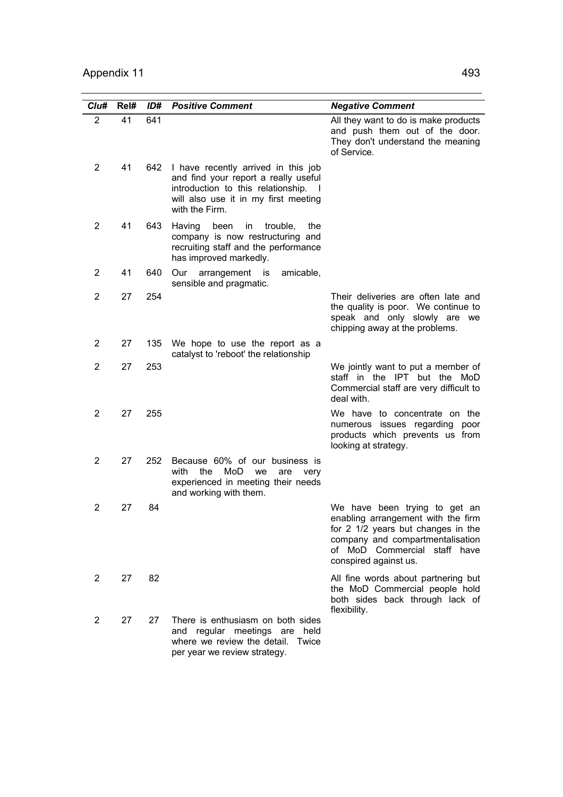| Clu#           | Rel# | ID# | <b>Positive Comment</b>                                                                                                                                                     | <b>Negative Comment</b>                                                                                                                                                                                |
|----------------|------|-----|-----------------------------------------------------------------------------------------------------------------------------------------------------------------------------|--------------------------------------------------------------------------------------------------------------------------------------------------------------------------------------------------------|
| 2              | 41   | 641 |                                                                                                                                                                             | All they want to do is make products<br>and push them out of the door.<br>They don't understand the meaning<br>of Service.                                                                             |
| 2              | 41   | 642 | I have recently arrived in this job<br>and find your report a really useful<br>introduction to this relationship.<br>will also use it in my first meeting<br>with the Firm. |                                                                                                                                                                                                        |
| 2              | 41   | 643 | Having<br>been<br>in<br>trouble,<br>the<br>company is now restructuring and<br>recruiting staff and the performance<br>has improved markedly.                               |                                                                                                                                                                                                        |
| 2              | 41   | 640 | Our<br>arrangement is<br>amicable,<br>sensible and pragmatic.                                                                                                               |                                                                                                                                                                                                        |
| 2              | 27   | 254 |                                                                                                                                                                             | Their deliveries are often late and<br>the quality is poor. We continue to<br>speak and only slowly are we<br>chipping away at the problems.                                                           |
| 2              | 27   | 135 | We hope to use the report as a<br>catalyst to 'reboot' the relationship                                                                                                     |                                                                                                                                                                                                        |
| 2              | 27   | 253 |                                                                                                                                                                             | We jointly want to put a member of<br>staff in the IPT but the MoD<br>Commercial staff are very difficult to<br>deal with.                                                                             |
| 2              | 27   | 255 |                                                                                                                                                                             | We have to concentrate on the<br>numerous issues regarding poor<br>products which prevents us from<br>looking at strategy.                                                                             |
| 2              | 27   | 252 | Because 60% of our business is<br>with<br>MoD<br>the<br>we<br>are<br>very<br>experienced in meeting their needs<br>and working with them.                                   |                                                                                                                                                                                                        |
| 2              | 27   | 84  |                                                                                                                                                                             | We have been trying to get an<br>enabling arrangement with the firm<br>for 2 1/2 years but changes in the<br>company and compartmentalisation<br>of MoD Commercial staff have<br>conspired against us. |
| 2              | 27   | 82  |                                                                                                                                                                             | All fine words about partnering but<br>the MoD Commercial people hold<br>both sides back through lack of<br>flexibility.                                                                               |
| $\overline{c}$ | 27   | 27  | There is enthusiasm on both sides<br>and regular meetings are held<br>where we review the detail. Twice<br>per year we review strategy.                                     |                                                                                                                                                                                                        |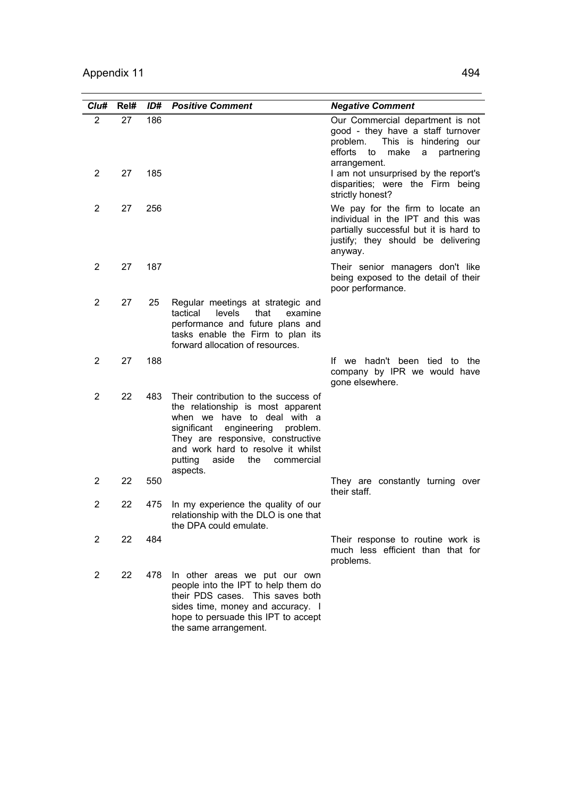| Clu#           | Rel#     | ID#        | <b>Positive Comment</b>                                                                                                                                                                                                                                                            | <b>Negative Comment</b>                                                                                                                                                                                                                            |
|----------------|----------|------------|------------------------------------------------------------------------------------------------------------------------------------------------------------------------------------------------------------------------------------------------------------------------------------|----------------------------------------------------------------------------------------------------------------------------------------------------------------------------------------------------------------------------------------------------|
| 2<br>2         | 27<br>27 | 186<br>185 |                                                                                                                                                                                                                                                                                    | Our Commercial department is not<br>good - they have a staff turnover<br>problem.<br>This is hindering our<br>efforts<br>to<br>make<br>a<br>partnering<br>arrangement.<br>I am not unsurprised by the report's<br>disparities; were the Firm being |
| 2              | 27       | 256        |                                                                                                                                                                                                                                                                                    | strictly honest?<br>We pay for the firm to locate an<br>individual in the IPT and this was<br>partially successful but it is hard to<br>justify; they should be delivering<br>anyway.                                                              |
| 2              | 27       | 187        |                                                                                                                                                                                                                                                                                    | Their senior managers don't like<br>being exposed to the detail of their<br>poor performance.                                                                                                                                                      |
| $\overline{2}$ | 27       | 25         | Regular meetings at strategic and<br>tactical<br>levels<br>that<br>examine<br>performance and future plans and<br>tasks enable the Firm to plan its<br>forward allocation of resources.                                                                                            |                                                                                                                                                                                                                                                    |
| 2              | 27       | 188        |                                                                                                                                                                                                                                                                                    | hadn't been tied to the<br>lf we<br>company by IPR we would have<br>gone elsewhere.                                                                                                                                                                |
| 2              | 22       | 483        | Their contribution to the success of<br>the relationship is most apparent<br>when we have to deal with a<br>significant<br>engineering<br>problem.<br>They are responsive, constructive<br>and work hard to resolve it whilst<br>putting<br>aside<br>the<br>commercial<br>aspects. |                                                                                                                                                                                                                                                    |
| 2              | 22       | 550        |                                                                                                                                                                                                                                                                                    | They are constantly turning over<br>their staff.                                                                                                                                                                                                   |
| 2              | 22       | 475        | In my experience the quality of our<br>relationship with the DLO is one that<br>the DPA could emulate.                                                                                                                                                                             |                                                                                                                                                                                                                                                    |
| 2              | 22       | 484        |                                                                                                                                                                                                                                                                                    | Their response to routine work is<br>much less efficient than that for<br>problems.                                                                                                                                                                |
| 2              | 22       | 478        | In other areas we put our own<br>people into the IPT to help them do<br>their PDS cases. This saves both<br>sides time, money and accuracy. I<br>hope to persuade this IPT to accept<br>the same arrangement.                                                                      |                                                                                                                                                                                                                                                    |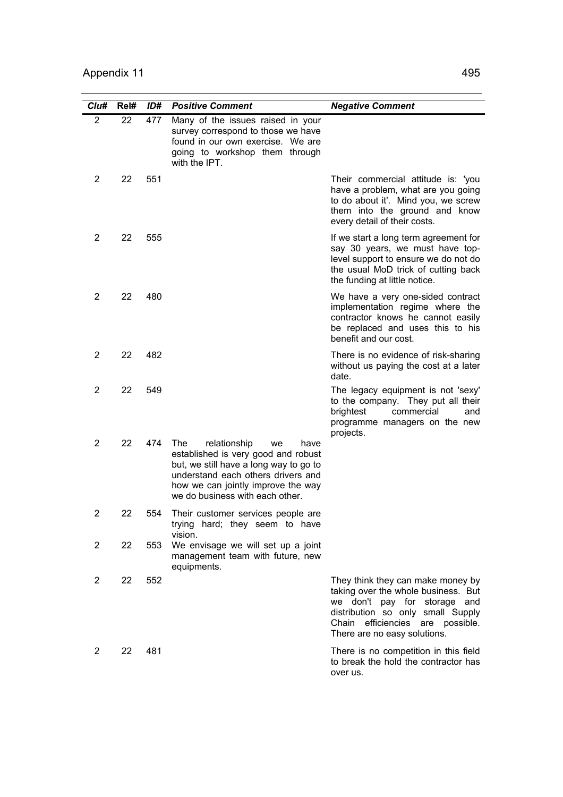| Cl <sub>u#</sub> | Rel# | ID# | <b>Positive Comment</b>                                                                                                                                                                                                           | <b>Negative Comment</b>                                                                                                                                                                                                 |
|------------------|------|-----|-----------------------------------------------------------------------------------------------------------------------------------------------------------------------------------------------------------------------------------|-------------------------------------------------------------------------------------------------------------------------------------------------------------------------------------------------------------------------|
| 2                | 22   | 477 | Many of the issues raised in your<br>survey correspond to those we have<br>found in our own exercise. We are<br>going to workshop them through<br>with the IPT.                                                                   |                                                                                                                                                                                                                         |
| 2                | 22   | 551 |                                                                                                                                                                                                                                   | Their commercial attitude is: 'you<br>have a problem, what are you going<br>to do about it'. Mind you, we screw<br>them into the ground and know<br>every detail of their costs.                                        |
| 2                | 22   | 555 |                                                                                                                                                                                                                                   | If we start a long term agreement for<br>say 30 years, we must have top-<br>level support to ensure we do not do<br>the usual MoD trick of cutting back<br>the funding at little notice.                                |
| 2                | 22   | 480 |                                                                                                                                                                                                                                   | We have a very one-sided contract<br>implementation regime where the<br>contractor knows he cannot easily<br>be replaced and uses this to his<br>benefit and our cost.                                                  |
| 2                | 22   | 482 |                                                                                                                                                                                                                                   | There is no evidence of risk-sharing<br>without us paying the cost at a later<br>date.                                                                                                                                  |
| $\overline{2}$   | 22   | 549 |                                                                                                                                                                                                                                   | The legacy equipment is not 'sexy'<br>to the company. They put all their<br>brightest<br>commercial<br>and<br>programme managers on the new<br>projects.                                                                |
| 2                | 22   | 474 | The<br>relationship<br>we<br>have<br>established is very good and robust<br>but, we still have a long way to go to<br>understand each others drivers and<br>how we can jointly improve the way<br>we do business with each other. |                                                                                                                                                                                                                         |
| 2                | 22   | 554 | Their customer services people are<br>trying hard; they seem to have<br>vision.                                                                                                                                                   |                                                                                                                                                                                                                         |
| 2                | 22   | 553 | We envisage we will set up a joint<br>management team with future, new<br>equipments.                                                                                                                                             |                                                                                                                                                                                                                         |
| 2                | 22   | 552 |                                                                                                                                                                                                                                   | They think they can make money by<br>taking over the whole business. But<br>we don't pay for<br>storage and<br>distribution so only small Supply<br>efficiencies are possible.<br>Chain<br>There are no easy solutions. |
| 2                | 22   | 481 |                                                                                                                                                                                                                                   | There is no competition in this field<br>to break the hold the contractor has<br>over us.                                                                                                                               |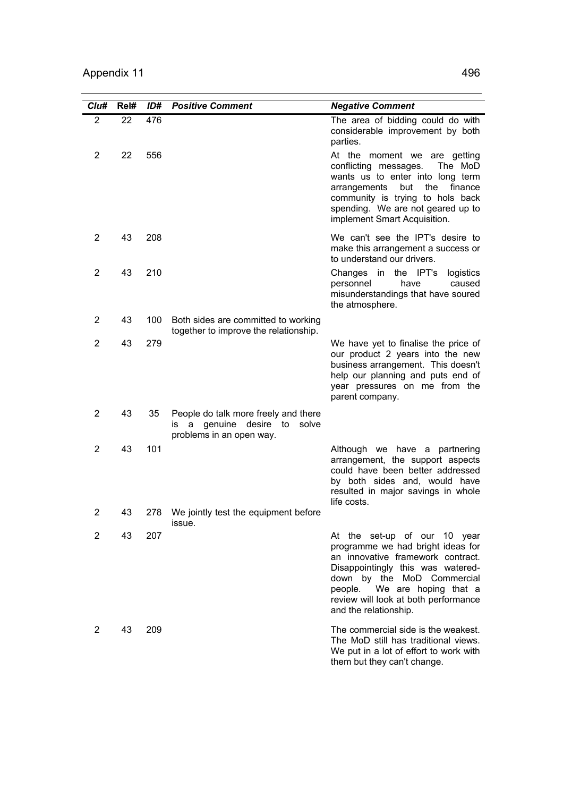| Clu#           | Rel# | ID# | <b>Positive Comment</b>                                                                                      | <b>Negative Comment</b>                                                                                                                                                                                                                                                       |
|----------------|------|-----|--------------------------------------------------------------------------------------------------------------|-------------------------------------------------------------------------------------------------------------------------------------------------------------------------------------------------------------------------------------------------------------------------------|
| $\overline{2}$ | 22   | 476 |                                                                                                              | The area of bidding could do with<br>considerable improvement by both<br>parties.                                                                                                                                                                                             |
| $\overline{2}$ | 22   | 556 |                                                                                                              | At the moment we are getting<br>conflicting messages.<br>The MoD<br>wants us to enter into long term<br>arrangements<br>the<br>but<br>finance<br>community is trying to hols back<br>spending. We are not geared up to<br>implement Smart Acquisition.                        |
| 2              | 43   | 208 |                                                                                                              | We can't see the IPT's desire to<br>make this arrangement a success or<br>to understand our drivers.                                                                                                                                                                          |
| 2              | 43   | 210 |                                                                                                              | the IPT's<br>Changes in<br>logistics<br>personnel<br>have<br>caused<br>misunderstandings that have soured<br>the atmosphere.                                                                                                                                                  |
| 2              | 43   | 100 | Both sides are committed to working<br>together to improve the relationship.                                 |                                                                                                                                                                                                                                                                               |
| 2              | 43   | 279 |                                                                                                              | We have yet to finalise the price of<br>our product 2 years into the new<br>business arrangement. This doesn't<br>help our planning and puts end of<br>year pressures on me from the<br>parent company.                                                                       |
| 2              | 43   | 35  | People do talk more freely and there<br>desire to<br>solve<br>genuine<br>a<br>İS<br>problems in an open way. |                                                                                                                                                                                                                                                                               |
| $\overline{2}$ | 43   | 101 |                                                                                                              | Although we have a partnering<br>arrangement, the support aspects<br>could have been better addressed<br>by both sides and, would have<br>resulted in major savings in whole<br>life costs.                                                                                   |
| 2              | 43   | 278 | We jointly test the equipment before<br>issue.                                                               |                                                                                                                                                                                                                                                                               |
| 2              | 43   | 207 |                                                                                                              | At the set-up of our 10 year<br>programme we had bright ideas for<br>an innovative framework contract.<br>Disappointingly this was watered-<br>down by the MoD Commercial<br>We are hoping that a<br>people.<br>review will look at both performance<br>and the relationship. |
| 2              | 43   | 209 |                                                                                                              | The commercial side is the weakest.<br>The MoD still has traditional views.<br>We put in a lot of effort to work with<br>them but they can't change.                                                                                                                          |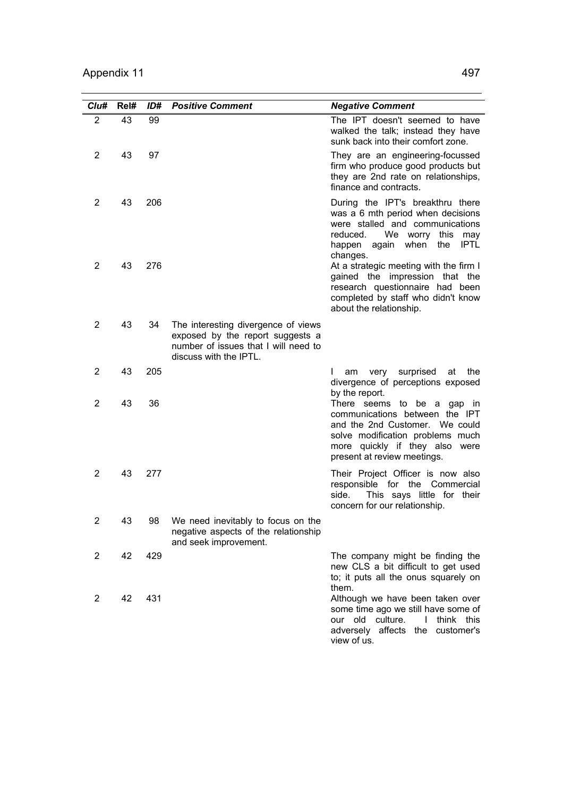| Clu#           | Rel# | ID# | <b>Positive Comment</b>                                                                                                                   | <b>Negative Comment</b>                                                                                                                                                                                   |
|----------------|------|-----|-------------------------------------------------------------------------------------------------------------------------------------------|-----------------------------------------------------------------------------------------------------------------------------------------------------------------------------------------------------------|
| $\overline{2}$ | 43   | 99  |                                                                                                                                           | The IPT doesn't seemed to have<br>walked the talk; instead they have<br>sunk back into their comfort zone.                                                                                                |
| 2              | 43   | 97  |                                                                                                                                           | They are an engineering-focussed<br>firm who produce good products but<br>they are 2nd rate on relationships,<br>finance and contracts.                                                                   |
| 2              | 43   | 206 |                                                                                                                                           | During the IPT's breakthru there<br>was a 6 mth period when decisions<br>were stalled and communications<br>We worry this<br>reduced.<br>may<br>when<br><b>IPTL</b><br>happen<br>again<br>the<br>changes. |
| 2              | 43   | 276 |                                                                                                                                           | At a strategic meeting with the firm I<br>gained the impression that the<br>research questionnaire had been<br>completed by staff who didn't know<br>about the relationship.                              |
| $\overline{2}$ | 43   | 34  | The interesting divergence of views<br>exposed by the report suggests a<br>number of issues that I will need to<br>discuss with the IPTL. |                                                                                                                                                                                                           |
| 2              | 43   | 205 |                                                                                                                                           | L<br>surprised<br>at<br>the<br>am<br>very<br>divergence of perceptions exposed<br>by the report.                                                                                                          |
| $\overline{2}$ | 43   | 36  |                                                                                                                                           | There seems to be a gap in<br>communications between the IPT<br>and the 2nd Customer. We could<br>solve modification problems much<br>more quickly if they also<br>were<br>present at review meetings.    |
| 2              | 43   | 277 |                                                                                                                                           | Their Project Officer is now also<br>responsible for the Commercial<br>side.<br>This says little for their<br>concern for our relationship.                                                               |
| 2              | 43   | 98  | We need inevitably to focus on the<br>negative aspects of the relationship<br>and seek improvement.                                       |                                                                                                                                                                                                           |
| 2              | 42   | 429 |                                                                                                                                           | The company might be finding the<br>new CLS a bit difficult to get used<br>to; it puts all the onus squarely on<br>them.                                                                                  |
| 2              | 42   | 431 |                                                                                                                                           | Although we have been taken over<br>some time ago we still have some of<br>our old culture.<br>think this<br>$\mathbf{I}$<br>adversely affects the<br>customer's<br>view of us.                           |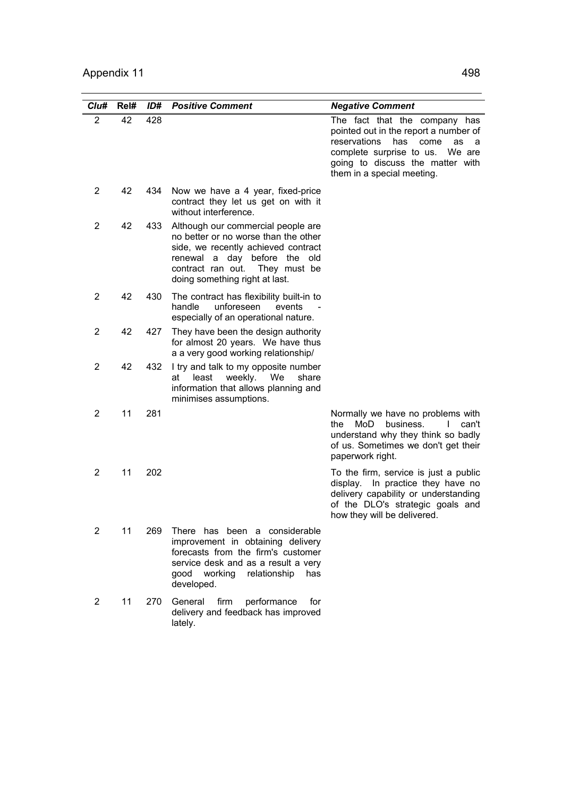| Clu#           | Rel# | ID# | <b>Positive Comment</b>                                                                                                                                                                                                        | <b>Negative Comment</b>                                                                                                                                                                                                  |
|----------------|------|-----|--------------------------------------------------------------------------------------------------------------------------------------------------------------------------------------------------------------------------------|--------------------------------------------------------------------------------------------------------------------------------------------------------------------------------------------------------------------------|
| $\overline{2}$ | 42   | 428 |                                                                                                                                                                                                                                | The fact that the company has<br>pointed out in the report a number of<br>reservations<br>has<br>come<br>as<br>a<br>complete surprise to us.<br>We are<br>going to discuss the matter with<br>them in a special meeting. |
| 2              | 42   | 434 | Now we have a 4 year, fixed-price<br>contract they let us get on with it<br>without interference.                                                                                                                              |                                                                                                                                                                                                                          |
| 2              | 42   | 433 | Although our commercial people are<br>no better or no worse than the other<br>side, we recently achieved contract<br>day before the<br>renewal a<br>old<br>contract ran out.<br>They must be<br>doing something right at last. |                                                                                                                                                                                                                          |
| $\overline{2}$ | 42   | 430 | The contract has flexibility built-in to<br>handle<br>unforeseen<br>events<br>especially of an operational nature.                                                                                                             |                                                                                                                                                                                                                          |
| 2              | 42   | 427 | They have been the design authority<br>for almost 20 years. We have thus<br>a a very good working relationship/                                                                                                                |                                                                                                                                                                                                                          |
| 2              | 42   | 432 | I try and talk to my opposite number<br>least<br>weekly.<br>We<br>share<br>at<br>information that allows planning and<br>minimises assumptions.                                                                                |                                                                                                                                                                                                                          |
| 2              | 11   | 281 |                                                                                                                                                                                                                                | Normally we have no problems with<br>MoD<br>business.<br>$\mathsf{I}$<br>can't<br>the l<br>understand why they think so badly<br>of us. Sometimes we don't get their<br>paperwork right.                                 |
| 2              | 11   | 202 |                                                                                                                                                                                                                                | To the firm, service is just a public<br>display.<br>In practice they have no<br>delivery capability or understanding<br>of the DLO's strategic goals and<br>how they will be delivered.                                 |
| 2              | 11   | 269 | There has been a considerable<br>improvement in obtaining delivery<br>forecasts from the firm's customer<br>service desk and as a result a very<br>good working<br>relationship<br>has<br>developed.                           |                                                                                                                                                                                                                          |
| 2              | 11   | 270 | General<br>firm<br>performance<br>for<br>delivery and feedback has improved<br>lately.                                                                                                                                         |                                                                                                                                                                                                                          |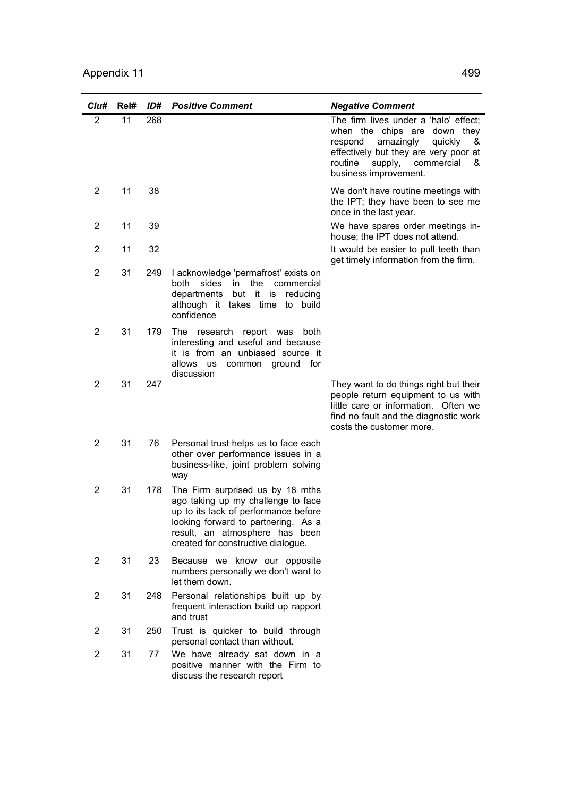| Clu#           | Rel# | ID# | <b>Positive Comment</b>                                                                                                                                                                                                       | <b>Negative Comment</b>                                                                                                                                                                                               |
|----------------|------|-----|-------------------------------------------------------------------------------------------------------------------------------------------------------------------------------------------------------------------------------|-----------------------------------------------------------------------------------------------------------------------------------------------------------------------------------------------------------------------|
| 2              | 11   | 268 |                                                                                                                                                                                                                               | The firm lives under a 'halo' effect;<br>when the chips are down they<br>respond amazingly<br>quickly<br>&<br>effectively but they are very poor at<br>supply,<br>commercial<br>routine<br>&<br>business improvement. |
| 2              | 11   | 38  |                                                                                                                                                                                                                               | We don't have routine meetings with<br>the IPT; they have been to see me<br>once in the last year.                                                                                                                    |
| 2              | 11   | 39  |                                                                                                                                                                                                                               | We have spares order meetings in-<br>house; the IPT does not attend.                                                                                                                                                  |
| $\overline{2}$ | 11   | 32  |                                                                                                                                                                                                                               | It would be easier to pull teeth than<br>get timely information from the firm.                                                                                                                                        |
| 2              | 31   | 249 | I acknowledge 'permafrost' exists on<br>both<br>sides<br>the<br>commercial<br>in<br>departments<br>but it is<br>reducing<br>although it takes time to build<br>confidence                                                     |                                                                                                                                                                                                                       |
| $\overline{2}$ | 31   | 179 | The research report was<br>both<br>interesting and useful and because<br>it is from an unbiased source it<br>allows<br><b>us</b><br>common ground for<br>discussion                                                           |                                                                                                                                                                                                                       |
| 2              | 31   | 247 |                                                                                                                                                                                                                               | They want to do things right but their<br>people return equipment to us with<br>little care or information. Often we<br>find no fault and the diagnostic work<br>costs the customer more.                             |
| $\overline{2}$ | 31   | 76  | Personal trust helps us to face each<br>other over performance issues in a<br>business-like, joint problem solving<br>way                                                                                                     |                                                                                                                                                                                                                       |
| $\overline{2}$ | 31   | 178 | The Firm surprised us by 18 mths<br>ago taking up my challenge to face<br>up to its lack of performance before<br>looking forward to partnering. As a<br>result, an atmosphere has been<br>created for constructive dialogue. |                                                                                                                                                                                                                       |
| $\overline{2}$ | 31   | 23  | Because we know our opposite<br>numbers personally we don't want to<br>let them down.                                                                                                                                         |                                                                                                                                                                                                                       |
| $\overline{c}$ | 31   | 248 | Personal relationships built up by<br>frequent interaction build up rapport<br>and trust                                                                                                                                      |                                                                                                                                                                                                                       |
| $\overline{2}$ | 31   | 250 | Trust is quicker to build through<br>personal contact than without.                                                                                                                                                           |                                                                                                                                                                                                                       |
| 2              | 31   | 77  | We have already sat down in a<br>positive manner with the Firm to<br>discuss the research report                                                                                                                              |                                                                                                                                                                                                                       |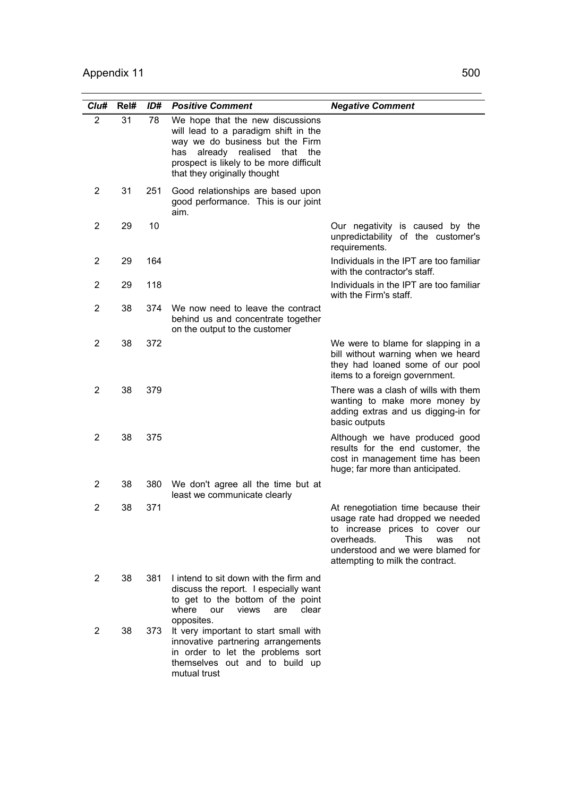| Cl <sub>U#</sub> | Rel# | ID# | <b>Positive Comment</b>                                                                                                                                                                                                          | <b>Negative Comment</b>                                                                                                                                                                                                        |
|------------------|------|-----|----------------------------------------------------------------------------------------------------------------------------------------------------------------------------------------------------------------------------------|--------------------------------------------------------------------------------------------------------------------------------------------------------------------------------------------------------------------------------|
| 2                | 31   | 78  | We hope that the new discussions<br>will lead to a paradigm shift in the<br>way we do business but the Firm<br>already realised<br>has<br>that<br>the<br>prospect is likely to be more difficult<br>that they originally thought |                                                                                                                                                                                                                                |
| 2                | 31   | 251 | Good relationships are based upon<br>good performance. This is our joint<br>aim.                                                                                                                                                 |                                                                                                                                                                                                                                |
| 2                | 29   | 10  |                                                                                                                                                                                                                                  | Our negativity is caused by the<br>unpredictability of the customer's<br>requirements.                                                                                                                                         |
| 2                | 29   | 164 |                                                                                                                                                                                                                                  | Individuals in the IPT are too familiar<br>with the contractor's staff.                                                                                                                                                        |
| 2                | 29   | 118 |                                                                                                                                                                                                                                  | Individuals in the IPT are too familiar<br>with the Firm's staff.                                                                                                                                                              |
| 2                | 38   | 374 | We now need to leave the contract<br>behind us and concentrate together<br>on the output to the customer                                                                                                                         |                                                                                                                                                                                                                                |
| 2                | 38   | 372 |                                                                                                                                                                                                                                  | We were to blame for slapping in a<br>bill without warning when we heard<br>they had loaned some of our pool<br>items to a foreign government.                                                                                 |
| 2                | 38   | 379 |                                                                                                                                                                                                                                  | There was a clash of wills with them<br>wanting to make more money by<br>adding extras and us digging-in for<br>basic outputs                                                                                                  |
| 2                | 38   | 375 |                                                                                                                                                                                                                                  | Although we have produced good<br>results for the end customer, the<br>cost in management time has been<br>huge; far more than anticipated.                                                                                    |
| 2                | 38   | 380 | We don't agree all the time but at<br>least we communicate clearly                                                                                                                                                               |                                                                                                                                                                                                                                |
| 2                | 38   | 371 |                                                                                                                                                                                                                                  | At renegotiation time because their<br>usage rate had dropped we needed<br>to increase prices to cover our<br>overheads.<br><b>This</b><br>was<br>not<br>understood and we were blamed for<br>attempting to milk the contract. |
| 2                | 38   | 381 | I intend to sit down with the firm and<br>discuss the report. I especially want<br>to get to the bottom of the point<br>where<br>our<br>views<br>clear<br>are                                                                    |                                                                                                                                                                                                                                |
| 2                | 38   | 373 | opposites.<br>It very important to start small with<br>innovative partnering arrangements<br>in order to let the problems sort<br>themselves out and to build up<br>mutual trust                                                 |                                                                                                                                                                                                                                |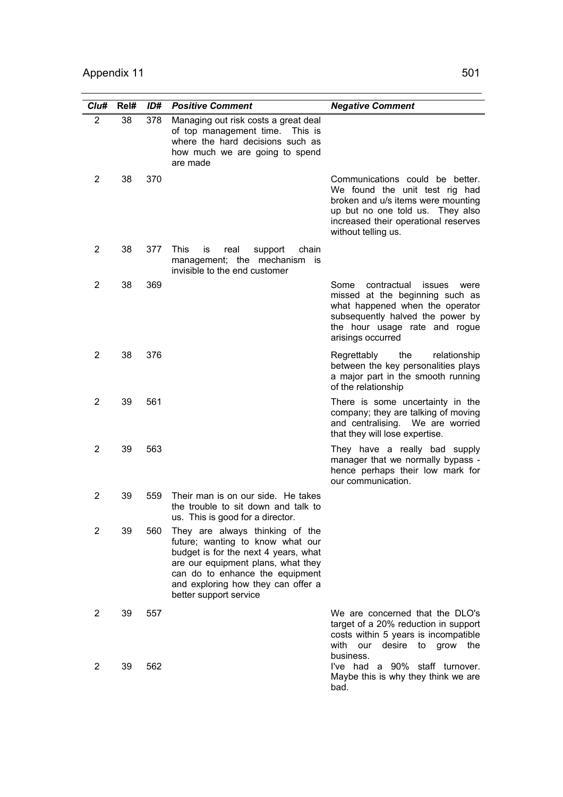| Cl <sub>u#</sub> | Rel# | ID# | <b>Positive Comment</b>                                                                                                                                                                                                                              | <b>Negative Comment</b>                                                                                                                                                                                      |
|------------------|------|-----|------------------------------------------------------------------------------------------------------------------------------------------------------------------------------------------------------------------------------------------------------|--------------------------------------------------------------------------------------------------------------------------------------------------------------------------------------------------------------|
| 2                | 38   | 378 | Managing out risk costs a great deal<br>of top management time. This is<br>where the hard decisions such as<br>how much we are going to spend<br>are made                                                                                            |                                                                                                                                                                                                              |
| 2                | 38   | 370 |                                                                                                                                                                                                                                                      | Communications could be better.<br>We found the unit test rig had<br>broken and u/s items were mounting<br>up but no one told us. They also<br>increased their operational reserves<br>without telling us.   |
| 2                | 38   | 377 | <b>This</b><br>chain<br>İS<br>real<br>support<br>management; the mechanism<br>is.<br>invisible to the end customer                                                                                                                                   |                                                                                                                                                                                                              |
| 2                | 38   | 369 |                                                                                                                                                                                                                                                      | contractual<br>Some<br><i>issues</i><br>were<br>missed at the beginning such as<br>what happened when the operator<br>subsequently halved the power by<br>the hour usage rate and rogue<br>arisings occurred |
| $\overline{2}$   | 38   | 376 |                                                                                                                                                                                                                                                      | the<br>Regrettably<br>relationship<br>between the key personalities plays<br>a major part in the smooth running<br>of the relationship                                                                       |
| 2                | 39   | 561 |                                                                                                                                                                                                                                                      | There is some uncertainty in the<br>company; they are talking of moving<br>and centralising. We are worried<br>that they will lose expertise.                                                                |
| 2                | 39   | 563 |                                                                                                                                                                                                                                                      | They have a really bad supply<br>manager that we normally bypass -<br>hence perhaps their low mark for<br>our communication.                                                                                 |
| 2                | 39   | 559 | Their man is on our side. He takes<br>the trouble to sit down and talk to<br>us. This is good for a director.                                                                                                                                        |                                                                                                                                                                                                              |
| 2                | 39   | 560 | They are always thinking of the<br>future; wanting to know what our<br>budget is for the next 4 years, what<br>are our equipment plans, what they<br>can do to enhance the equipment<br>and exploring how they can offer a<br>better support service |                                                                                                                                                                                                              |
| 2                | 39   | 557 |                                                                                                                                                                                                                                                      | We are concerned that the DLO's<br>target of a 20% reduction in support<br>costs within 5 years is incompatible<br>with<br>our<br>desire<br>to<br>grow<br>the<br>business.                                   |
| 2                | 39   | 562 |                                                                                                                                                                                                                                                      | I've had a 90% staff turnover.<br>Maybe this is why they think we are<br>bad.                                                                                                                                |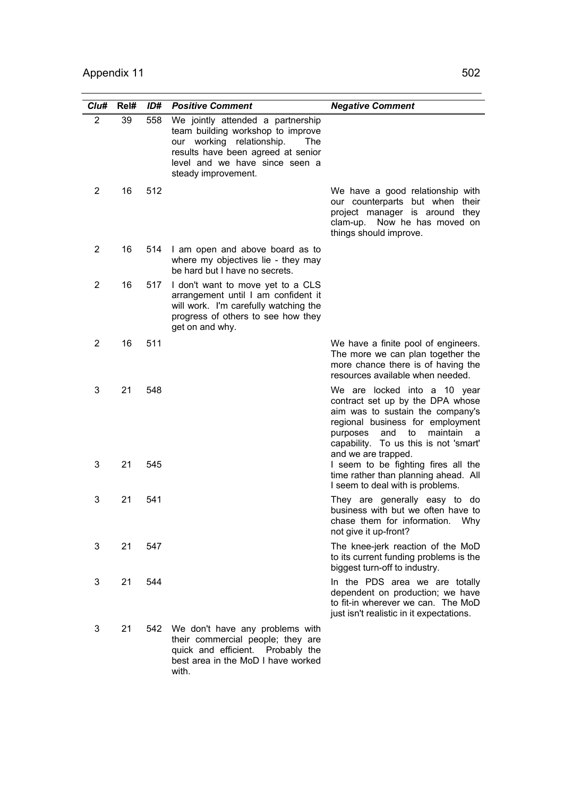| Cl <sub>u#</sub> | Rel# | ID# | <b>Positive Comment</b>                                                                                                                                                                                   | <b>Negative Comment</b>                                                                                                                                                                                                                              |
|------------------|------|-----|-----------------------------------------------------------------------------------------------------------------------------------------------------------------------------------------------------------|------------------------------------------------------------------------------------------------------------------------------------------------------------------------------------------------------------------------------------------------------|
| $\overline{2}$   | 39   | 558 | We jointly attended a partnership<br>team building workshop to improve<br>our working relationship.<br>The<br>results have been agreed at senior<br>level and we have since seen a<br>steady improvement. |                                                                                                                                                                                                                                                      |
| 2                | 16   | 512 |                                                                                                                                                                                                           | We have a good relationship with<br>our counterparts but when their<br>project manager is around they<br>clam-up. Now he has moved on<br>things should improve.                                                                                      |
| 2                | 16   | 514 | I am open and above board as to<br>where my objectives lie - they may<br>be hard but I have no secrets.                                                                                                   |                                                                                                                                                                                                                                                      |
| 2                | 16   | 517 | I don't want to move yet to a CLS<br>arrangement until I am confident it<br>will work. I'm carefully watching the<br>progress of others to see how they<br>get on and why.                                |                                                                                                                                                                                                                                                      |
| 2                | 16   | 511 |                                                                                                                                                                                                           | We have a finite pool of engineers.<br>The more we can plan together the<br>more chance there is of having the<br>resources available when needed.                                                                                                   |
| 3                | 21   | 548 |                                                                                                                                                                                                           | We are locked into a 10 year<br>contract set up by the DPA whose<br>aim was to sustain the company's<br>regional business for employment<br>to<br>purposes<br>and<br>maintain<br>- a<br>capability. To us this is not 'smart'<br>and we are trapped. |
| 3                | 21   | 545 |                                                                                                                                                                                                           | I seem to be fighting fires all the<br>time rather than planning ahead. All<br>I seem to deal with is problems.                                                                                                                                      |
| 3                | 21   | 541 |                                                                                                                                                                                                           | They are generally easy to do<br>business with but we often have to<br>chase them for information.<br><b>Why</b><br>not give it up-front?                                                                                                            |
| 3                | 21   | 547 |                                                                                                                                                                                                           | The knee-jerk reaction of the MoD<br>to its current funding problems is the<br>biggest turn-off to industry.                                                                                                                                         |
| 3                | 21   | 544 |                                                                                                                                                                                                           | In the PDS area we are totally<br>dependent on production; we have<br>to fit-in wherever we can. The MoD<br>just isn't realistic in it expectations.                                                                                                 |
| 3                | 21   | 542 | We don't have any problems with<br>their commercial people; they are<br>quick and efficient. Probably the<br>best area in the MoD I have worked<br>with.                                                  |                                                                                                                                                                                                                                                      |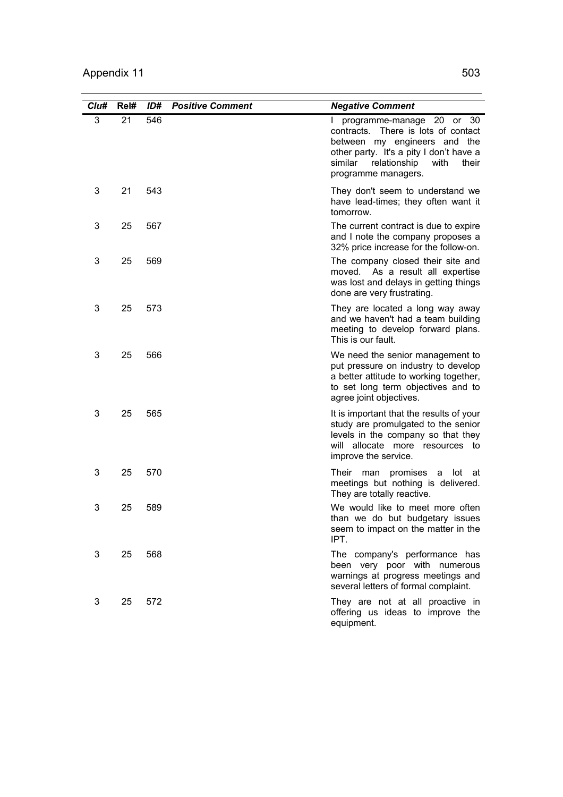| Clu# | Rel# | ID# | <b>Positive Comment</b> | <b>Negative Comment</b>                                                                                                                                                                                           |
|------|------|-----|-------------------------|-------------------------------------------------------------------------------------------------------------------------------------------------------------------------------------------------------------------|
| 3    | 21   | 546 |                         | 30<br>programme-manage 20 or<br>contracts. There is lots of contact<br>between my engineers and the<br>other party. It's a pity I don't have a<br>relationship<br>similar<br>with<br>their<br>programme managers. |
| 3    | 21   | 543 |                         | They don't seem to understand we<br>have lead-times; they often want it<br>tomorrow.                                                                                                                              |
| 3    | 25   | 567 |                         | The current contract is due to expire<br>and I note the company proposes a<br>32% price increase for the follow-on.                                                                                               |
| 3    | 25   | 569 |                         | The company closed their site and<br>moved. As a result all expertise<br>was lost and delays in getting things<br>done are very frustrating.                                                                      |
| 3    | 25   | 573 |                         | They are located a long way away<br>and we haven't had a team building<br>meeting to develop forward plans.<br>This is our fault.                                                                                 |
| 3    | 25   | 566 |                         | We need the senior management to<br>put pressure on industry to develop<br>a better attitude to working together,<br>to set long term objectives and to<br>agree joint objectives.                                |
| 3    | 25   | 565 |                         | It is important that the results of your<br>study are promulgated to the senior<br>levels in the company so that they<br>will allocate more resources to<br>improve the service.                                  |
| 3    | 25   | 570 |                         | Their man<br>promises a lot at<br>meetings but nothing is delivered.<br>They are totally reactive.                                                                                                                |
| 3    | 25   | 589 |                         | We would like to meet more often<br>than we do but budgetary issues<br>seem to impact on the matter in the<br>IPT.                                                                                                |
| 3    | 25   | 568 |                         | The company's performance has<br>been very poor with numerous<br>warnings at progress meetings and<br>several letters of formal complaint.                                                                        |
| 3    | 25   | 572 |                         | They are not at all proactive in<br>offering us ideas to improve the<br>equipment.                                                                                                                                |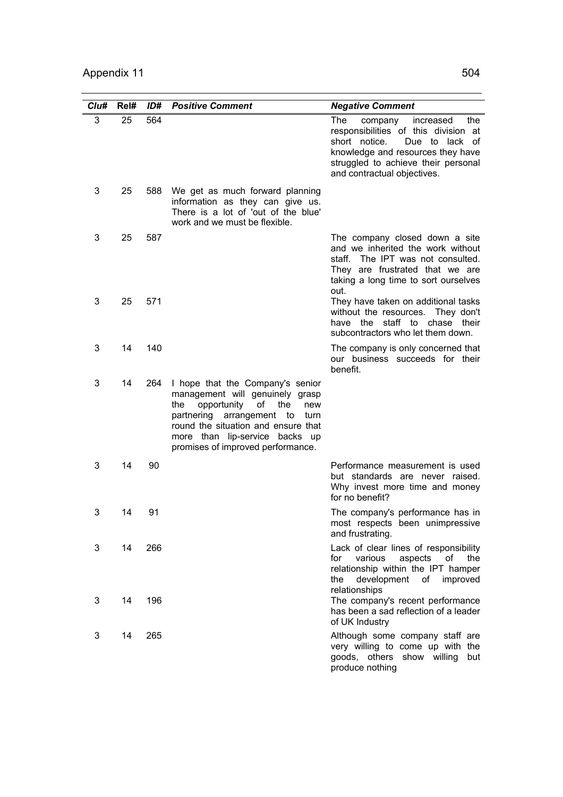| Clu# | Rel# | ID# | <b>Positive Comment</b>                                                                                                                                                                                                                                             | <b>Negative Comment</b>                                                                                                                                                                                                  |
|------|------|-----|---------------------------------------------------------------------------------------------------------------------------------------------------------------------------------------------------------------------------------------------------------------------|--------------------------------------------------------------------------------------------------------------------------------------------------------------------------------------------------------------------------|
| 3    | 25   | 564 |                                                                                                                                                                                                                                                                     | The<br>increased<br>the<br>company<br>responsibilities of this division at<br>short notice.<br>Due to lack of<br>knowledge and resources they have<br>struggled to achieve their personal<br>and contractual objectives. |
| 3    | 25   | 588 | We get as much forward planning<br>information as they can give us.<br>There is a lot of 'out of the blue'<br>work and we must be flexible.                                                                                                                         |                                                                                                                                                                                                                          |
| 3    | 25   | 587 |                                                                                                                                                                                                                                                                     | The company closed down a site<br>and we inherited the work without<br>staff. The IPT was not consulted.<br>They are frustrated that we are<br>taking a long time to sort ourselves<br>out.                              |
| 3    | 25   | 571 |                                                                                                                                                                                                                                                                     | They have taken on additional tasks<br>without the resources. They don't<br>staff to<br>have the<br>chase<br>their<br>subcontractors who let them down.                                                                  |
| 3    | 14   | 140 |                                                                                                                                                                                                                                                                     | The company is only concerned that<br>our business succeeds for their<br>benefit.                                                                                                                                        |
| 3    | 14   | 264 | I hope that the Company's senior<br>management will genuinely grasp<br>opportunity<br>of<br>the<br>the<br>new<br>partnering<br>arrangement to<br>turn<br>round the situation and ensure that<br>more than lip-service backs up<br>promises of improved performance. |                                                                                                                                                                                                                          |
| 3    | 14   | 90  |                                                                                                                                                                                                                                                                     | Performance measurement is used<br>but standards are never raised.<br>Why invest more time and money<br>for no benefit?                                                                                                  |
| 3    | 14   | 91  |                                                                                                                                                                                                                                                                     | The company's performance has in<br>most respects been unimpressive<br>and frustrating.                                                                                                                                  |
| 3    | 14   | 266 |                                                                                                                                                                                                                                                                     | Lack of clear lines of responsibility<br>various<br>aspects<br>of<br>for<br>the<br>relationship within the IPT hamper<br>the development of improved<br>relationships                                                    |
| 3    | 14   | 196 |                                                                                                                                                                                                                                                                     | The company's recent performance<br>has been a sad reflection of a leader<br>of UK Industry                                                                                                                              |
| 3    | 14   | 265 |                                                                                                                                                                                                                                                                     | Although some company staff are<br>very willing to come up with the<br>goods, others show willing<br>but<br>produce nothing                                                                                              |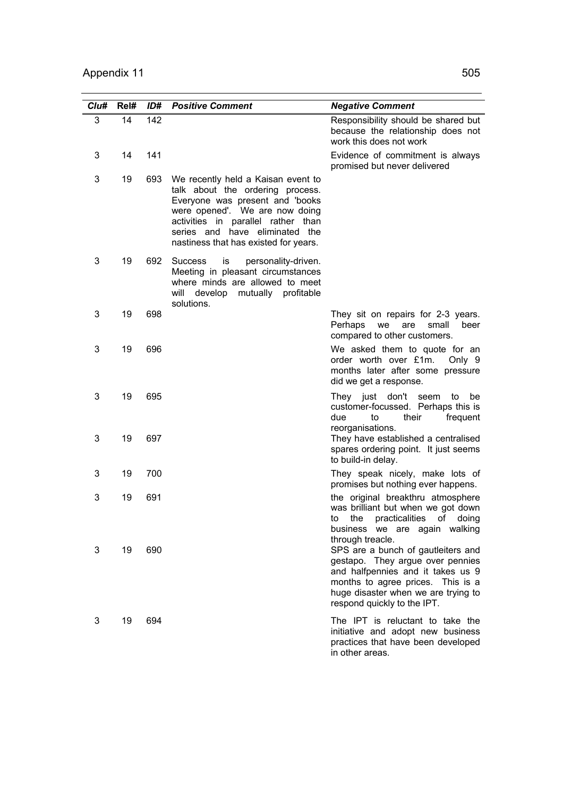| Clu# | Rel# | ID# | <b>Positive Comment</b>                                                                                                                                                                                                                                      | <b>Negative Comment</b>                                                                                                                                                                                                |
|------|------|-----|--------------------------------------------------------------------------------------------------------------------------------------------------------------------------------------------------------------------------------------------------------------|------------------------------------------------------------------------------------------------------------------------------------------------------------------------------------------------------------------------|
| 3    | 14   | 142 |                                                                                                                                                                                                                                                              | Responsibility should be shared but<br>because the relationship does not<br>work this does not work                                                                                                                    |
| 3    | 14   | 141 |                                                                                                                                                                                                                                                              | Evidence of commitment is always<br>promised but never delivered                                                                                                                                                       |
| 3    | 19   | 693 | We recently held a Kaisan event to<br>talk about the ordering process.<br>Everyone was present and 'books<br>were opened'. We are now doing<br>activities in parallel rather than<br>series and have eliminated the<br>nastiness that has existed for years. |                                                                                                                                                                                                                        |
| 3    | 19   | 692 | <b>Success</b><br>is<br>personality-driven.<br>Meeting in pleasant circumstances<br>where minds are allowed to meet<br>will develop mutually profitable<br>solutions.                                                                                        |                                                                                                                                                                                                                        |
| 3    | 19   | 698 |                                                                                                                                                                                                                                                              | They sit on repairs for 2-3 years.<br>Perhaps<br>small<br>we<br>are<br>beer<br>compared to other customers.                                                                                                            |
| 3    | 19   | 696 |                                                                                                                                                                                                                                                              | We asked them to quote for an<br>order worth over £1m.<br>Only 9<br>months later after some pressure<br>did we get a response.                                                                                         |
| 3    | 19   | 695 |                                                                                                                                                                                                                                                              | They just don't seem<br>to<br>be<br>customer-focussed. Perhaps this is<br>due<br>to<br>their<br>frequent<br>reorganisations.                                                                                           |
| 3    | 19   | 697 |                                                                                                                                                                                                                                                              | They have established a centralised<br>spares ordering point. It just seems<br>to build-in delay.                                                                                                                      |
| 3    | 19   | 700 |                                                                                                                                                                                                                                                              | They speak nicely, make lots of<br>promises but nothing ever happens.                                                                                                                                                  |
| 3    | 19   | 691 |                                                                                                                                                                                                                                                              | the original breakthru atmosphere<br>was brilliant but when we got down<br>to the practicalities of doing<br>business we are again walking<br>through treacle.                                                         |
| 3    | 19   | 690 |                                                                                                                                                                                                                                                              | SPS are a bunch of gautleiters and<br>gestapo. They argue over pennies<br>and halfpennies and it takes us 9<br>months to agree prices. This is a<br>huge disaster when we are trying to<br>respond quickly to the IPT. |
| 3    | 19   | 694 |                                                                                                                                                                                                                                                              | The IPT is reluctant to take the<br>initiative and adopt new business<br>practices that have been developed<br>in other areas.                                                                                         |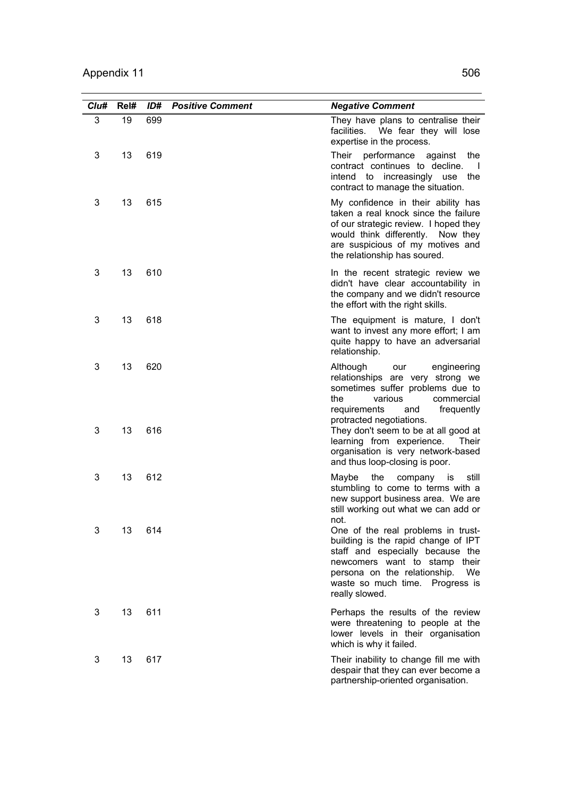| Clu# | Rel# | ID# | <b>Positive Comment</b> | <b>Negative Comment</b>                                                                                                                                                                                                                           |
|------|------|-----|-------------------------|---------------------------------------------------------------------------------------------------------------------------------------------------------------------------------------------------------------------------------------------------|
| 3    | 19   | 699 |                         | They have plans to centralise their<br>facilities. We fear they will lose<br>expertise in the process.                                                                                                                                            |
| 3    | 13   | 619 |                         | Their performance against<br>the<br>contract continues to decline.<br>$\mathbf{I}$<br>intend to increasingly use the<br>contract to manage the situation.                                                                                         |
| 3    | 13   | 615 |                         | My confidence in their ability has<br>taken a real knock since the failure<br>of our strategic review. I hoped they<br>would think differently. Now they<br>are suspicious of my motives and<br>the relationship has soured.                      |
| 3    | 13   | 610 |                         | In the recent strategic review we<br>didn't have clear accountability in<br>the company and we didn't resource<br>the effort with the right skills.                                                                                               |
| 3    | 13   | 618 |                         | The equipment is mature, I don't<br>want to invest any more effort; I am<br>quite happy to have an adversarial<br>relationship.                                                                                                                   |
| 3    | 13   | 620 |                         | Although<br>our<br>engineering<br>relationships are very strong we<br>sometimes suffer problems due to<br>the<br>various<br>commercial<br>requirements<br>and<br>frequently                                                                       |
| 3    | 13   | 616 |                         | protracted negotiations.<br>They don't seem to be at all good at<br>learning from experience.<br>Their<br>organisation is very network-based<br>and thus loop-closing is poor.                                                                    |
| 3    | 13   | 612 |                         | Maybe<br>the<br>company is<br>still<br>stumbling to come to terms with a<br>new support business area. We are<br>still working out what we can add or                                                                                             |
| 3    | 13   | 614 |                         | not.<br>One of the real problems in trust-<br>building is the rapid change of IPT<br>staff and especially because the<br>newcomers want to stamp their<br>persona on the relationship.<br>We<br>waste so much time. Progress is<br>really slowed. |
| 3    | 13   | 611 |                         | Perhaps the results of the review<br>were threatening to people at the<br>lower levels in their organisation<br>which is why it failed.                                                                                                           |
| 3    | 13   | 617 |                         | Their inability to change fill me with<br>despair that they can ever become a<br>partnership-oriented organisation.                                                                                                                               |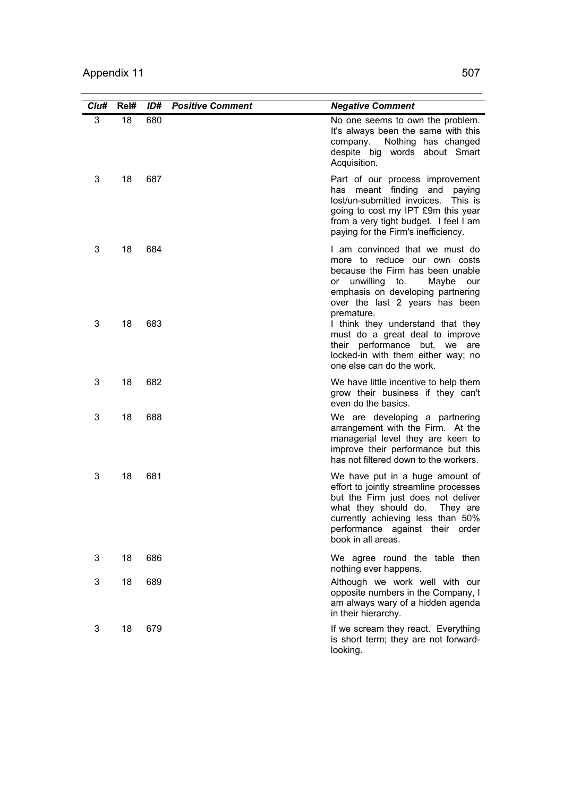| Clu#   | Rel#     | ID#        | <b>Positive Comment</b> | <b>Negative Comment</b>                                                                                                                                                                                                                                                                                                                                                          |
|--------|----------|------------|-------------------------|----------------------------------------------------------------------------------------------------------------------------------------------------------------------------------------------------------------------------------------------------------------------------------------------------------------------------------------------------------------------------------|
| 3      | 18       | 680        |                         | No one seems to own the problem.<br>It's always been the same with this<br>Nothing has changed<br>company.<br>despite big words about Smart<br>Acquisition.                                                                                                                                                                                                                      |
| 3      | 18       | 687        |                         | Part of our process improvement<br>has meant finding<br>and paying<br>lost/un-submitted invoices.<br>This is<br>going to cost my IPT £9m this year<br>from a very tight budget. I feel I am<br>paying for the Firm's inefficiency.                                                                                                                                               |
| 3<br>3 | 18<br>18 | 684<br>683 |                         | I am convinced that we must do<br>more to reduce our own costs<br>because the Firm has been unable<br>unwilling to.<br>Maybe<br>our<br>or<br>emphasis on developing partnering<br>over the last 2 years has been<br>premature.<br>I think they understand that they<br>must do a great deal to improve<br>their performance but, we<br>are<br>locked-in with them either way; no |
| 3      | 18       | 682        |                         | one else can do the work.<br>We have little incentive to help them<br>grow their business if they can't<br>even do the basics.                                                                                                                                                                                                                                                   |
| 3      | 18       | 688        |                         | We are developing a partnering<br>arrangement with the Firm. At the<br>managerial level they are keen to<br>improve their performance but this<br>has not filtered down to the workers.                                                                                                                                                                                          |
| 3      | 18       | 681        |                         | We have put in a huge amount of<br>effort to jointly streamline processes<br>but the Firm just does not deliver<br>what they should do.<br>They are<br>currently achieving less than 50%<br>performance against their order<br>book in all areas.                                                                                                                                |
| 3      | 18       | 686        |                         | We agree round the table then<br>nothing ever happens.                                                                                                                                                                                                                                                                                                                           |
| 3      | 18       | 689        |                         | Although we work well with our<br>opposite numbers in the Company, I<br>am always wary of a hidden agenda<br>in their hierarchy.                                                                                                                                                                                                                                                 |
| 3      | 18       | 679        |                         | If we scream they react. Everything<br>is short term; they are not forward-<br>looking.                                                                                                                                                                                                                                                                                          |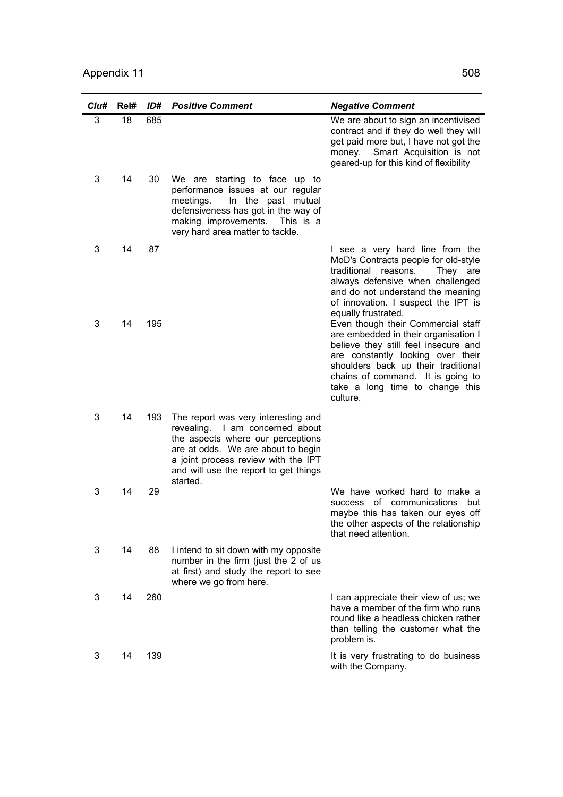| Clu# | Rel# | ID# | <b>Positive Comment</b>                                                                                                                                                                                                                       | <b>Negative Comment</b>                                                                                                                                                                                                                                                            |
|------|------|-----|-----------------------------------------------------------------------------------------------------------------------------------------------------------------------------------------------------------------------------------------------|------------------------------------------------------------------------------------------------------------------------------------------------------------------------------------------------------------------------------------------------------------------------------------|
| 3    | 18   | 685 |                                                                                                                                                                                                                                               | We are about to sign an incentivised<br>contract and if they do well they will<br>get paid more but, I have not got the<br>Smart Acquisition is not<br>money.<br>geared-up for this kind of flexibility                                                                            |
| 3    | 14   | 30  | We are starting to face up to<br>performance issues at our regular<br>meetings.<br>In the past mutual<br>defensiveness has got in the way of<br>making improvements. This is a<br>very hard area matter to tackle.                            |                                                                                                                                                                                                                                                                                    |
| 3    | 14   | 87  |                                                                                                                                                                                                                                               | I see a very hard line from the<br>MoD's Contracts people for old-style<br>traditional reasons.<br>They are<br>always defensive when challenged<br>and do not understand the meaning<br>of innovation. I suspect the IPT is<br>equally frustrated.                                 |
| 3    | 14   | 195 |                                                                                                                                                                                                                                               | Even though their Commercial staff<br>are embedded in their organisation I<br>believe they still feel insecure and<br>are constantly looking over their<br>shoulders back up their traditional<br>chains of command. It is going to<br>take a long time to change this<br>culture. |
| 3    | 14   | 193 | The report was very interesting and<br>revealing. I am concerned about<br>the aspects where our perceptions<br>are at odds. We are about to begin<br>a joint process review with the IPT<br>and will use the report to get things<br>started. |                                                                                                                                                                                                                                                                                    |
| 3    | 14   | 29  |                                                                                                                                                                                                                                               | We have worked hard to make a<br>of communications but<br>success<br>maybe this has taken our eyes off<br>the other aspects of the relationship<br>that need attention.                                                                                                            |
| 3    | 14   | 88  | I intend to sit down with my opposite<br>number in the firm (just the 2 of us<br>at first) and study the report to see<br>where we go from here.                                                                                              |                                                                                                                                                                                                                                                                                    |
| 3    | 14   | 260 |                                                                                                                                                                                                                                               | I can appreciate their view of us; we<br>have a member of the firm who runs<br>round like a headless chicken rather<br>than telling the customer what the<br>problem is.                                                                                                           |
| 3    | 14   | 139 |                                                                                                                                                                                                                                               | It is very frustrating to do business<br>with the Company.                                                                                                                                                                                                                         |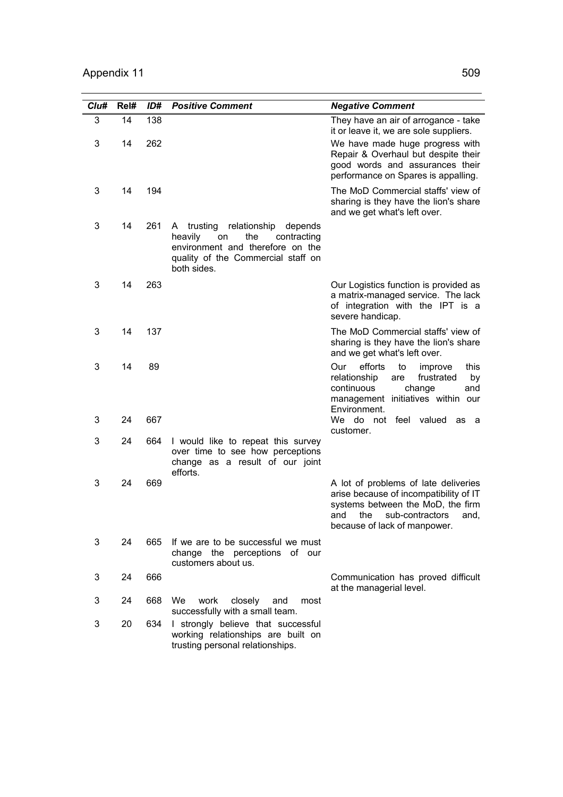| Clu# | Rel# | ID# | <b>Positive Comment</b>                                                                                                                                                | <b>Negative Comment</b>                                                                                                                                                             |
|------|------|-----|------------------------------------------------------------------------------------------------------------------------------------------------------------------------|-------------------------------------------------------------------------------------------------------------------------------------------------------------------------------------|
| 3    | 14   | 138 |                                                                                                                                                                        | They have an air of arrogance - take<br>it or leave it, we are sole suppliers.                                                                                                      |
| 3    | 14   | 262 |                                                                                                                                                                        | We have made huge progress with<br>Repair & Overhaul but despite their<br>good words and assurances their<br>performance on Spares is appalling.                                    |
| 3    | 14   | 194 |                                                                                                                                                                        | The MoD Commercial staffs' view of<br>sharing is they have the lion's share<br>and we get what's left over.                                                                         |
| 3    | 14   | 261 | trusting<br>relationship depends<br>A.<br>heavily<br>on<br>the<br>contracting<br>environment and therefore on the<br>quality of the Commercial staff on<br>both sides. |                                                                                                                                                                                     |
| 3    | 14   | 263 |                                                                                                                                                                        | Our Logistics function is provided as<br>a matrix-managed service. The lack<br>of integration with the IPT is a<br>severe handicap.                                                 |
| 3    | 14   | 137 |                                                                                                                                                                        | The MoD Commercial staffs' view of<br>sharing is they have the lion's share<br>and we get what's left over.                                                                         |
| 3    | 14   | 89  |                                                                                                                                                                        | efforts<br>to<br>Our<br>this<br>improve<br>relationship<br>frustrated<br>are<br>by<br>continuous<br>change<br>and<br>management initiatives within our<br>Environment.              |
| 3    | 24   | 667 |                                                                                                                                                                        | We do not feel valued<br>as a<br>customer.                                                                                                                                          |
| 3    | 24   | 664 | I would like to repeat this survey<br>over time to see how perceptions<br>change as a result of our joint<br>efforts.                                                  |                                                                                                                                                                                     |
| 3    | 24   | 669 |                                                                                                                                                                        | A lot of problems of late deliveries<br>arise because of incompatibility of IT<br>systems between the MoD, the firm<br>and the sub-contractors and.<br>because of lack of manpower. |
| 3    | 24   | 665 | If we are to be successful we must<br>change the perceptions of our<br>customers about us.                                                                             |                                                                                                                                                                                     |
| 3    | 24   | 666 |                                                                                                                                                                        | Communication has proved difficult<br>at the managerial level.                                                                                                                      |
| 3    | 24   | 668 | We<br>work<br>closely<br>and<br>most<br>successfully with a small team.                                                                                                |                                                                                                                                                                                     |
| 3    | 20   | 634 | I strongly believe that successful<br>working relationships are built on<br>trusting personal relationships.                                                           |                                                                                                                                                                                     |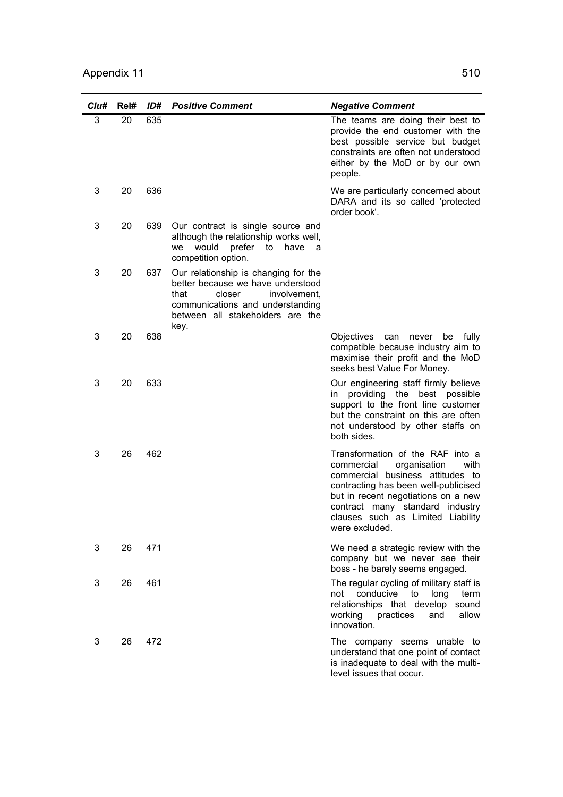| Clu# | Rel# | ID# | <b>Positive Comment</b>                                                                                                                                                                     | <b>Negative Comment</b>                                                                                                                                                                                                                                                             |
|------|------|-----|---------------------------------------------------------------------------------------------------------------------------------------------------------------------------------------------|-------------------------------------------------------------------------------------------------------------------------------------------------------------------------------------------------------------------------------------------------------------------------------------|
| 3    | 20   | 635 |                                                                                                                                                                                             | The teams are doing their best to<br>provide the end customer with the<br>best possible service but budget<br>constraints are often not understood<br>either by the MoD or by our own<br>people.                                                                                    |
| 3    | 20   | 636 |                                                                                                                                                                                             | We are particularly concerned about<br>DARA and its so called 'protected<br>order book'.                                                                                                                                                                                            |
| 3    | 20   | 639 | Our contract is single source and<br>although the relationship works well,<br>would<br>prefer<br>have<br>we<br>to<br>- a<br>competition option.                                             |                                                                                                                                                                                                                                                                                     |
| 3    | 20   | 637 | Our relationship is changing for the<br>better because we have understood<br>that<br>closer<br>involvement,<br>communications and understanding<br>between all stakeholders are the<br>key. |                                                                                                                                                                                                                                                                                     |
| 3    | 20   | 638 |                                                                                                                                                                                             | Objectives<br>can<br>never<br>be<br>fully<br>compatible because industry aim to<br>maximise their profit and the MoD<br>seeks best Value For Money.                                                                                                                                 |
| 3    | 20   | 633 |                                                                                                                                                                                             | Our engineering staff firmly believe<br>providing the best possible<br>in<br>support to the front line customer<br>but the constraint on this are often<br>not understood by other staffs on<br>both sides.                                                                         |
| 3    | 26   | 462 |                                                                                                                                                                                             | Transformation of the RAF into a<br>commercial<br>organisation<br>with<br>commercial business attitudes to<br>contracting has been well-publicised<br>but in recent negotiations on a new<br>contract many standard industry<br>clauses such as Limited Liability<br>were excluded. |
| 3    | 26   | 471 |                                                                                                                                                                                             | We need a strategic review with the<br>company but we never see their<br>boss - he barely seems engaged.                                                                                                                                                                            |
| 3    | 26   | 461 |                                                                                                                                                                                             | The regular cycling of military staff is<br>conducive<br>to<br>not<br>long<br>term<br>relationships that develop sound<br>working practices<br>allow<br>and<br>innovation.                                                                                                          |
| 3    | 26   | 472 |                                                                                                                                                                                             | The company seems unable to<br>understand that one point of contact<br>is inadequate to deal with the multi-<br>level issues that occur.                                                                                                                                            |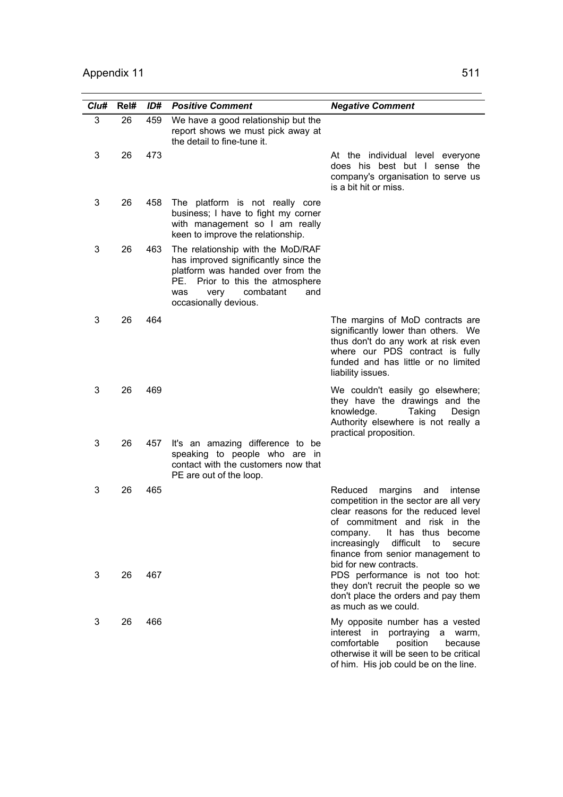| Clu# | Rel# | ID# | <b>Positive Comment</b>                                                                                                                                                                                           | <b>Negative Comment</b>                                                                                                                                                                                                                                                                                 |
|------|------|-----|-------------------------------------------------------------------------------------------------------------------------------------------------------------------------------------------------------------------|---------------------------------------------------------------------------------------------------------------------------------------------------------------------------------------------------------------------------------------------------------------------------------------------------------|
| 3    | 26   | 459 | We have a good relationship but the<br>report shows we must pick away at<br>the detail to fine-tune it.                                                                                                           |                                                                                                                                                                                                                                                                                                         |
| 3    | 26   | 473 |                                                                                                                                                                                                                   | At the individual level everyone<br>does his best but I sense the<br>company's organisation to serve us<br>is a bit hit or miss.                                                                                                                                                                        |
| 3    | 26   | 458 | The platform is not really core<br>business; I have to fight my corner<br>with management so I am really<br>keen to improve the relationship.                                                                     |                                                                                                                                                                                                                                                                                                         |
| 3    | 26   | 463 | The relationship with the MoD/RAF<br>has improved significantly since the<br>platform was handed over from the<br>Prior to this the atmosphere<br>PE.<br>combatant<br>very<br>and<br>was<br>occasionally devious. |                                                                                                                                                                                                                                                                                                         |
| 3    | 26   | 464 |                                                                                                                                                                                                                   | The margins of MoD contracts are<br>significantly lower than others. We<br>thus don't do any work at risk even<br>where our PDS contract is fully<br>funded and has little or no limited<br>liability issues.                                                                                           |
| 3    | 26   | 469 |                                                                                                                                                                                                                   | We couldn't easily go elsewhere;<br>they have the drawings and the<br>knowledge.<br>Taking<br>Design<br>Authority elsewhere is not really a<br>practical proposition.                                                                                                                                   |
| 3    | 26   | 457 | It's an amazing difference to be<br>speaking to people who are in<br>contact with the customers now that<br>PE are out of the loop.                                                                               |                                                                                                                                                                                                                                                                                                         |
| 3    | 26   | 465 |                                                                                                                                                                                                                   | margins<br>Reduced<br>and<br>intense<br>competition in the sector are all very<br>clear reasons for the reduced level<br>of commitment and risk in the<br>It has thus<br>become<br>company.<br>increasingly<br>difficult<br>to<br>secure<br>finance from senior management to<br>bid for new contracts. |
| 3    | 26   | 467 |                                                                                                                                                                                                                   | PDS performance is not too hot:<br>they don't recruit the people so we<br>don't place the orders and pay them<br>as much as we could.                                                                                                                                                                   |
| 3    | 26   | 466 |                                                                                                                                                                                                                   | My opposite number has a vested<br>interest in<br>portraying<br>a warm,<br>comfortable<br>position<br>because<br>otherwise it will be seen to be critical<br>of him. His job could be on the line.                                                                                                      |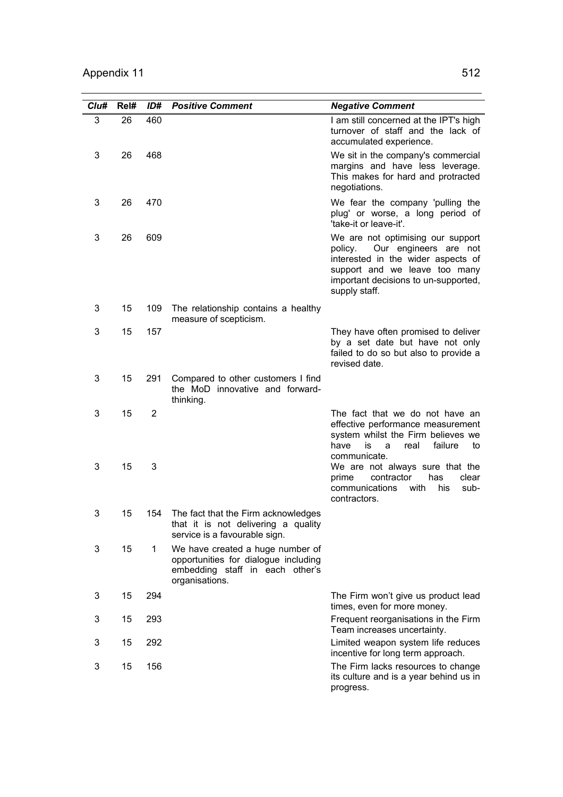| Cl <sub>u#</sub> | Rel# | ID#            | <b>Positive Comment</b>                                                                                                       | <b>Negative Comment</b>                                                                                                                                                                               |
|------------------|------|----------------|-------------------------------------------------------------------------------------------------------------------------------|-------------------------------------------------------------------------------------------------------------------------------------------------------------------------------------------------------|
| 3                | 26   | 460            |                                                                                                                               | I am still concerned at the IPT's high<br>turnover of staff and the lack of<br>accumulated experience.                                                                                                |
| 3                | 26   | 468            |                                                                                                                               | We sit in the company's commercial<br>margins and have less leverage.<br>This makes for hard and protracted<br>negotiations.                                                                          |
| 3                | 26   | 470            |                                                                                                                               | We fear the company 'pulling the<br>plug' or worse, a long period of<br>'take-it or leave-it'.                                                                                                        |
| 3                | 26   | 609            |                                                                                                                               | We are not optimising our support<br>Our engineers are not<br>policy.<br>interested in the wider aspects of<br>support and we leave too many<br>important decisions to un-supported,<br>supply staff. |
| 3                | 15   | 109            | The relationship contains a healthy<br>measure of scepticism.                                                                 |                                                                                                                                                                                                       |
| 3                | 15   | 157            |                                                                                                                               | They have often promised to deliver<br>by a set date but have not only<br>failed to do so but also to provide a<br>revised date.                                                                      |
| 3                | 15   | 291            | Compared to other customers I find<br>the MoD innovative and forward-<br>thinking.                                            |                                                                                                                                                                                                       |
| 3                | 15   | $\overline{2}$ |                                                                                                                               | The fact that we do not have an<br>effective performance measurement<br>system whilst the Firm believes we<br>have<br>is<br>failure<br>a<br>real<br>to<br>communicate.                                |
| 3                | 15   | 3              |                                                                                                                               | We are not always sure that the<br>contractor<br>has<br>prime<br>clear<br>communications<br>with<br>his<br>sub-<br>contractors.                                                                       |
| 3                | 15   | 154            | The fact that the Firm acknowledges<br>that it is not delivering a quality<br>service is a favourable sign.                   |                                                                                                                                                                                                       |
| 3                | 15   | 1              | We have created a huge number of<br>opportunities for dialogue including<br>embedding staff in each other's<br>organisations. |                                                                                                                                                                                                       |
| 3                | 15   | 294            |                                                                                                                               | The Firm won't give us product lead<br>times, even for more money.                                                                                                                                    |
| 3                | 15   | 293            |                                                                                                                               | Frequent reorganisations in the Firm<br>Team increases uncertainty.                                                                                                                                   |
| 3                | 15   | 292            |                                                                                                                               | Limited weapon system life reduces<br>incentive for long term approach.                                                                                                                               |
| 3                | 15   | 156            |                                                                                                                               | The Firm lacks resources to change<br>its culture and is a year behind us in<br>progress.                                                                                                             |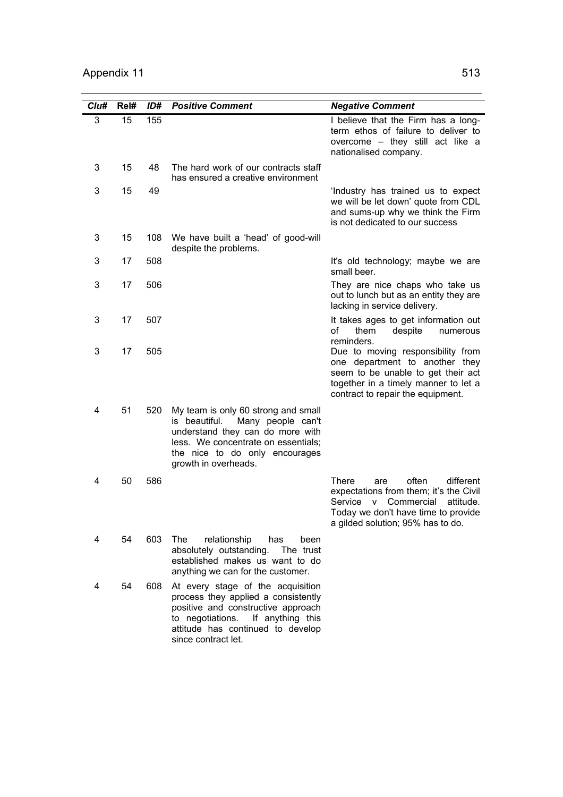| Clu# | Rel# | ID# | <b>Positive Comment</b>                                                                                                                                                                                            | <b>Negative Comment</b>                                                                                                                                                                                    |
|------|------|-----|--------------------------------------------------------------------------------------------------------------------------------------------------------------------------------------------------------------------|------------------------------------------------------------------------------------------------------------------------------------------------------------------------------------------------------------|
| 3    | 15   | 155 |                                                                                                                                                                                                                    | I believe that the Firm has a long-<br>term ethos of failure to deliver to<br>overcome - they still act like a<br>nationalised company.                                                                    |
| 3    | 15   | 48  | The hard work of our contracts staff<br>has ensured a creative environment                                                                                                                                         |                                                                                                                                                                                                            |
| 3    | 15   | 49  |                                                                                                                                                                                                                    | 'Industry has trained us to expect<br>we will be let down' quote from CDL<br>and sums-up why we think the Firm<br>is not dedicated to our success                                                          |
| 3    | 15   | 108 | We have built a 'head' of good-will<br>despite the problems.                                                                                                                                                       |                                                                                                                                                                                                            |
| 3    | 17   | 508 |                                                                                                                                                                                                                    | It's old technology; maybe we are<br>small beer.                                                                                                                                                           |
| 3    | 17   | 506 |                                                                                                                                                                                                                    | They are nice chaps who take us<br>out to lunch but as an entity they are<br>lacking in service delivery.                                                                                                  |
| 3    | 17   | 507 |                                                                                                                                                                                                                    | It takes ages to get information out<br>of<br>them<br>despite<br>numerous<br>reminders.                                                                                                                    |
| 3    | 17   | 505 |                                                                                                                                                                                                                    | Due to moving responsibility from<br>one department to another they<br>seem to be unable to get their act<br>together in a timely manner to let a<br>contract to repair the equipment.                     |
| 4    | 51   | 520 | My team is only 60 strong and small<br>is beautiful.<br>Many people can't<br>understand they can do more with<br>less. We concentrate on essentials;<br>the nice to do only encourages<br>growth in overheads.     |                                                                                                                                                                                                            |
| 4    | 50   | 586 |                                                                                                                                                                                                                    | <b>There</b><br>often<br>different<br>are<br>expectations from them; it's the Civil<br>Service<br>Commercial<br>attitude.<br>v<br>Today we don't have time to provide<br>a gilded solution; 95% has to do. |
| 4    | 54   | 603 | The<br>relationship<br>has<br>been<br>absolutely outstanding. The trust<br>established makes us want to do<br>anything we can for the customer.                                                                    |                                                                                                                                                                                                            |
| 4    | 54   | 608 | At every stage of the acquisition<br>process they applied a consistently<br>positive and constructive approach<br>If anything this<br>to negotiations.<br>attitude has continued to develop<br>since contract let. |                                                                                                                                                                                                            |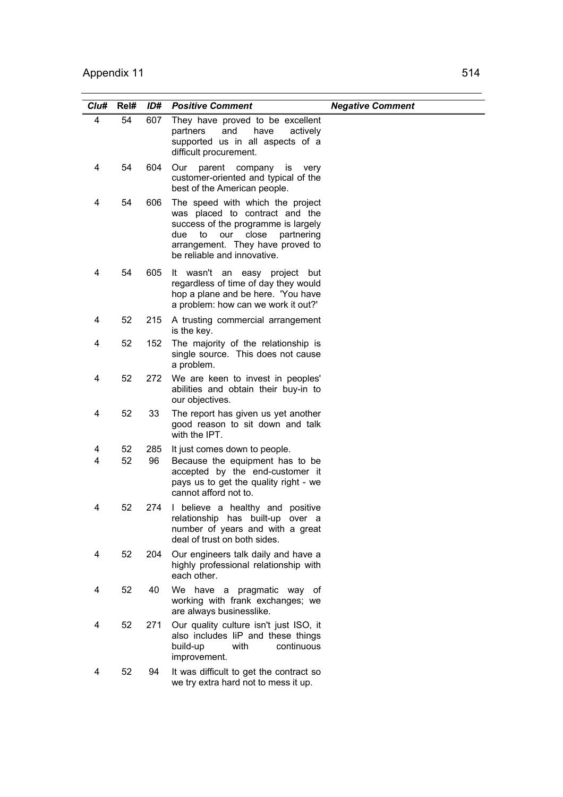| Cl <sub>u#</sub> | Rel#     | ID#       | <b>Positive Comment</b>                                                                                                                                                                                                 | <b>Negative Comment</b> |
|------------------|----------|-----------|-------------------------------------------------------------------------------------------------------------------------------------------------------------------------------------------------------------------------|-------------------------|
| 4                | 54       | 607       | They have proved to be excellent<br>and<br>have<br>actively<br>partners<br>supported us in all aspects of a<br>difficult procurement.                                                                                   |                         |
| 4                | 54       | 604       | Our<br>parent company is<br>very<br>customer-oriented and typical of the<br>best of the American people.                                                                                                                |                         |
| 4                | 54       | 606       | The speed with which the project<br>was placed to contract and the<br>success of the programme is largely<br>due<br>close<br>partnering<br>to<br>our<br>arrangement. They have proved to<br>be reliable and innovative. |                         |
| 4                | 54       | 605       | It wasn't an easy project but<br>regardless of time of day they would<br>hop a plane and be here. 'You have<br>a problem: how can we work it out?'                                                                      |                         |
| 4                | 52       | 215       | A trusting commercial arrangement<br>is the key.                                                                                                                                                                        |                         |
| 4                | 52       | 152       | The majority of the relationship is<br>single source. This does not cause<br>a problem.                                                                                                                                 |                         |
| 4                | 52       | 272       | We are keen to invest in peoples'<br>abilities and obtain their buy-in to<br>our objectives.                                                                                                                            |                         |
| 4                | 52       | 33        | The report has given us yet another<br>good reason to sit down and talk<br>with the IPT.                                                                                                                                |                         |
| 4<br>4           | 52<br>52 | 285<br>96 | It just comes down to people.<br>Because the equipment has to be<br>accepted by the end-customer it<br>pays us to get the quality right - we<br>cannot afford not to.                                                   |                         |
| 4                | 52       | 274       | I believe a healthy and positive<br>relationship has built-up over a<br>number of years and with a great<br>deal of trust on both sides.                                                                                |                         |
| 4                | 52       | 204       | Our engineers talk daily and have a<br>highly professional relationship with<br>each other.                                                                                                                             |                         |
| 4                | 52       | 40        | We have a pragmatic way of<br>working with frank exchanges; we<br>are always businesslike.                                                                                                                              |                         |
| 4                | 52       | 271       | Our quality culture isn't just ISO, it<br>also includes liP and these things<br>build-up<br>with<br>continuous<br>improvement.                                                                                          |                         |
| 4                | 52       | 94        | It was difficult to get the contract so<br>we try extra hard not to mess it up.                                                                                                                                         |                         |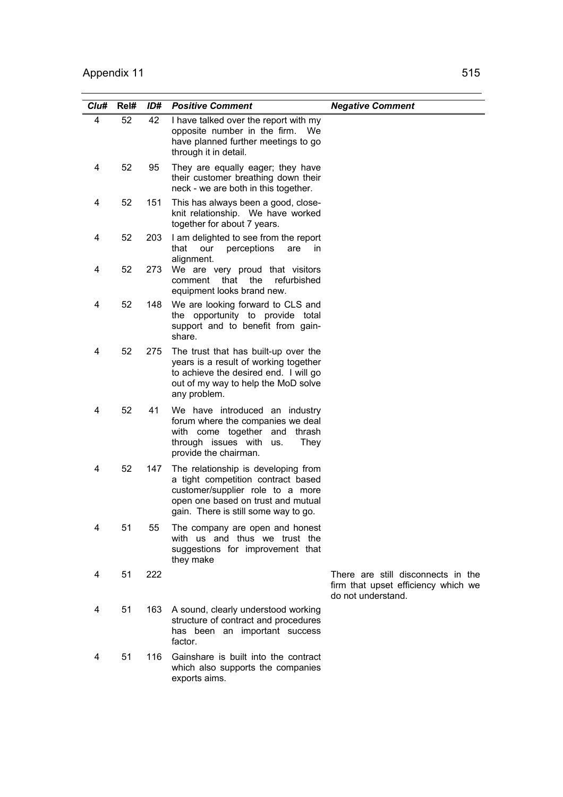| Clu# | Rel# | ID# | <b>Positive Comment</b>                                                                                                                                                                     | <b>Negative Comment</b>                                                                         |
|------|------|-----|---------------------------------------------------------------------------------------------------------------------------------------------------------------------------------------------|-------------------------------------------------------------------------------------------------|
| 4    | 52   | 42  | I have talked over the report with my<br>opposite number in the firm. We<br>have planned further meetings to go<br>through it in detail.                                                    |                                                                                                 |
| 4    | 52   | 95  | They are equally eager; they have<br>their customer breathing down their<br>neck - we are both in this together.                                                                            |                                                                                                 |
| 4    | 52   | 151 | This has always been a good, close-<br>knit relationship. We have worked<br>together for about 7 years.                                                                                     |                                                                                                 |
| 4    | 52   | 203 | I am delighted to see from the report<br>that<br>perceptions<br>our<br>are<br><i>in</i><br>alignment.                                                                                       |                                                                                                 |
| 4    | 52   | 273 | We are very proud that visitors<br>that<br>the<br>refurbished<br>comment<br>equipment looks brand new.                                                                                      |                                                                                                 |
| 4    | 52   | 148 | We are looking forward to CLS and<br>the opportunity to provide total<br>support and to benefit from gain-<br>share.                                                                        |                                                                                                 |
| 4    | 52   | 275 | The trust that has built-up over the<br>years is a result of working together<br>to achieve the desired end. I will go<br>out of my way to help the MoD solve<br>any problem.               |                                                                                                 |
| 4    | 52   | 41  | We have introduced an industry<br>forum where the companies we deal<br>with come together and<br>thrash<br>through issues with<br>They<br>us.<br>provide the chairman.                      |                                                                                                 |
| 4    | 52   | 147 | The relationship is developing from<br>a tight competition contract based<br>customer/supplier role to a more<br>open one based on trust and mutual<br>gain. There is still some way to go. |                                                                                                 |
| 4    | 51   | 55  | The company are open and honest<br>with us and thus we trust the<br>suggestions for improvement that<br>they make                                                                           |                                                                                                 |
| 4    | 51   | 222 |                                                                                                                                                                                             | There are still disconnects in the<br>firm that upset efficiency which we<br>do not understand. |
| 4    | 51   | 163 | A sound, clearly understood working<br>structure of contract and procedures<br>has been an important success<br>factor.                                                                     |                                                                                                 |
| 4    | 51   | 116 | Gainshare is built into the contract<br>which also supports the companies<br>exports aims.                                                                                                  |                                                                                                 |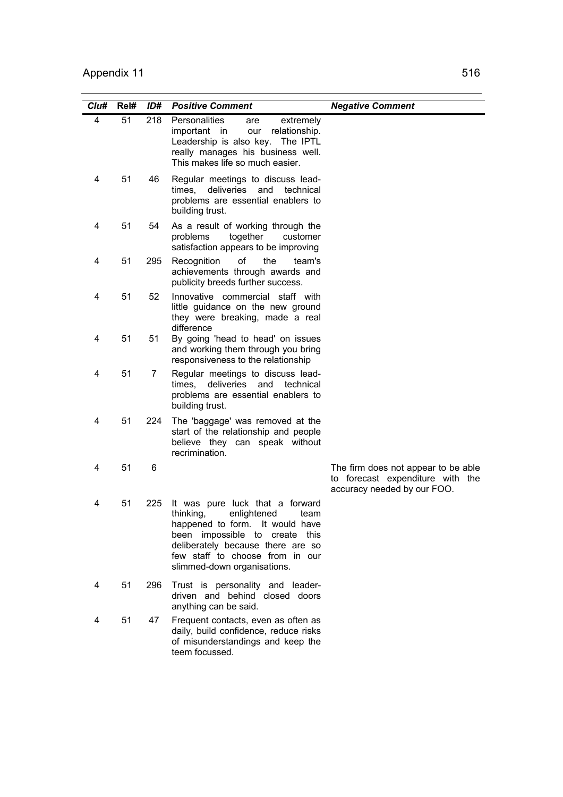| Clu# | Rel# | ID# | <b>Positive Comment</b>                                                                                                                                                                                                                            | <b>Negative Comment</b>                                                                                |
|------|------|-----|----------------------------------------------------------------------------------------------------------------------------------------------------------------------------------------------------------------------------------------------------|--------------------------------------------------------------------------------------------------------|
| 4    | 51   | 218 | Personalities<br>extremely<br>are<br>our<br>relationship.<br>important in<br>Leadership is also key. The IPTL<br>really manages his business well.<br>This makes life so much easier.                                                              |                                                                                                        |
| 4    | 51   | 46  | Regular meetings to discuss lead-<br>deliveries<br>times,<br>and<br>technical<br>problems are essential enablers to<br>building trust.                                                                                                             |                                                                                                        |
| 4    | 51   | 54  | As a result of working through the<br>problems<br>together<br>customer<br>satisfaction appears to be improving                                                                                                                                     |                                                                                                        |
| 4    | 51   | 295 | Recognition<br>0f<br>the<br>team's<br>achievements through awards and<br>publicity breeds further success.                                                                                                                                         |                                                                                                        |
| 4    | 51   | 52  | Innovative commercial staff with<br>little guidance on the new ground<br>they were breaking, made a real<br>difference                                                                                                                             |                                                                                                        |
| 4    | 51   | 51  | By going 'head to head' on issues<br>and working them through you bring<br>responsiveness to the relationship                                                                                                                                      |                                                                                                        |
| 4    | 51   | 7   | Regular meetings to discuss lead-<br>deliveries and technical<br>times.<br>problems are essential enablers to<br>building trust.                                                                                                                   |                                                                                                        |
| 4    | 51   | 224 | The 'baggage' was removed at the<br>start of the relationship and people<br>believe they can speak without<br>recrimination.                                                                                                                       |                                                                                                        |
| 4    | 51   | 6   |                                                                                                                                                                                                                                                    | The firm does not appear to be able<br>to forecast expenditure with the<br>accuracy needed by our FOO. |
| 4    | 51   | 225 | It was pure luck that a forward<br>thinking,<br>enlightened<br>team<br>happened to form. It would have<br>been impossible to<br>create this<br>deliberately because there are so<br>few staff to choose from in our<br>slimmed-down organisations. |                                                                                                        |
| 4    | 51   | 296 | Trust is personality and leader-<br>driven and behind closed doors<br>anything can be said.                                                                                                                                                        |                                                                                                        |
| 4    | 51   | 47  | Frequent contacts, even as often as<br>daily, build confidence, reduce risks<br>of misunderstandings and keep the<br>teem focussed.                                                                                                                |                                                                                                        |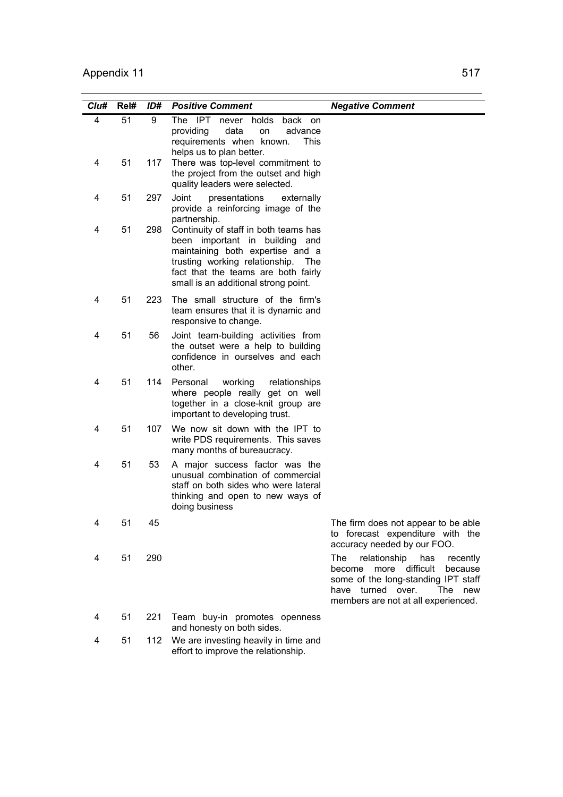| Clu# | Rel# | ID# | <b>Positive Comment</b>                                                                                                                                                                                                          | <b>Negative Comment</b>                                                                                                                                                                              |
|------|------|-----|----------------------------------------------------------------------------------------------------------------------------------------------------------------------------------------------------------------------------------|------------------------------------------------------------------------------------------------------------------------------------------------------------------------------------------------------|
| 4    | 51   | 9   | The<br>-IPT<br>never holds<br>back on<br>data<br>providing<br>on<br>advance<br>requirements when known.<br><b>This</b><br>helps us to plan better.                                                                               |                                                                                                                                                                                                      |
| 4    | 51   | 117 | There was top-level commitment to<br>the project from the outset and high<br>quality leaders were selected.                                                                                                                      |                                                                                                                                                                                                      |
| 4    | 51   | 297 | Joint<br>presentations<br>externally<br>provide a reinforcing image of the<br>partnership.                                                                                                                                       |                                                                                                                                                                                                      |
| 4    | 51   | 298 | Continuity of staff in both teams has<br>been important in building and<br>maintaining both expertise and a<br>trusting working relationship. The<br>fact that the teams are both fairly<br>small is an additional strong point. |                                                                                                                                                                                                      |
| 4    | 51   | 223 | The small structure of the firm's<br>team ensures that it is dynamic and<br>responsive to change.                                                                                                                                |                                                                                                                                                                                                      |
| 4    | 51   | 56  | Joint team-building activities from<br>the outset were a help to building<br>confidence in ourselves and each<br>other.                                                                                                          |                                                                                                                                                                                                      |
| 4    | 51   | 114 | working<br>Personal<br>relationships<br>where people really get on well<br>together in a close-knit group are<br>important to developing trust.                                                                                  |                                                                                                                                                                                                      |
| 4    | 51   | 107 | We now sit down with the IPT to<br>write PDS requirements. This saves<br>many months of bureaucracy.                                                                                                                             |                                                                                                                                                                                                      |
| 4    | 51   | 53  | A major success factor was the<br>unusual combination of commercial<br>staff on both sides who were lateral<br>thinking and open to new ways of<br>doing business                                                                |                                                                                                                                                                                                      |
| 4    | 51   | 45  |                                                                                                                                                                                                                                  | The firm does not appear to be able<br>to forecast expenditure with the<br>accuracy needed by our FOO.                                                                                               |
| 4    | 51   | 290 |                                                                                                                                                                                                                                  | relationship<br>The<br>has<br>recently<br>difficult<br>because<br>become<br>more<br>some of the long-standing IPT staff<br>turned over.<br>The<br>have<br>new<br>members are not at all experienced. |
| 4    | 51   | 221 | Team buy-in promotes openness<br>and honesty on both sides.                                                                                                                                                                      |                                                                                                                                                                                                      |
| 4    | 51   | 112 | We are investing heavily in time and<br>effort to improve the relationship.                                                                                                                                                      |                                                                                                                                                                                                      |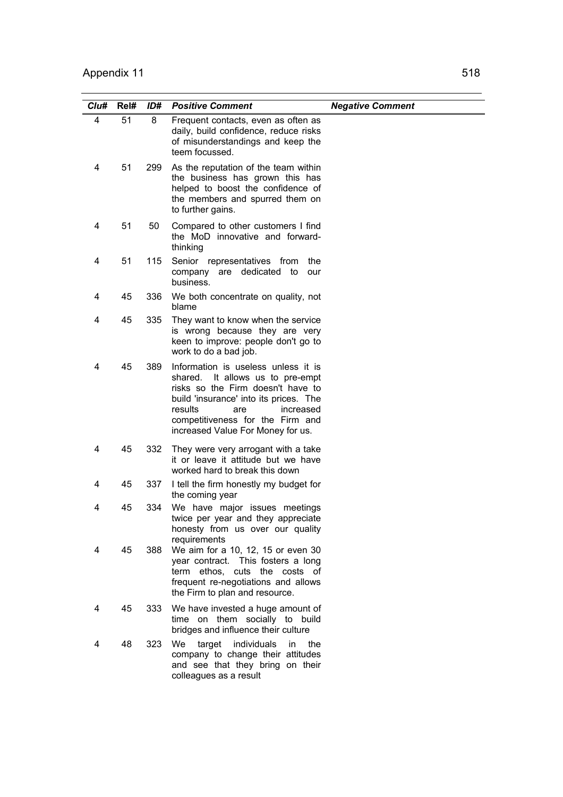| Clu# | Rel# | ID# | <b>Positive Comment</b>                                                                                                                                                                                                                                           | <b>Negative Comment</b> |
|------|------|-----|-------------------------------------------------------------------------------------------------------------------------------------------------------------------------------------------------------------------------------------------------------------------|-------------------------|
| 4    | 51   | 8   | Frequent contacts, even as often as<br>daily, build confidence, reduce risks<br>of misunderstandings and keep the<br>teem focussed.                                                                                                                               |                         |
| 4    | 51   | 299 | As the reputation of the team within<br>the business has grown this has<br>helped to boost the confidence of<br>the members and spurred them on<br>to further gains.                                                                                              |                         |
| 4    | 51   | 50  | Compared to other customers I find<br>the MoD innovative and forward-<br>thinking                                                                                                                                                                                 |                         |
| 4    | 51   | 115 | Senior representatives from<br>the<br>company are dedicated to<br>our<br>business.                                                                                                                                                                                |                         |
| 4    | 45   | 336 | We both concentrate on quality, not<br>blame                                                                                                                                                                                                                      |                         |
| 4    | 45   | 335 | They want to know when the service<br>is wrong because they are very<br>keen to improve: people don't go to<br>work to do a bad job.                                                                                                                              |                         |
| 4    | 45   | 389 | Information is useless unless it is<br>It allows us to pre-empt<br>shared.<br>risks so the Firm doesn't have to<br>build 'insurance' into its prices. The<br>results<br>increased<br>are<br>competitiveness for the Firm and<br>increased Value For Money for us. |                         |
| 4    | 45   | 332 | They were very arrogant with a take<br>it or leave it attitude but we have<br>worked hard to break this down                                                                                                                                                      |                         |
| 4    | 45   | 337 | I tell the firm honestly my budget for<br>the coming year                                                                                                                                                                                                         |                         |
| 4    | 45   | 334 | We have major issues meetings<br>twice per year and they appreciate<br>honesty from us over our quality<br>requirements                                                                                                                                           |                         |
| 4    | 45   | 388 | We aim for a 10, 12, 15 or even 30<br>year contract. This fosters a long<br>term ethos, cuts the costs of<br>frequent re-negotiations and allows<br>the Firm to plan and resource.                                                                                |                         |
| 4    | 45   | 333 | We have invested a huge amount of<br>time on them socially to build<br>bridges and influence their culture                                                                                                                                                        |                         |
| 4    | 48   | 323 | target individuals<br>We<br>in<br>the<br>company to change their attitudes<br>and see that they bring on their<br>colleagues as a result                                                                                                                          |                         |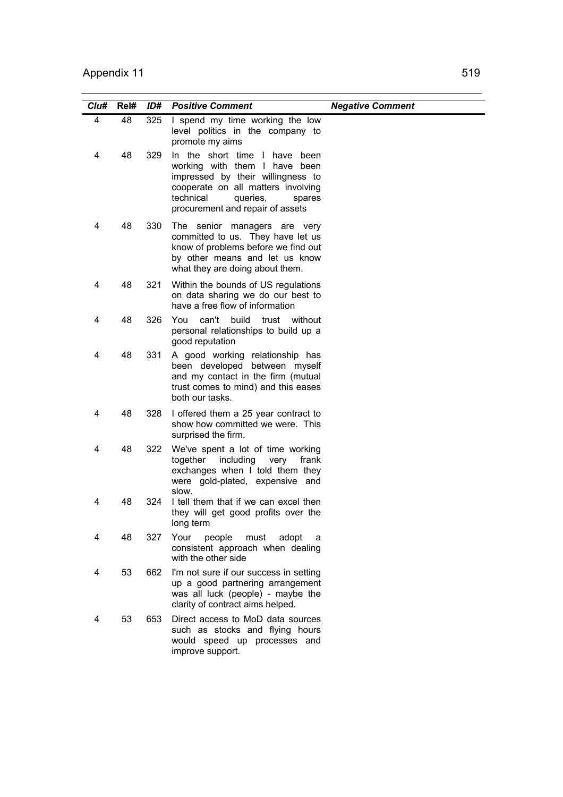| Clu# | Rel# | ID# | <b>Positive Comment</b>                                                                                                                                                                                          | <b>Negative Comment</b> |
|------|------|-----|------------------------------------------------------------------------------------------------------------------------------------------------------------------------------------------------------------------|-------------------------|
| 4    | 48   | 325 | I spend my time working the low<br>level politics in the company to<br>promote my aims                                                                                                                           |                         |
| 4    | 48   | 329 | In the short time I have been<br>working with them I have been<br>impressed by their willingness to<br>cooperate on all matters involving<br>technical<br>queries,<br>spares<br>procurement and repair of assets |                         |
| 4    | 48   | 330 | The senior managers are very<br>committed to us. They have let us<br>know of problems before we find out<br>by other means and let us know<br>what they are doing about them.                                    |                         |
| 4    | 48   | 321 | Within the bounds of US regulations<br>on data sharing we do our best to<br>have a free flow of information                                                                                                      |                         |
| 4    | 48   | 326 | You<br>can't build trust without<br>personal relationships to build up a<br>good reputation                                                                                                                      |                         |
| 4    | 48   | 331 | A good working relationship has<br>been developed between myself<br>and my contact in the firm (mutual<br>trust comes to mind) and this eases<br>both our tasks.                                                 |                         |
| 4    | 48   | 328 | I offered them a 25 year contract to<br>show how committed we were. This<br>surprised the firm.                                                                                                                  |                         |
| 4    | 48   | 322 | We've spent a lot of time working<br>together<br>including<br>very<br>frank<br>exchanges when I told them they<br>were gold-plated, expensive and<br>slow.                                                       |                         |
| 4    | 48   | 324 | I tell them that if we can excel then<br>they will get good profits over the<br>long term                                                                                                                        |                         |
| 4    | 48   | 327 | Your<br>people<br>must<br>adopt<br>a<br>consistent approach when dealing<br>with the other side                                                                                                                  |                         |
| 4    | 53   | 662 | I'm not sure if our success in setting<br>up a good partnering arrangement<br>was all luck (people) - maybe the<br>clarity of contract aims helped.                                                              |                         |
| 4    | 53   | 653 | Direct access to MoD data sources<br>such as stocks and flying hours<br>would speed up processes and<br>improve support.                                                                                         |                         |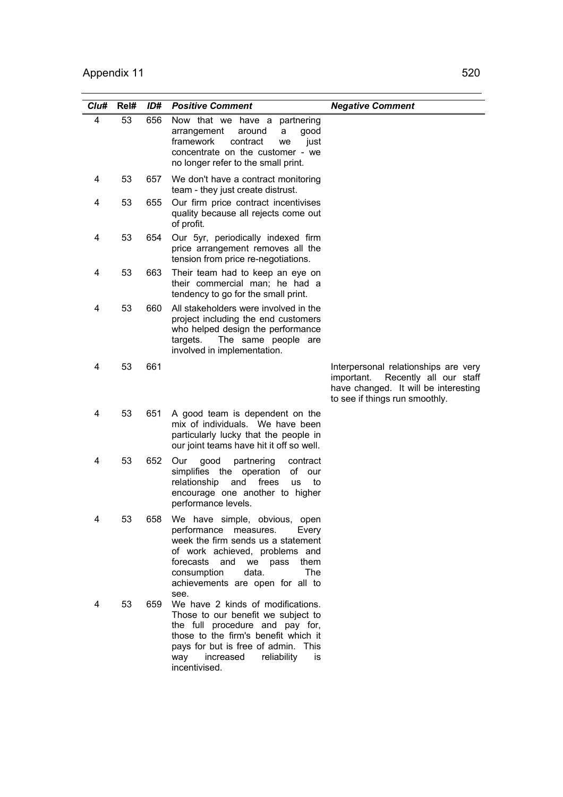| Clu# | Rel# | ID# | <b>Positive Comment</b>                                                                                                                                                                                                                                     | <b>Negative Comment</b>                                                                                                                                |
|------|------|-----|-------------------------------------------------------------------------------------------------------------------------------------------------------------------------------------------------------------------------------------------------------------|--------------------------------------------------------------------------------------------------------------------------------------------------------|
| 4    | 53   | 656 | Now that we have a partnering<br>arrangement<br>around<br>good<br>a<br>framework<br>contract<br>just<br>we<br>concentrate on the customer - we<br>no longer refer to the small print.                                                                       |                                                                                                                                                        |
| 4    | 53   | 657 | We don't have a contract monitoring<br>team - they just create distrust.                                                                                                                                                                                    |                                                                                                                                                        |
| 4    | 53   | 655 | Our firm price contract incentivises<br>quality because all rejects come out<br>of profit.                                                                                                                                                                  |                                                                                                                                                        |
| 4    | 53   | 654 | Our 5yr, periodically indexed firm<br>price arrangement removes all the<br>tension from price re-negotiations.                                                                                                                                              |                                                                                                                                                        |
| 4    | 53   | 663 | Their team had to keep an eye on<br>their commercial man; he had a<br>tendency to go for the small print.                                                                                                                                                   |                                                                                                                                                        |
| 4    | 53   | 660 | All stakeholders were involved in the<br>project including the end customers<br>who helped design the performance<br>targets.<br>The same people are<br>involved in implementation.                                                                         |                                                                                                                                                        |
| 4    | 53   | 661 |                                                                                                                                                                                                                                                             | Interpersonal relationships are very<br>Recently all our staff<br>important.<br>have changed. It will be interesting<br>to see if things run smoothly. |
| 4    | 53   | 651 | A good team is dependent on the<br>mix of individuals. We have been<br>particularly lucky that the people in<br>our joint teams have hit it off so well.                                                                                                    |                                                                                                                                                        |
| 4    | 53   | 652 | good<br>Our<br>partnering<br>contract<br>simplifies the operation<br>of<br>our<br>relationship<br>frees<br>and<br><b>us</b><br>to<br>encourage one another to higher<br>performance levels.                                                                 |                                                                                                                                                        |
|      | 53   | 658 | We have simple, obvious, open<br>performance measures.<br>Every<br>week the firm sends us a statement<br>of work achieved, problems and<br>forecasts and we pass<br>them<br>consumption<br>data.<br>The<br>achievements are open for all to                 |                                                                                                                                                        |
| 4    | 53   | 659 | see.<br>We have 2 kinds of modifications.<br>Those to our benefit we subject to<br>the full procedure and pay for,<br>those to the firm's benefit which it<br>pays for but is free of admin. This<br>increased<br>reliability<br>way<br>is<br>incentivised. |                                                                                                                                                        |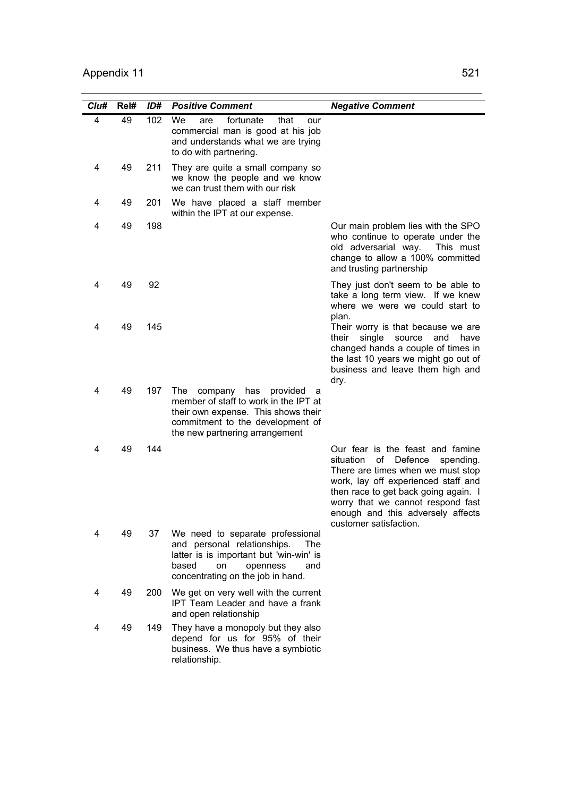| Clu# | Rel# | ID# | <b>Positive Comment</b>                                                                                                                                                                     | <b>Negative Comment</b>                                                                                                                                                                                                                                                                             |
|------|------|-----|---------------------------------------------------------------------------------------------------------------------------------------------------------------------------------------------|-----------------------------------------------------------------------------------------------------------------------------------------------------------------------------------------------------------------------------------------------------------------------------------------------------|
| 4    | 49   | 102 | We<br>fortunate<br>that<br>are<br>our<br>commercial man is good at his job<br>and understands what we are trying<br>to do with partnering.                                                  |                                                                                                                                                                                                                                                                                                     |
| 4    | 49   | 211 | They are quite a small company so<br>we know the people and we know<br>we can trust them with our risk                                                                                      |                                                                                                                                                                                                                                                                                                     |
| 4    | 49   | 201 | We have placed a staff member<br>within the IPT at our expense.                                                                                                                             |                                                                                                                                                                                                                                                                                                     |
| 4    | 49   | 198 |                                                                                                                                                                                             | Our main problem lies with the SPO<br>who continue to operate under the<br>old adversarial way. This must<br>change to allow a 100% committed<br>and trusting partnership                                                                                                                           |
| 4    | 49   | 92  |                                                                                                                                                                                             | They just don't seem to be able to<br>take a long term view. If we knew<br>where we were we could start to<br>plan.                                                                                                                                                                                 |
| 4    | 49   | 145 |                                                                                                                                                                                             | Their worry is that because we are<br>single source and<br>their<br>have<br>changed hands a couple of times in<br>the last 10 years we might go out of<br>business and leave them high and<br>dry.                                                                                                  |
| 4    | 49   | 197 | The<br>company has<br>provided<br>- a<br>member of staff to work in the IPT at<br>their own expense. This shows their<br>commitment to the development of<br>the new partnering arrangement |                                                                                                                                                                                                                                                                                                     |
| 4    | 49   | 144 |                                                                                                                                                                                             | Our fear is the feast and famine<br>situation<br>οf<br>Defence<br>spending.<br>There are times when we must stop<br>work, lay off experienced staff and<br>then race to get back going again. I<br>worry that we cannot respond fast<br>enough and this adversely affects<br>customer satisfaction. |
| 4    | 49   | 37  | We need to separate professional<br>and personal relationships.<br>The<br>latter is is important but 'win-win' is<br>based<br>on<br>openness<br>and<br>concentrating on the job in hand.    |                                                                                                                                                                                                                                                                                                     |
| 4    | 49   | 200 | We get on very well with the current<br><b>IPT Team Leader and have a frank</b><br>and open relationship                                                                                    |                                                                                                                                                                                                                                                                                                     |
| 4    | 49   | 149 | They have a monopoly but they also<br>depend for us for 95% of their<br>business. We thus have a symbiotic<br>relationship.                                                                 |                                                                                                                                                                                                                                                                                                     |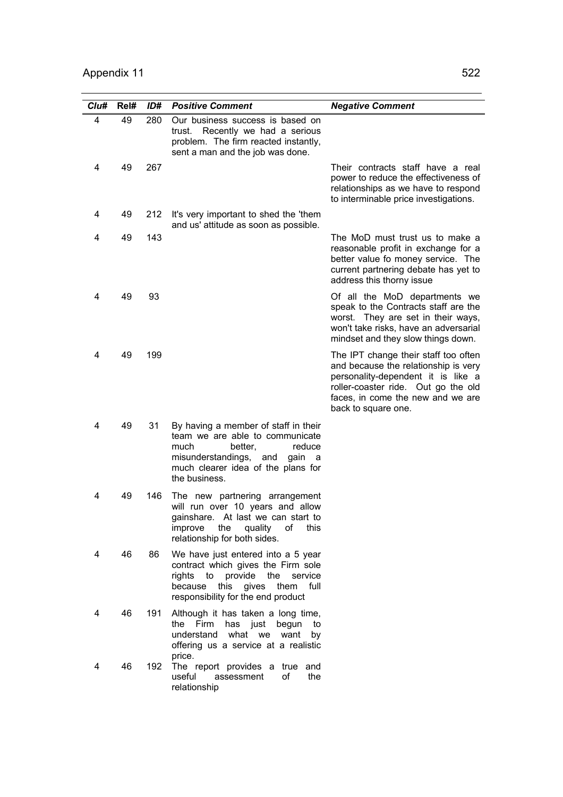| Clu# | Rel# | ID# | <b>Positive Comment</b>                                                                                                                                                                         | <b>Negative Comment</b>                                                                                                                                                                                               |
|------|------|-----|-------------------------------------------------------------------------------------------------------------------------------------------------------------------------------------------------|-----------------------------------------------------------------------------------------------------------------------------------------------------------------------------------------------------------------------|
| 4    | 49   | 280 | Our business success is based on<br>Recently we had a serious<br>trust.<br>problem. The firm reacted instantly,<br>sent a man and the job was done.                                             |                                                                                                                                                                                                                       |
| 4    | 49   | 267 |                                                                                                                                                                                                 | Their contracts staff have a real<br>power to reduce the effectiveness of<br>relationships as we have to respond<br>to interminable price investigations.                                                             |
| 4    | 49   | 212 | It's very important to shed the 'them<br>and us' attitude as soon as possible.                                                                                                                  |                                                                                                                                                                                                                       |
| 4    | 49   | 143 |                                                                                                                                                                                                 | The MoD must trust us to make a<br>reasonable profit in exchange for a<br>better value fo money service. The<br>current partnering debate has yet to<br>address this thorny issue                                     |
| 4    | 49   | 93  |                                                                                                                                                                                                 | Of all the MoD departments we<br>speak to the Contracts staff are the<br>worst. They are set in their ways,<br>won't take risks, have an adversarial<br>mindset and they slow things down.                            |
| 4    | 49   | 199 |                                                                                                                                                                                                 | The IPT change their staff too often<br>and because the relationship is very<br>personality-dependent it is like a<br>roller-coaster ride. Out go the old<br>faces, in come the new and we are<br>back to square one. |
| 4    | 49   | 31  | By having a member of staff in their<br>team we are able to communicate<br>better,<br>much<br>reduce<br>misunderstandings, and<br>gain a<br>much clearer idea of the plans for<br>the business. |                                                                                                                                                                                                                       |
| 4    | 49   | 146 | The new partnering arrangement<br>will run over 10 years and allow<br>gainshare. At last we can start to<br>quality<br>this<br>the<br>of<br>improve<br>relationship for both sides.             |                                                                                                                                                                                                                       |
| 4    | 46   | 86  | We have just entered into a 5 year<br>contract which gives the Firm sole<br>rights to provide the<br>service<br>because<br>this gives them<br>full<br>responsibility for the end product        |                                                                                                                                                                                                                       |
| 4    | 46   | 191 | Although it has taken a long time,<br>Firm<br>the<br>has just<br>begun<br>to<br>understand<br>what we want<br>by<br>offering us a service at a realistic<br>price.                              |                                                                                                                                                                                                                       |
| 4    | 46   | 192 | The report provides a true<br>and<br>useful<br>οf<br>the<br>assessment<br>relationship                                                                                                          |                                                                                                                                                                                                                       |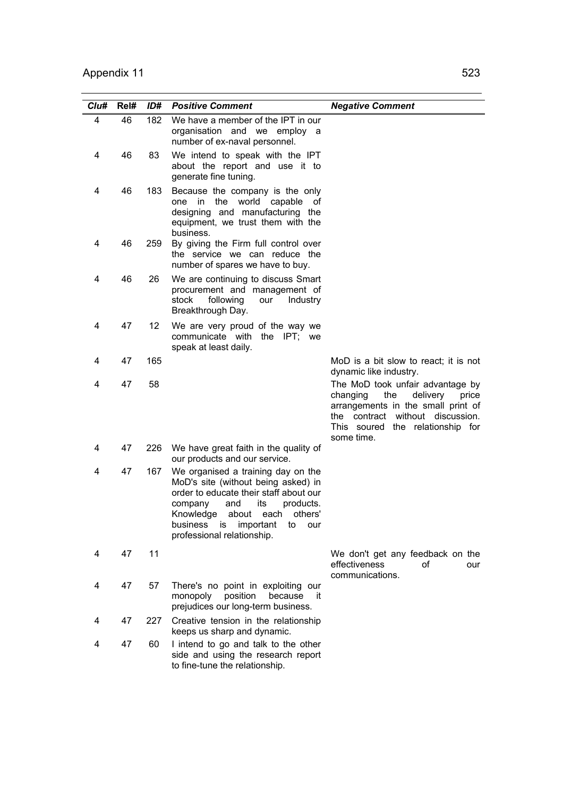| Clu# | Rel# | ID# | <b>Positive Comment</b>                                                                                                                                                                                                                                                   | <b>Negative Comment</b>                                                                                                                                                                              |
|------|------|-----|---------------------------------------------------------------------------------------------------------------------------------------------------------------------------------------------------------------------------------------------------------------------------|------------------------------------------------------------------------------------------------------------------------------------------------------------------------------------------------------|
| 4    | 46   | 182 | We have a member of the IPT in our<br>organisation and we employ a<br>number of ex-naval personnel.                                                                                                                                                                       |                                                                                                                                                                                                      |
| 4    | 46   | 83  | We intend to speak with the IPT<br>about the report and use it to<br>generate fine tuning.                                                                                                                                                                                |                                                                                                                                                                                                      |
| 4    | 46   | 183 | Because the company is the only<br>in<br>the<br>world capable<br>one<br>0t<br>designing and manufacturing the<br>equipment, we trust them with the<br>business.                                                                                                           |                                                                                                                                                                                                      |
| 4    | 46   | 259 | By giving the Firm full control over<br>the service we can reduce the<br>number of spares we have to buy.                                                                                                                                                                 |                                                                                                                                                                                                      |
| 4    | 46   | 26  | We are continuing to discuss Smart<br>procurement and management of<br>stock<br>following<br>our<br>Industry<br>Breakthrough Day.                                                                                                                                         |                                                                                                                                                                                                      |
| 4    | 47   | 12  | We are very proud of the way we<br>communicate with the IPT; we<br>speak at least daily.                                                                                                                                                                                  |                                                                                                                                                                                                      |
| 4    | 47   | 165 |                                                                                                                                                                                                                                                                           | MoD is a bit slow to react; it is not<br>dynamic like industry.                                                                                                                                      |
| 4    | 47   | 58  |                                                                                                                                                                                                                                                                           | The MoD took unfair advantage by<br>the<br>delivery<br>changing<br>price<br>arrangements in the small print of<br>the contract without discussion.<br>This soured the relationship for<br>some time. |
| 4    | 47   | 226 | We have great faith in the quality of<br>our products and our service.                                                                                                                                                                                                    |                                                                                                                                                                                                      |
| 4    | 47   | 167 | We organised a training day on the<br>MoD's site (without being asked) in<br>order to educate their staff about our<br>its<br>and<br>products.<br>company<br>about each<br>others'<br>Knowledge<br>important<br>business<br>is<br>to<br>our<br>professional relationship. |                                                                                                                                                                                                      |
| 4    | 47   | 11  |                                                                                                                                                                                                                                                                           | We don't get any feedback on the<br>effectiveness<br>οf<br>our<br>communications.                                                                                                                    |
| 4    | 47   | 57  | There's no point in exploiting our<br>monopoly<br>position<br>because<br>-it<br>prejudices our long-term business.                                                                                                                                                        |                                                                                                                                                                                                      |
| 4    | 47   | 227 | Creative tension in the relationship<br>keeps us sharp and dynamic.                                                                                                                                                                                                       |                                                                                                                                                                                                      |
| 4    | 47   | 60  | I intend to go and talk to the other<br>side and using the research report<br>to fine-tune the relationship.                                                                                                                                                              |                                                                                                                                                                                                      |